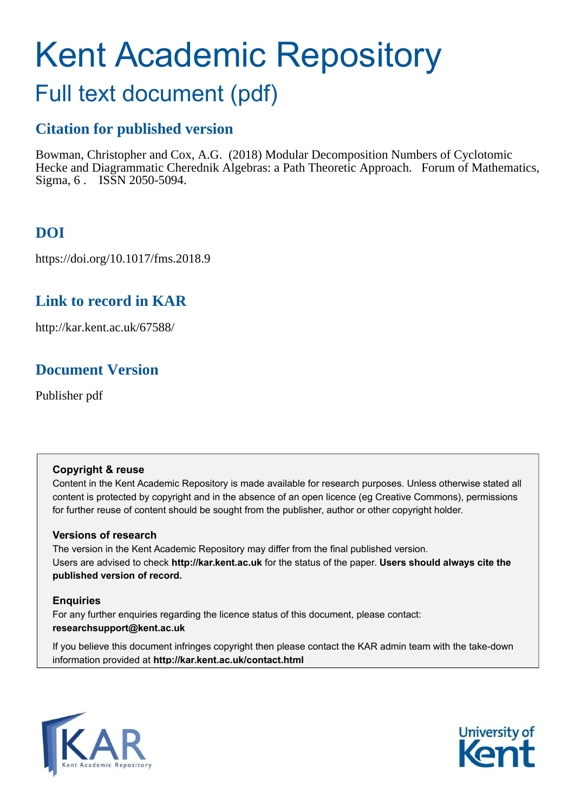# Kent Academic Repository

## Full text document (pdf)

## **Citation for published version**

Bowman, Christopher and Cox, A.G. (2018) Modular Decomposition Numbers of Cyclotomic Hecke and Diagrammatic Cherednik Algebras: a Path Theoretic Approach. Forum of Mathematics, Sigma, 6 . ISSN 2050-5094.

## **DOI**

https://doi.org/10.1017/fms.2018.9

## **Link to record in KAR**

http://kar.kent.ac.uk/67588/

## **Document Version**

Publisher pdf

#### **Copyright & reuse**

Content in the Kent Academic Repository is made available for research purposes. Unless otherwise stated all content is protected by copyright and in the absence of an open licence (eg Creative Commons), permissions for further reuse of content should be sought from the publisher, author or other copyright holder.

#### **Versions of research**

The version in the Kent Academic Repository may differ from the final published version. Users are advised to check **http://kar.kent.ac.uk** for the status of the paper. **Users should always cite the published version of record.**

#### **Enquiries**

For any further enquiries regarding the licence status of this document, please contact: **researchsupport@kent.ac.uk**

If you believe this document infringes copyright then please contact the KAR admin team with the take-down information provided at **http://kar.kent.ac.uk/contact.html**



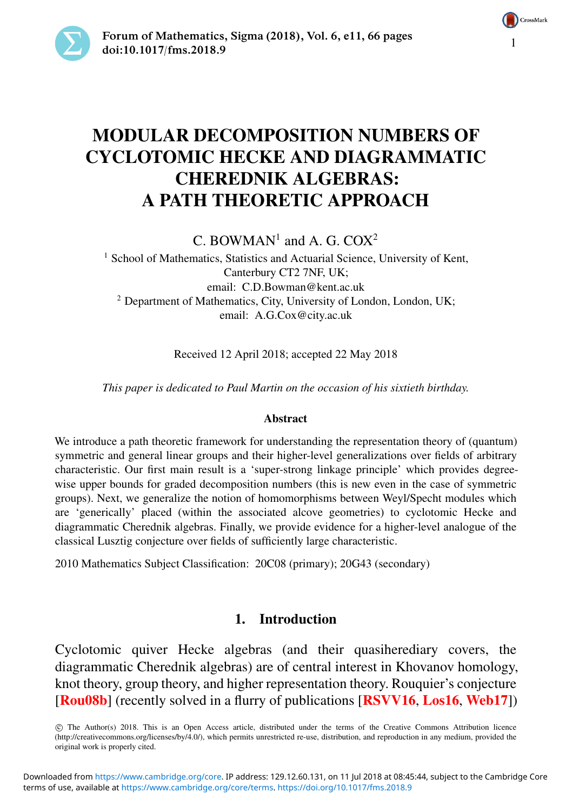



### MODULAR DECOMPOSITION NUMBERS OF CYCLOTOMIC HECKE AND DIAGRAMMATIC CHEREDNIK ALGEBRAS: A PATH THEORETIC APPROACH

C. BOWMAN<sup>1</sup> and A. G. COX<sup>2</sup>

<span id="page-1-0"></span><sup>1</sup> School of Mathematics, Statistics and Actuarial Science, University of Kent, Canterbury CT2 7NF, UK; email: [C.D.Bowman@kent.ac.uk](mailto:C.D.Bowman@kent.ac.uk) <sup>2</sup> Department of Mathematics, City, University of London, London, UK; email: [A.G.Cox@city.ac.uk](mailto:A.G.Cox@city.ac.uk)

<span id="page-1-1"></span>Received 12 April 2018; accepted 22 May 2018

*This paper is dedicated to Paul Martin on the occasion of his sixtieth birthday.*

#### Abstract

We introduce a path theoretic framework for understanding the representation theory of (quantum) symmetric and general linear groups and their higher-level generalizations over fields of arbitrary characteristic. Our first main result is a 'super-strong linkage principle' which provides degreewise upper bounds for graded decomposition numbers (this is new even in the case of symmetric groups). Next, we generalize the notion of homomorphisms between Weyl/Specht modules which are 'generically' placed (within the associated alcove geometries) to cyclotomic Hecke and diagrammatic Cherednik algebras. Finally, we provide evidence for a higher-level analogue of the classical Lusztig conjecture over fields of sufficiently large characteristic.

2010 Mathematics Subject Classification: 20C08 (primary); 20G43 (secondary)

#### 1. Introduction

Cyclotomic quiver Hecke algebras (and their quasiherediary covers, the diagrammatic Cherednik algebras) are of central interest in Khovanov homology, knot theory, group theory, and higher representation theory. Rouquier's conjecture [[Rou08b](#page-65-0)] (recently solved in a flurry of publications [[RSVV16](#page-65-1), [Los16](#page-64-0), [Web17](#page-65-2)])

 c The Author(s) 2018. This is an Open Access article, distributed under the terms of the Creative Commons Attribution licence (http://creativecommons.org/licenses/by/4.0/), which permits unrestricted re-use, distribution, and reproduction in any medium, provided the original work is properly cited.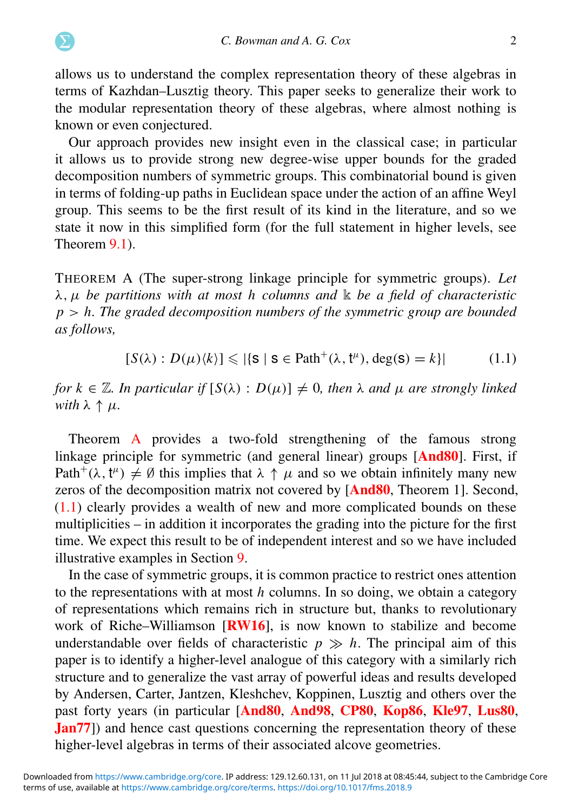allows us to understand the complex representation theory of these algebras in terms of Kazhdan–Lusztig theory. This paper seeks to generalize their work to the modular representation theory of these algebras, where almost nothing is known or even conjectured.

Our approach provides new insight even in the classical case; in particular it allows us to provide strong new degree-wise upper bounds for the graded decomposition numbers of symmetric groups. This combinatorial bound is given in terms of folding-up paths in Euclidean space under the action of an affine Weyl group. This seems to be the first result of its kind in the literature, and so we state it now in this simplified form (for the full statement in higher levels, see Theorem [9.1\)](#page-38-0).

THEOREM A (The super-strong linkage principle for symmetric groups). *Let* λ, µ *be partitions with at most h columns and* k *be a field of characteristic p* > *h. The graded decomposition numbers of the symmetric group are bounded as follows,*

$$
[S(\lambda): D(\mu)\langle k \rangle] \leqslant |\{\mathbf{S} \mid \mathbf{S} \in \text{Path}^+(\lambda, \mathbf{t}^\mu), \deg(\mathbf{S}) = k\}| \tag{1.1}
$$

*for*  $k \in \mathbb{Z}$ *. In particular if*  $[S(\lambda) : D(\mu)] \neq 0$ *, then*  $\lambda$  *and*  $\mu$  *are strongly linked with*  $\lambda \uparrow \mu$ *.* 

Theorem [A](#page-1-0) provides a two-fold strengthening of the famous strong linkage principle for symmetric (and general linear) groups [[And80](#page-63-0)]. First, if Path<sup>+</sup>( $\lambda$ ,  $t^{\mu}$ )  $\neq \emptyset$  this implies that  $\lambda \uparrow \mu$  and so we obtain infinitely many new zeros of the decomposition matrix not covered by [[And80](#page-63-0), Theorem 1]. Second, [\(1.1\)](#page-1-1) clearly provides a wealth of new and more complicated bounds on these multiplicities – in addition it incorporates the grading into the picture for the first time. We expect this result to be of independent interest and so we have included illustrative examples in Section [9.](#page-37-0)

<span id="page-2-0"></span>In the case of symmetric groups, it is common practice to restrict ones attention to the representations with at most *h* columns. In so doing, we obtain a category of representations which remains rich in structure but, thanks to revolutionary work of Riche–Williamson [[RW16](#page-65-3)], is now known to stabilize and become understandable over fields of characteristic  $p \gg h$ . The principal aim of this paper is to identify a higher-level analogue of this category with a similarly rich structure and to generalize the vast array of powerful ideas and results developed by Andersen, Carter, Jantzen, Kleshchev, Koppinen, Lusztig and others over the past forty years (in particular [[And80](#page-63-0), [And98](#page-63-1), [CP80](#page-63-2), [Kop86](#page-64-1), [Kle97](#page-64-2), [Lus80](#page-64-3), **[Jan77](#page-64-4)**) and hence cast questions concerning the representation theory of these higher-level algebras in terms of their associated alcove geometries.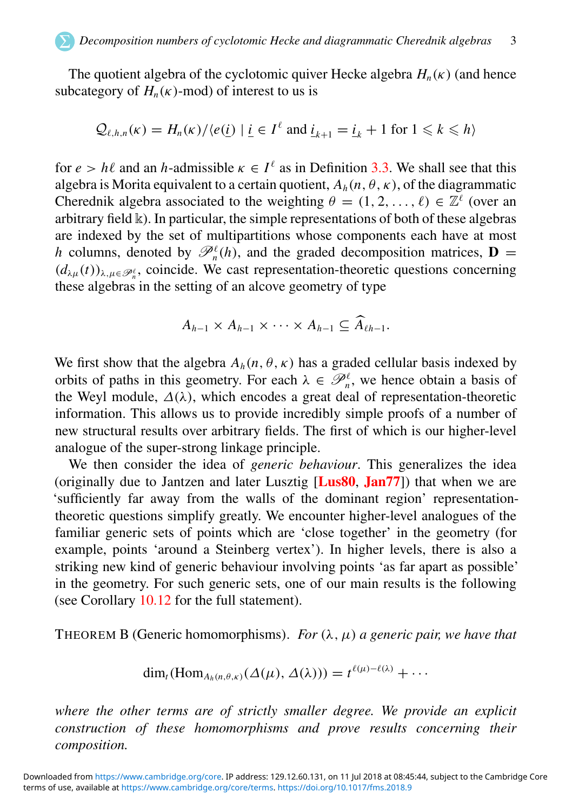The quotient algebra of the cyclotomic quiver Hecke algebra  $H_n(\kappa)$  (and hence subcategory of  $H_n(\kappa)$ -mod) of interest to us is

$$
Q_{\ell,h,n}(\kappa) = H_n(\kappa) / \langle e(\underline{i}) | \underline{i} \in I^{\ell} \text{ and } \underline{i}_{k+1} = \underline{i}_k + 1 \text{ for } 1 \leq k \leq h \rangle
$$

for  $e > h\ell$  and an *h*-admissible  $\kappa \in I^{\ell}$  as in Definition [3.3.](#page-9-0) We shall see that this algebra is Morita equivalent to a certain quotient,  $A_h(n, \theta, \kappa)$ , of the diagrammatic Cherednik algebra associated to the weighting  $\theta = (1, 2, ..., \ell) \in \mathbb{Z}^{\ell}$  (over an arbitrary field  $\mathbbk$ ). In particular, the simple representations of both of these algebras are indexed by the set of multipartitions whose components each have at most *h* columns, denoted by  $\mathcal{P}_n^{\ell}(h)$ , and the graded decomposition matrices, **D** =  $(d_{\lambda\mu}(t))_{\lambda,\mu\in\mathscr{P}_n^{\ell}}$ , coincide. We cast representation-theoretic questions concerning these algebras in the setting of an alcove geometry of type

$$
A_{h-1} \times A_{h-1} \times \cdots \times A_{h-1} \subseteq \widehat{A}_{\ell h-1}.
$$

We first show that the algebra  $A_h(n, \theta, \kappa)$  has a graded cellular basis indexed by orbits of paths in this geometry. For each  $\lambda \in \mathcal{P}_n^{\ell}$ , we hence obtain a basis of the Weyl module,  $\Delta(\lambda)$ , which encodes a great deal of representation-theoretic information. This allows us to provide incredibly simple proofs of a number of new structural results over arbitrary fields. The first of which is our higher-level analogue of the super-strong linkage principle.

We then consider the idea of *generic behaviour*. This generalizes the idea (originally due to Jantzen and later Lusztig  $[Lus80, Jan77]$  $[Lus80, Jan77]$  $[Lus80, Jan77]$  $[Lus80, Jan77]$  $[Lus80, Jan77]$ ) that when we are 'sufficiently far away from the walls of the dominant region' representationtheoretic questions simplify greatly. We encounter higher-level analogues of the familiar generic sets of points which are 'close together' in the geometry (for example, points 'around a Steinberg vertex'). In higher levels, there is also a striking new kind of generic behaviour involving points 'as far apart as possible' in the geometry. For such generic sets, one of our main results is the following (see Corollary [10.12](#page-48-0) for the full statement).

<span id="page-3-0"></span>THEOREM B (Generic homomorphisms). *For*  $(\lambda, \mu)$  *a generic pair, we have that* 

$$
\dim_t(\mathrm{Hom}_{A_h(n,\theta,\kappa)}(\Delta(\mu),\Delta(\lambda)))=t^{\ell(\mu)-\ell(\lambda)}+\cdots
$$

*where the other terms are of strictly smaller degree. We provide an explicit construction of these homomorphisms and prove results concerning their composition.*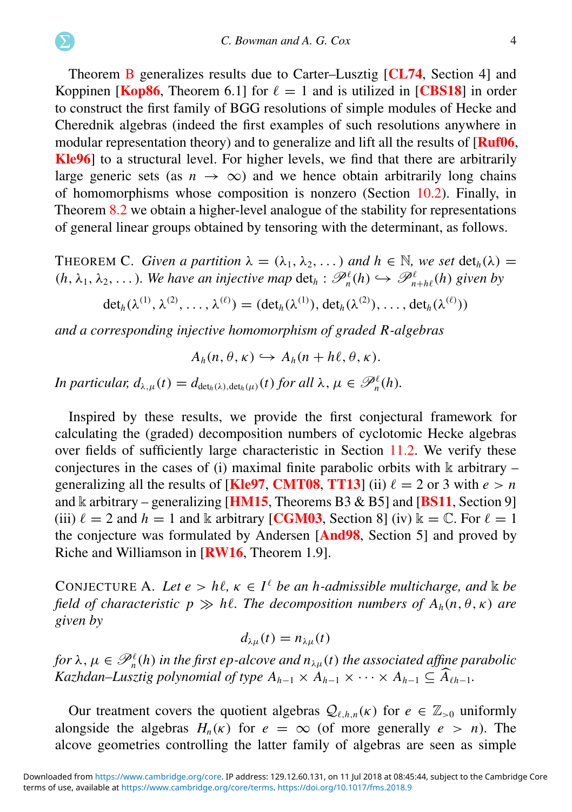Theorem [B](#page-2-0) generalizes results due to Carter–Lusztig [[CL74](#page-63-3), Section 4] and Koppinen [[Kop86](#page-64-1), Theorem 6.1] for  $\ell = 1$  and is utilized in [[CBS18](#page-63-4)] in order to construct the first family of BGG resolutions of simple modules of Hecke and Cherednik algebras (indeed the first examples of such resolutions anywhere in modular representation theory) and to generalize and lift all the results of **[[Ruf06](#page-65-4),** [Kle96](#page-64-5)] to a structural level. For higher levels, we find that there are arbitrarily large generic sets (as  $n \to \infty$ ) and we hence obtain arbitrarily long chains of homomorphisms whose composition is nonzero (Section [10.2\)](#page-51-0). Finally, in Theorem [8.2](#page-35-0) we obtain a higher-level analogue of the stability for representations of general linear groups obtained by tensoring with the determinant, as follows.

THEOREM C. *Given a partition*  $\lambda = (\lambda_1, \lambda_2, ...)$  *and*  $h \in \mathbb{N}$ *, we set*  $\det_h(\lambda) =$  $(h, \lambda_1, \lambda_2, \ldots)$ *. We have an injective map*  $\det_h : \mathscr{P}_n^{\ell}(h) \hookrightarrow \mathscr{P}_{n+h\ell}^{\ell}(h)$  given by

 $\det_h(\lambda^{(1)}, \lambda^{(2)}, \ldots, \lambda^{(\ell)}) = (\det_h(\lambda^{(1)}), \det_h(\lambda^{(2)}), \ldots, \det_h(\lambda^{(\ell)}))$ 

*and a corresponding injective homomorphism of graded R-algebras*

$$
A_h(n, \theta, \kappa) \hookrightarrow A_h(n+h\ell, \theta, \kappa).
$$

*In particular,*  $d_{\lambda,\mu}(t) = d_{\det_h(\lambda),\det_h(\mu)}(t)$  *for all*  $\lambda, \mu \in \mathscr{P}_h^{\ell}(h)$ *.* 

Inspired by these results, we provide the first conjectural framework for calculating the (graded) decomposition numbers of cyclotomic Hecke algebras over fields of sufficiently large characteristic in Section [11.2.](#page-57-0) We verify these conjectures in the cases of (i) maximal finite parabolic orbits with  $\mathbbk$  arbitrary – generalizing all the results of [[Kle97](#page-64-2), [CMT08](#page-63-5), [TT13](#page-65-5)] (ii)  $\ell = 2$  or 3 with  $e > n$ and k arbitrary – generalizing [**[HM15](#page-64-6)**, Theorems B3 & B5] and [**[BS11](#page-63-6)**, Section 9] (iii)  $\ell = 2$  and  $h = 1$  and k arbitrary [**[CGM03](#page-63-7)**, Section 8] (iv)  $\mathbb{k} = \mathbb{C}$ . For  $\ell = 1$ the conjecture was formulated by Andersen [[And98](#page-63-1), Section 5] and proved by Riche and Williamson in [[RW16](#page-65-3), Theorem 1.9].

CONJECTURE A. Let  $e > h\ell$ ,  $\kappa \in I^{\ell}$  *be an h-admissible multicharge, and*  $\Bbbk$  *be field of characteristic*  $p \gg h\ell$ *. The decomposition numbers of*  $A_h(n, \theta, \kappa)$  are *given by*

$$
d_{\lambda\mu}(t)=n_{\lambda\mu}(t)
$$

for  $\lambda, \mu \in \mathscr{P}_n^{\ell}(h)$  in the first ep-alcove and  $n_{\lambda\mu}(t)$  the associated affine parabolic *Kazhdan–Lusztig polynomial of type*  $A_{h-1} \times A_{h-1} \times \cdots \times A_{h-1} \subseteq \widehat{A}_{\ell h-1}$ .

Our treatment covers the quotient algebras  $Q_{\ell,h,n}(\kappa)$  for  $e \in \mathbb{Z}_{>0}$  uniformly alongside the algebras  $H_n(\kappa)$  for  $e = \infty$  (of more generally  $e > n$ ). The alcove geometries controlling the latter family of algebras are seen as simple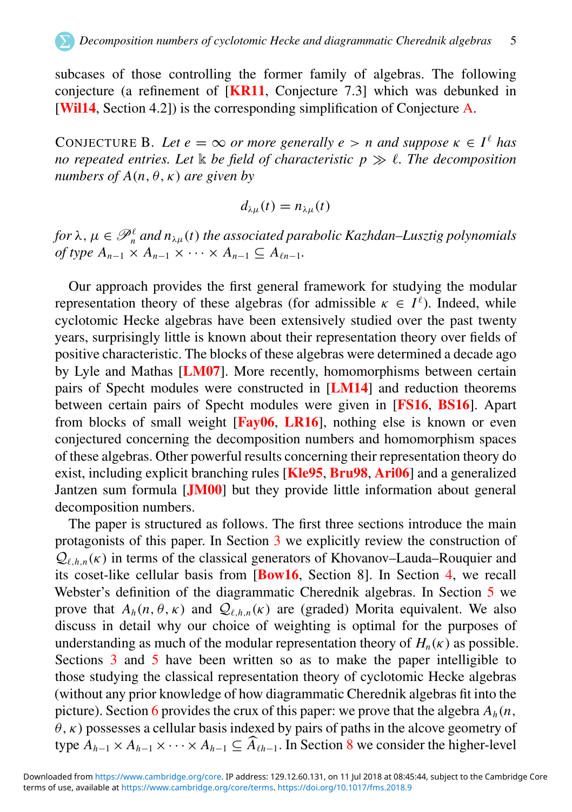subcases of those controlling the former family of algebras. The following conjecture (a refinement of [[KR11](#page-64-7), Conjecture 7.3] which was debunked in [[Wil14](#page-65-6), Section 4.2]) is the corresponding simplification of Conjecture [A.](#page-3-0)

CONJECTURE B. Let  $e = \infty$  or more generally  $e > n$  and suppose  $\kappa \in I^{\ell}$  has *no repeated entries. Let* k *be field of characteristic p* ≫ ℓ*. The decomposition numbers of A(n,*  $\theta$ *,*  $\kappa$ *) are given by* 

$$
d_{\lambda\mu}(t)=n_{\lambda\mu}(t)
$$

for  $\lambda$  ,  $\mu \in \mathscr{P}_n^{\ell}$  and  $n_{\lambda \mu}(t)$  the associated parabolic Kazhdan–Lusztig polynomials  $of type A_{n-1} \times A_{n-1} \times \cdots \times A_{n-1} \subseteq A_{\ell n-1}$ .

Our approach provides the first general framework for studying the modular representation theory of these algebras (for admissible  $\kappa \in I^{\ell}$ ). Indeed, while cyclotomic Hecke algebras have been extensively studied over the past twenty years, surprisingly little is known about their representation theory over fields of positive characteristic. The blocks of these algebras were determined a decade ago by Lyle and Mathas [[LM07](#page-64-8)]. More recently, homomorphisms between certain pairs of Specht modules were constructed in [[LM14](#page-64-9)] and reduction theorems between certain pairs of Specht modules were given in [[FS16](#page-64-10), [BS16](#page-63-8)]. Apart from blocks of small weight  $[Far06, LR16]$  $[Far06, LR16]$  $[Far06, LR16]$ , nothing else is known or even conjectured concerning the decomposition numbers and homomorphism spaces of these algebras. Other powerful results concerning their representation theory do exist, including explicit branching rules [[Kle95](#page-64-12), [Bru98](#page-63-10), [Ari06](#page-63-11)] and a generalized Jantzen sum formula [[JM00](#page-64-13)] but they provide little information about general decomposition numbers.

<span id="page-5-0"></span>The paper is structured as follows. The first three sections introduce the main protagonists of this paper. In Section [3](#page-7-0) we explicitly review the construction of  $Q_{\ell h,n}(\kappa)$  in terms of the classical generators of Khovanov–Lauda–Rouquier and its coset-like cellular basis from [[Bow16](#page-63-12), Section 8]. In Section [4,](#page-12-0) we recall Webster's definition of the diagrammatic Cherednik algebras. In Section [5](#page-17-0) we prove that  $A_h(n, \theta, \kappa)$  and  $\mathcal{Q}_{\ell, h, n}(\kappa)$  are (graded) Morita equivalent. We also discuss in detail why our choice of weighting is optimal for the purposes of understanding as much of the modular representation theory of  $H_n(\kappa)$  as possible. Sections [3](#page-7-0) and [5](#page-17-0) have been written so as to make the paper intelligible to those studying the classical representation theory of cyclotomic Hecke algebras (without any prior knowledge of how diagrammatic Cherednik algebras fit into the picture). Section [6](#page-22-0) provides the crux of this paper: we prove that the algebra  $A_h(n, \theta)$  $\theta$ ,  $\kappa$ ) possesses a cellular basis indexed by pairs of paths in the alcove geometry of type  $A_{h-1} \times A_{h-1} \times \cdots \times A_{h-1} \subseteq \widehat{A}_{\ell h-1}$ . In Section [8](#page-35-1) we consider the higher-level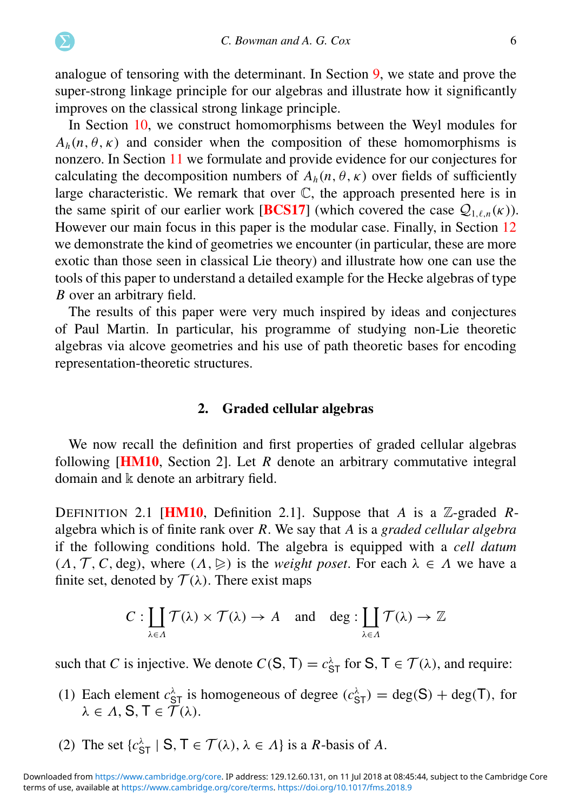analogue of tensoring with the determinant. In Section [9,](#page-37-0) we state and prove the super-strong linkage principle for our algebras and illustrate how it significantly improves on the classical strong linkage principle.

In Section [10,](#page-41-0) we construct homomorphisms between the Weyl modules for  $A_h(n, \theta, \kappa)$  and consider when the composition of these homomorphisms is nonzero. In Section [11](#page-54-0) we formulate and provide evidence for our conjectures for calculating the decomposition numbers of  $A_h(n, \theta, \kappa)$  over fields of sufficiently large characteristic. We remark that over C, the approach presented here is in the same spirit of our earlier work [**[BCS17](#page-63-13)**] (which covered the case  $Q_{1,\ell,n}(\kappa)$ ). However our main focus in this paper is the modular case. Finally, in Section [12](#page-59-0) we demonstrate the kind of geometries we encounter (in particular, these are more exotic than those seen in classical Lie theory) and illustrate how one can use the tools of this paper to understand a detailed example for the Hecke algebras of type *B* over an arbitrary field.

The results of this paper were very much inspired by ideas and conjectures of Paul Martin. In particular, his programme of studying non-Lie theoretic algebras via alcove geometries and his use of path theoretic bases for encoding representation-theoretic structures.

#### <span id="page-6-0"></span>2. Graded cellular algebras

We now recall the definition and first properties of graded cellular algebras following [[HM10](#page-64-14), Section 2]. Let *R* denote an arbitrary commutative integral domain and k denote an arbitrary field.

DEFINITION 2.1 [[HM10](#page-64-14), Definition 2.1]. Suppose that *A* is a Z-graded *R*algebra which is of finite rank over *R*. We say that *A* is a *graded cellular algebra* if the following conditions hold. The algebra is equipped with a *cell datum*  $(\Lambda, \mathcal{T}, C, \text{deg})$ , where  $(\Lambda, \triangleright)$  is the *weight poset*. For each  $\lambda \in \Lambda$  we have a finite set, denoted by  $\mathcal{T}(\lambda)$ . There exist maps

$$
C: \coprod_{\lambda \in \Lambda} \mathcal{T}(\lambda) \times \mathcal{T}(\lambda) \to A \quad \text{and} \quad \deg: \coprod_{\lambda \in \Lambda} \mathcal{T}(\lambda) \to \mathbb{Z}
$$

such that *C* is injective. We denote  $C(S, T) = c_{ST}^{\lambda}$  for  $S, T \in T(\lambda)$ , and require:

- (1) Each element  $c_{ST}^{\lambda}$  is homogeneous of degree  $(c_{ST}^{\lambda}) = \text{deg}(S) + \text{deg}(T)$ , for  $\lambda \in \Lambda$ , S, T  $\in \widetilde{\mathcal{T}}(\lambda)$ .
- (2) The set  $\{c_{\text{ST}}^{\lambda} \mid \mathbf{S}, \mathbf{T} \in \mathcal{T}(\lambda), \lambda \in \Lambda\}$  is a *R*-basis of *A*.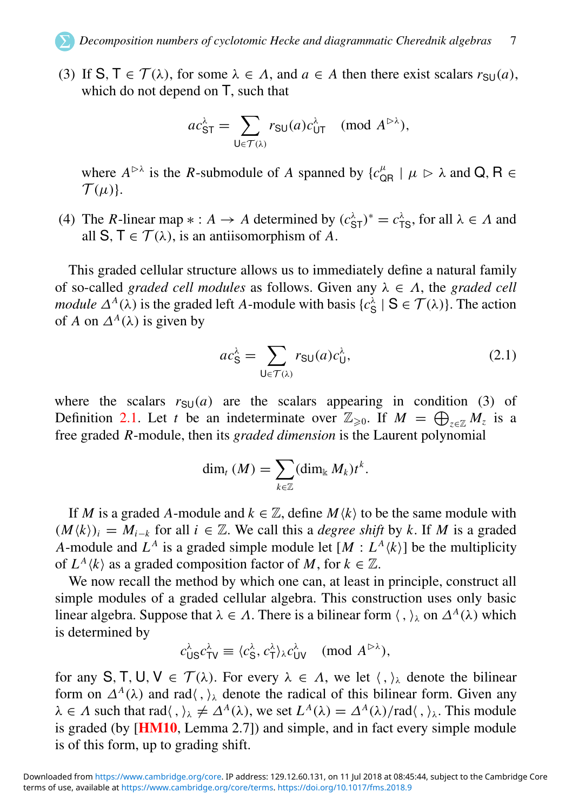<span id="page-7-1"></span>(3) If  $S, T \in \mathcal{T}(\lambda)$ , for some  $\lambda \in \Lambda$ , and  $a \in A$  then there exist scalars  $r_{\text{SU}}(a)$ , which do not depend on T, such that

$$
ac_{\mathsf{ST}}^{\lambda} = \sum_{\mathsf{U} \in \mathcal{T}(\lambda)} r_{\mathsf{SU}}(a) c_{\mathsf{UT}}^{\lambda} \pmod{A^{\triangleright \lambda}},
$$

where  $A^{\triangleright\lambda}$  is the *R*-submodule of *A* spanned by  $\{c_{\text{QR}}^{\mu} | \mu \triangleright \lambda \text{ and } Q, R \in$  $\mathcal{T}(\mu)$ .

(4) The *R*-linear map  $* : A \to A$  determined by  $(c_{ST}^{\lambda})^* = c_{TS}^{\lambda}$ , for all  $\lambda \in A$  and all S,  $T \in \mathcal{T}(\lambda)$ , is an antiisomorphism of A.

<span id="page-7-0"></span>This graded cellular structure allows us to immediately define a natural family of so-called *graded cell modules* as follows. Given any  $\lambda \in \Lambda$ , the *graded cell module*  $\Delta^A(\lambda)$  is the graded left *A*-module with basis  $\{c_S^{\lambda} \mid S \in \mathcal{T}(\lambda)\}\)$ . The action of *A* on  $\Delta^A(\lambda)$  is given by

$$
ac_S^{\lambda} = \sum_{\mathsf{U} \in \mathcal{T}(\lambda)} r_{\mathsf{SU}}(a)c_{\mathsf{U}}^{\lambda},\tag{2.1}
$$

where the scalars  $r_{\text{SU}}(a)$  are the scalars appearing in condition (3) of Definition [2.1.](#page-5-0) Let *t* be an indeterminate over  $\mathbb{Z}_{\geqslant 0}$ . If  $M = \bigoplus_{z \in \mathbb{Z}} M_z$  is a free graded *R*-module, then its *graded dimension* is the Laurent polynomial

$$
\dim_t (M) = \sum_{k \in \mathbb{Z}} (\dim_k M_k) t^k.
$$

If *M* is a graded *A*-module and  $k \in \mathbb{Z}$ , define  $M\langle k \rangle$  to be the same module with  $(M\langle k\rangle)_i = M_{i-k}$  for all  $i \in \mathbb{Z}$ . We call this a *degree shift* by k. If M is a graded *A*-module and  $L^A$  is a graded simple module let  $[M: L^A \langle k \rangle]$  be the multiplicity of  $L^A \langle k \rangle$  as a graded composition factor of *M*, for  $k \in \mathbb{Z}$ .

We now recall the method by which one can, at least in principle, construct all simple modules of a graded cellular algebra. This construction uses only basic linear algebra. Suppose that  $\lambda \in \Lambda$ . There is a bilinear form  $\langle , \rangle_{\lambda}$  on  $\Delta^A(\lambda)$  which is determined by

$$
c_{\text{US}}^{\lambda} c_{\text{TV}}^{\lambda} \equiv \langle c_{\text{S}}^{\lambda}, c_{\text{TV}}^{\lambda} \rangle_{\lambda} c_{\text{UV}}^{\lambda} \pmod{A^{\rhd \lambda}},
$$

for any S, T, U,  $V \in \mathcal{T}(\lambda)$ . For every  $\lambda \in \Lambda$ , we let  $\langle , \rangle_{\lambda}$  denote the bilinear form on  $\Delta^A(\lambda)$  and rad $\langle , \rangle_{\lambda}$  denote the radical of this bilinear form. Given any  $\lambda \in \Lambda$  such that rad $\langle , \rangle_{\lambda} \neq \Delta^A(\lambda)$ , we set  $L^A(\lambda) = \Delta^A(\lambda) / \text{rad}\langle , \rangle_{\lambda}$ . This module is graded (by [[HM10](#page-64-14), Lemma 2.7]) and simple, and in fact every simple module is of this form, up to grading shift.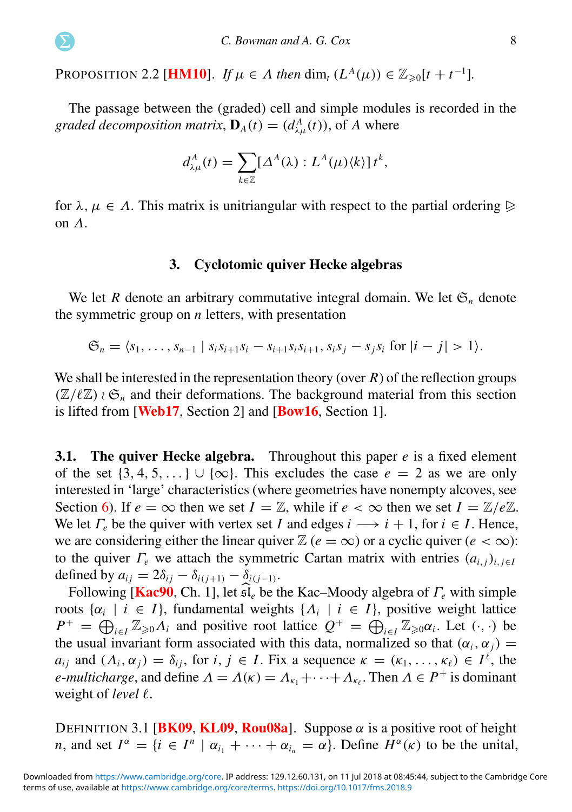PROPOSITION 2.2 [**[HM10](#page-64-14)**]. *If*  $\mu \in \Lambda$  *then* dim<sub>t</sub> ( $L^A(\mu)$ )  $\in \mathbb{Z}_{\geqslant 0}[t + t^{-1}]$ .

The passage between the (graded) cell and simple modules is recorded in the *graded decomposition matrix*,  $\mathbf{D}_A(t) = (d_{\lambda\mu}^A(t))$ , of *A* where

$$
d^A_{\lambda\mu}(t) = \sum_{k\in\mathbb{Z}} [\Delta^A(\lambda): L^A(\mu)\langle k\rangle] t^k,
$$

for  $\lambda, \mu \in \Lambda$ . This matrix is unitriangular with respect to the partial ordering  $\triangleright$ on Λ.

#### 3. Cyclotomic quiver Hecke algebras

We let *R* denote an arbitrary commutative integral domain. We let  $\mathfrak{S}_n$  denote the symmetric group on *n* letters, with presentation

$$
\mathfrak{S}_n = \langle s_1, \ldots, s_{n-1} \mid s_i s_{i+1} s_i - s_{i+1} s_i s_{i+1}, s_i s_j - s_j s_i \text{ for } |i - j| > 1 \rangle.
$$

We shall be interested in the representation theory (over *R*) of the reflection groups  $(\mathbb{Z}/\ell\mathbb{Z}) \wr \mathfrak{S}_n$  and their deformations. The background material from this section is lifted from [[Web17](#page-65-2), Section 2] and [[Bow16](#page-63-12), Section 1].

**3.1.** The quiver Hecke algebra. Throughout this paper  $e$  is a fixed element of the set  $\{3, 4, 5, ...\} \cup \{\infty\}$ . This excludes the case  $e = 2$  as we are only interested in 'large' characteristics (where geometries have nonempty alcoves, see Section [6\)](#page-22-0). If  $e = \infty$  then we set  $I = \mathbb{Z}$ , while if  $e < \infty$  then we set  $I = \mathbb{Z}/e\mathbb{Z}$ . We let  $\Gamma_e$  be the quiver with vertex set *I* and edges  $i \rightarrow i + 1$ , for  $i \in I$ . Hence, we are considering either the linear quiver  $\mathbb{Z}$  ( $e = \infty$ ) or a cyclic quiver ( $e < \infty$ ): to the quiver  $\Gamma_e$  we attach the symmetric Cartan matrix with entries  $(a_{i,j})_{i,j\in I}$ defined by  $a_{ij} = 2\delta_{ij} - \delta_{i(j+1)} - \delta_{i(j-1)}$ .

Following [[Kac90](#page-64-15), Ch. 1], let <sup>b</sup>sl*<sup>e</sup>* be the Kac–Moody algebra of <sup>Γ</sup>*<sup>e</sup>* with simple roots  $\{\alpha_i \mid i \in I\}$ , fundamental weights  $\{\Lambda_i \mid i \in I\}$ , positive weight lattice  $P^+ = \bigoplus_{i \in I} \mathbb{Z}_{\geq 0} \Lambda_i$  and positive root lattice  $Q^+ = \bigoplus_{i \in I} \mathbb{Z}_{\geq 0} \alpha_i$ . Let  $(\cdot, \cdot)$  be the usual invariant form associated with this data, normalized so that  $(\alpha_i, \alpha_j)$ *a*<sub>*i*</sub> and  $(A_i, \alpha_j) = \delta_{ij}$ , for *i*,  $j \in I$ . Fix a sequence  $\kappa = (\kappa_1, \ldots, \kappa_\ell) \in I^\ell$ , the *e*-*multicharge*, and define  $\Lambda = \Lambda(\kappa) = \Lambda_{\kappa_1} + \cdots + \Lambda_{\kappa_\ell}$ . Then  $\Lambda \in P^+$  is dominant weight of *level*  $\ell$ .

DEFINITION 3.1 [[BK09](#page-63-14), [KL09](#page-64-16), [Rou08a](#page-64-17)]. Suppose  $\alpha$  is a positive root of height *n*, and set  $I^{\alpha} = \{i \in I^{n} \mid \alpha_{i_1} + \cdots + \alpha_{i_n} = \alpha\}$ . Define  $H^{\alpha}(\kappa)$  to be the unital,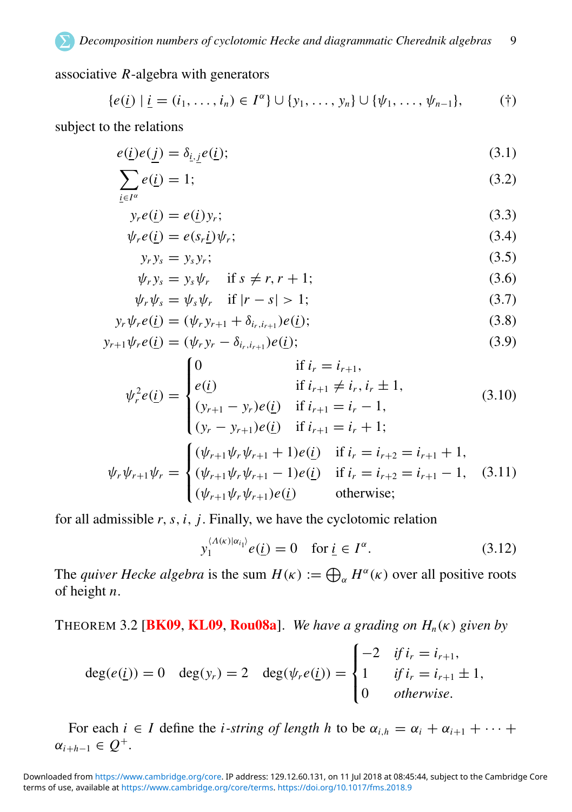<span id="page-9-0"></span>associative *R*-algebra with generators

$$
\{e(\underline{i}) \mid \underline{i} = (i_1, \ldots, i_n) \in I^{\alpha}\} \cup \{y_1, \ldots, y_n\} \cup \{\psi_1, \ldots, \psi_{n-1}\},
$$
 (†)

subject to the relations

$$
e(\underline{i})e(\underline{j}) = \delta_{\underline{i},\underline{j}}e(\underline{i});\tag{3.1}
$$

$$
\sum_{\underline{i} \in I^{\alpha}} e(\underline{i}) = 1; \tag{3.2}
$$

$$
y_r e(\underline{i}) = e(\underline{i}) y_r; \tag{3.3}
$$

$$
\psi_r e(\underline{i}) = e(s_r \underline{i}) \psi_r; \tag{3.4}
$$

$$
y_r y_s = y_s y_r; \tag{3.5}
$$

$$
\psi_r y_s = y_s \psi_r \quad \text{if } s \neq r, r+1; \tag{3.6}
$$

$$
\psi_r \psi_s = \psi_s \psi_r \quad \text{if } |r - s| > 1; \tag{3.7}
$$

$$
y_r \psi_r e(\underline{i}) = (\psi_r y_{r+1} + \delta_{i_r, i_{r+1}}) e(\underline{i}); \tag{3.8}
$$

$$
y_{r+1}\psi_r e(\underline{i}) = (\psi_r y_r - \delta_{i_r, i_{r+1}})e(\underline{i});
$$
\n(3.9)

$$
\psi_r^2 e(\underline{i}) = \begin{cases}\n0 & \text{if } i_r = i_{r+1}, \\
e(\underline{i}) & \text{if } i_{r+1} \neq i_r, i_r \pm 1, \\
(y_{r+1} - y_r)e(\underline{i}) & \text{if } i_{r+1} = i_r - 1, \\
(y_r - y_{r+1})e(\underline{i}) & \text{if } i_{r+1} = i_r + 1; \\
(\psi_r \psi_{r+1} \psi_r \psi_{r+1} + 1)e(\underline{i}) & \text{if } i_r = i_{r+2} = i_{r+1} + 1, \\
(\psi_r \psi_{r+1} \psi_r \psi_{r+1} - 1)e(\underline{i}) & \text{if } i_r = i_{r+2} = i_{r+1} - 1, \\
(\psi_{r+1} \psi_r \psi_{r+1})e(\underline{i}) & \text{otherwise};\n\end{cases}
$$
\n(3.10)

for all admissible *r*,*s*,*i*, *j*. Finally, we have the cyclotomic relation

$$
y_1^{\langle A(\kappa)|\alpha_{i_1}\rangle}e(\underline{i})=0 \quad \text{for } \underline{i}\in I^{\alpha}.\tag{3.12}
$$

The *quiver Hecke algebra* is the sum  $H(\kappa) := \bigoplus_{\alpha} H^{\alpha}(\kappa)$  over all positive roots of height *n*.

THEOREM 3.2 **[[BK09](#page-63-14), [KL09](#page-64-16), [Rou08a](#page-64-17)]**. *We have a grading on*  $H_n(\kappa)$  *given by* 

$$
\deg(e(\underline{i})) = 0 \quad \deg(y_r) = 2 \quad \deg(\psi_r e(\underline{i})) = \begin{cases} -2 & \text{if } i_r = i_{r+1}, \\ 1 & \text{if } i_r = i_{r+1} \pm 1, \\ 0 & \text{otherwise.} \end{cases}
$$

For each  $i \in I$  define the *i*-string of length h to be  $\alpha_{i,h} = \alpha_i + \alpha_{i+1} + \cdots$  $\alpha_{i+h-1} \in Q^+$ .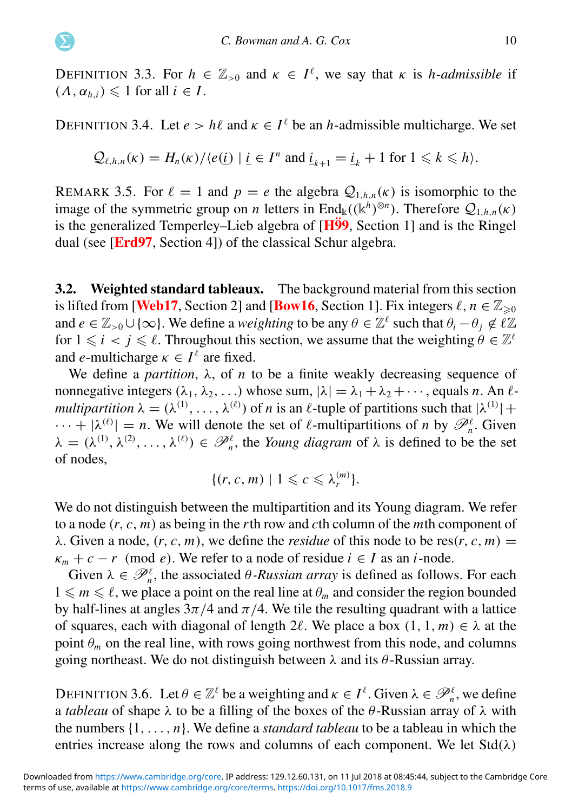DEFINITION 3.3. For  $h \in \mathbb{Z}_{>0}$  and  $\kappa \in I^{\ell}$ , we say that  $\kappa$  is *h*-*admissible* if  $(A, \alpha_{h,i}) \leq 1$  for all  $i \in I$ .

DEFINITION 3.4. Let  $e > h\ell$  and  $\kappa \in I^{\ell}$  be an *h*-admissible multicharge. We set

$$
Q_{\ell,h,n}(\kappa) = H_n(\kappa) / \langle e(i) | i \in I^n \text{ and } i_{k+1} = i_k + 1 \text{ for } 1 \leq k \leq h \rangle.
$$

REMARK 3.5. For  $\ell = 1$  and  $p = e$  the algebra  $\mathcal{Q}_{1,h,n}(\kappa)$  is isomorphic to the image of the symmetric group on *n* letters in End<sub>k</sub>(( $(k^h)^{\otimes n}$ ). Therefore  $Q_{1,h,n}(\kappa)$ is the generalized Temperley–Lieb algebra of  $[H\ddot{9}9,$  Section 1] and is the Ringel dual (see [[Erd97](#page-63-15), Section 4]) of the classical Schur algebra.

3.2. Weighted standard tableaux. The background material from this section is lifted from [[Web17](#page-65-2), Section 2] and [[Bow16](#page-63-12), Section 1]. Fix integers  $\ell, n \in \mathbb{Z}_{\geq 0}$ and  $e \in \mathbb{Z}_{>0} \cup \{\infty\}$ . We define a *weighting* to be any  $\theta \in \mathbb{Z}^{\ell}$  such that  $\theta_i - \theta_j \notin \ell \mathbb{Z}$ for  $1 \leq i < j \leq \ell$ . Throughout this section, we assume that the weighting  $\theta \in \mathbb{Z}^{\ell}$ and *e*-multicharge  $\kappa \in I^{\ell}$  are fixed.

We define a *partition*,  $\lambda$ , of *n* to be a finite weakly decreasing sequence of nonnegative integers  $(\lambda_1, \lambda_2, ...)$  whose sum,  $|\lambda| = \lambda_1 + \lambda_2 + \cdots$ , equals *n*. An  $\ell$ *multipartition*  $\lambda = (\lambda^{(1)}, \dots, \lambda^{(\ell)})$  of *n* is an  $\ell$ -tuple of partitions such that  $|\lambda^{(1)}|$  +  $\cdots + |\lambda^{(\ell)}| = n$ . We will denote the set of  $\ell$ -multipartitions of *n* by  $\mathscr{P}_n^{\ell}$ . Given  $\lambda = (\lambda^{(1)}, \lambda^{(2)}, \dots, \lambda^{(\ell)}) \in \mathcal{P}_n^{\ell}$ , the *Young diagram* of  $\lambda$  is defined to be the set of nodes,

$$
\{(r, c, m) \mid 1 \leqslant c \leqslant \lambda_r^{(m)}\}.
$$

We do not distinguish between the multipartition and its Young diagram. We refer to a node (*r*, *c*, *m*) as being in the *r*th row and *c*th column of the *m*th component of  $\lambda$ . Given a node, (*r*, *c*, *m*), we define the *residue* of this node to be res(*r*, *c*, *m*) =  $\kappa_m + c - r$  (mod *e*). We refer to a node of residue  $i \in I$  as an *i*-node.

Given  $\lambda \in \mathcal{P}_n^{\ell}$ , the associated  $\theta$ -Russian array is defined as follows. For each  $1 \leq m \leq \ell$ , we place a point on the real line at  $\theta_m$  and consider the region bounded by half-lines at angles  $3\pi/4$  and  $\pi/4$ . We tile the resulting quadrant with a lattice of squares, each with diagonal of length 2 $\ell$ . We place a box  $(1, 1, m) \in \lambda$  at the point  $\theta_m$  on the real line, with rows going northwest from this node, and columns going northeast. We do not distinguish between  $\lambda$  and its  $\theta$ -Russian array.

DEFINITION 3.6. Let  $\theta \in \mathbb{Z}^{\ell}$  be a weighting and  $\kappa \in I^{\ell}$ . Given  $\lambda \in \mathcal{P}_n^{\ell}$ , we define a *tableau* of shape  $\lambda$  to be a filling of the boxes of the  $\theta$ -Russian array of  $\lambda$  with the numbers {1, .. . , *n*}. We define a *standard tableau* to be a tableau in which the entries increase along the rows and columns of each component. We let  $Std(\lambda)$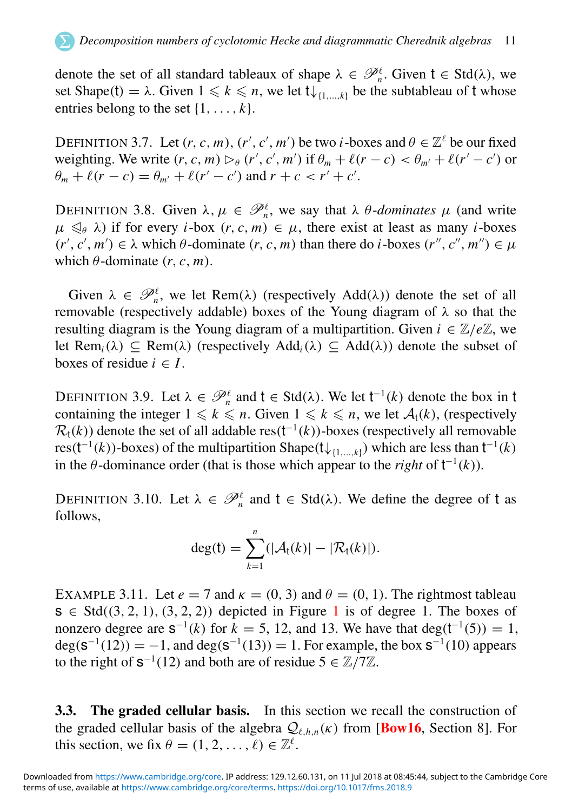denote the set of all standard tableaux of shape  $\lambda \in \mathcal{P}_n^{\ell}$ . Given  $t \in \text{Std}(\lambda)$ , we set Shape(t) =  $\lambda$ . Given  $1 \leq k \leq n$ , we let  $t \downarrow_{\{1,\ldots,k\}}$  be the subtableau of t whose entries belong to the set  $\{1, \ldots, k\}$ .

DEFINITION 3.7. Let  $(r, c, m)$ ,  $(r', c', m')$  be two *i*-boxes and  $\theta \in \mathbb{Z}^{\ell}$  be our fixed weighting. We write  $(r, c, m) \rhd_{\theta} (r', c', m')$  if  $\theta_m + \ell(r - c) < \theta_{m'} + \ell(r' - c')$  or  $\theta_m + \ell(r - c) = \theta_{m'} + \ell(r' - c')$  and  $r + c < r' + c'$ .

<span id="page-11-0"></span>DEFINITION 3.8. Given  $\lambda, \mu \in \mathcal{P}_n^{\ell}$ , we say that  $\lambda$   $\theta$ -*dominates*  $\mu$  (and write  $\mu \leq \beta$   $\lambda$ ) if for every *i*-box  $(r, c, m) \in \mu$ , there exist at least as many *i*-boxes  $(r', c', m') \in \lambda$  which  $\theta$ -dominate  $(r, c, m)$  than there do *i*-boxes  $(r'', c'', m'') \in \mu$ which  $\theta$ -dominate  $(r, c, m)$ .

Given  $\lambda \in \mathcal{P}_n^{\ell}$ , we let Rem( $\lambda$ ) (respectively Add( $\lambda$ )) denote the set of all removable (respectively addable) boxes of the Young diagram of  $\lambda$  so that the resulting diagram is the Young diagram of a multipartition. Given  $i \in \mathbb{Z}/e\mathbb{Z}$ , we let Rem<sub>*i*</sub>( $\lambda$ )  $\subset$  Rem( $\lambda$ ) (respectively Add<sub>*i*</sub>( $\lambda$ )  $\subset$  Add( $\lambda$ )) denote the subset of boxes of residue  $i \in I$ .

DEFINITION 3.9. Let  $\lambda \in \mathcal{P}_n^{\ell}$  and  $t \in \text{Std}(\lambda)$ . We let  $t^{-1}(k)$  denote the box in t containing the integer  $1 \leq k \leq n$ . Given  $1 \leq k \leq n$ , we let  $\mathcal{A}_t(k)$ , (respectively  $\mathcal{R}_t(k)$ ) denote the set of all addable res( $t^{-1}(k)$ )-boxes (respectively all removable res( $t^{-1}(k)$ )-boxes) of the multipartition Shape( $t\downarrow_{\{1,\ldots,k\}}$ ) which are less than  $t^{-1}(k)$ in the  $\theta$ -dominance order (that is those which appear to the *right* of  $t^{-1}(k)$ ).

DEFINITION 3.10. Let  $\lambda \in \mathcal{P}_n^{\ell}$  and  $t \in \text{Std}(\lambda)$ . We define the degree of t as follows,

$$
deg(t) = \sum_{k=1}^n (|\mathcal{A}_t(k)| - |\mathcal{R}_t(k)|).
$$

EXAMPLE 3.11. Let  $e = 7$  and  $\kappa = (0, 3)$  and  $\theta = (0, 1)$ . The rightmost tableau  $s \in Std((3, 2, 1), (3, 2, 2))$  $s \in Std((3, 2, 1), (3, 2, 2))$  $s \in Std((3, 2, 1), (3, 2, 2))$  depicted in Figure 1 is of degree 1. The boxes of nonzero degree are  $S^{-1}(k)$  for  $k = 5$ , 12, and 13. We have that deg( $t^{-1}(5)$ ) = 1,  $deg(s^{-1}(12)) = -1$ , and  $deg(s^{-1}(13)) = 1$ . For example, the box  $s^{-1}(10)$  appears to the right of  $s^{-1}(12)$  and both are of residue  $5 \in \mathbb{Z}/7\mathbb{Z}$ .

3.3. The graded cellular basis. In this section we recall the construction of the graded cellular basis of the algebra  $Q_{\ell,h,n}(\kappa)$  from [**[Bow16](#page-63-12)**, Section 8]. For this section, we fix  $\theta = (1, 2, \dots, \ell) \in \mathbb{Z}^{\ell}$ .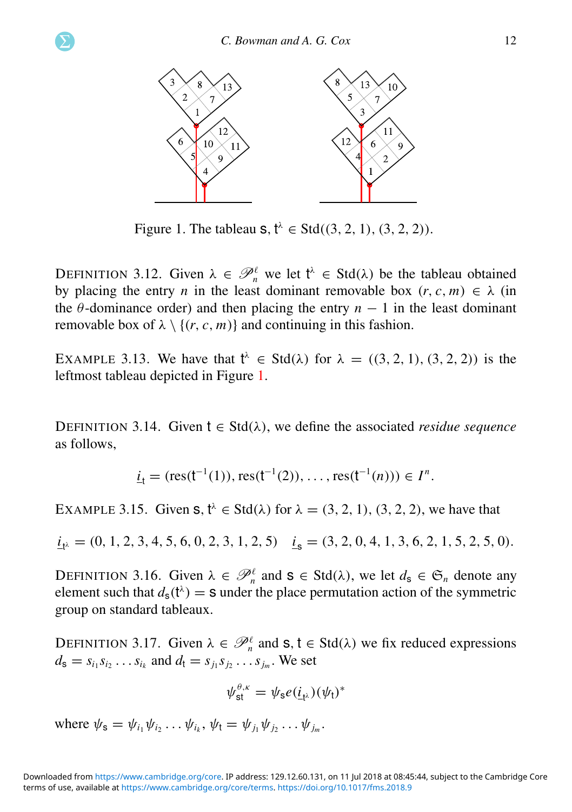<span id="page-12-1"></span>

Figure 1. The tableau  $s, t^{\lambda} \in \text{Std}((3, 2, 1), (3, 2, 2)).$ 

DEFINITION 3.12. Given  $\lambda \in \mathcal{P}_n^{\ell}$  we let  $t^{\lambda} \in \text{Std}(\lambda)$  be the tableau obtained by placing the entry *n* in the least dominant removable box  $(r, c, m) \in \lambda$  (in the  $\theta$ -dominance order) and then placing the entry  $n - 1$  in the least dominant removable box of  $\lambda \setminus \{(r, c, m)\}\$ and continuing in this fashion.

EXAMPLE 3.13. We have that  $t^{\lambda} \in \text{Std}(\lambda)$  for  $\lambda = ((3, 2, 1), (3, 2, 2))$  is the leftmost tableau depicted in Figure [1.](#page-11-0)

DEFINITION 3.14. Given  $t \in \text{Std}(\lambda)$ , we define the associated *residue sequence* as follows,

$$
\underline{i}_t = (res(t^{-1}(1)), res(t^{-1}(2)), \dots, res(t^{-1}(n))) \in I^n.
$$

<span id="page-12-0"></span>EXAMPLE 3.15. Given  $s, t^{\lambda} \in \text{Std}(\lambda)$  for  $\lambda = (3, 2, 1), (3, 2, 2)$ , we have that

$$
\underline{i}_{t^{\lambda}} = (0, 1, 2, 3, 4, 5, 6, 0, 2, 3, 1, 2, 5) \quad \underline{i}_{s} = (3, 2, 0, 4, 1, 3, 6, 2, 1, 5, 2, 5, 0).
$$

DEFINITION 3.16. Given  $\lambda \in \mathcal{P}_n^{\ell}$  and  $s \in \text{Std}(\lambda)$ , we let  $d_s \in \mathfrak{S}_n$  denote any element such that  $d_s(t^{\lambda}) =$  s under the place permutation action of the symmetric group on standard tableaux.

<span id="page-12-2"></span>DEFINITION 3.17. Given  $\lambda \in \mathcal{P}_n^{\ell}$  and  $s, t \in \text{Std}(\lambda)$  we fix reduced expressions  $d_{s} = s_{i_1} s_{i_2} \dots s_{i_k}$  and  $d_{t} = s_{j_1} s_{j_2} \dots s_{j_m}$ . We set

$$
\psi_{\text{st}}^{\theta,\kappa} = \psi_{\text{s}} e(\underline{i}_{t^{\lambda}})(\psi_{t})^{*}
$$

where  $\psi_{s} = \psi_{i_1} \psi_{i_2} \dots \psi_{i_k}, \psi_{t} = \psi_{j_1} \psi_{j_2} \dots \psi_{j_m}.$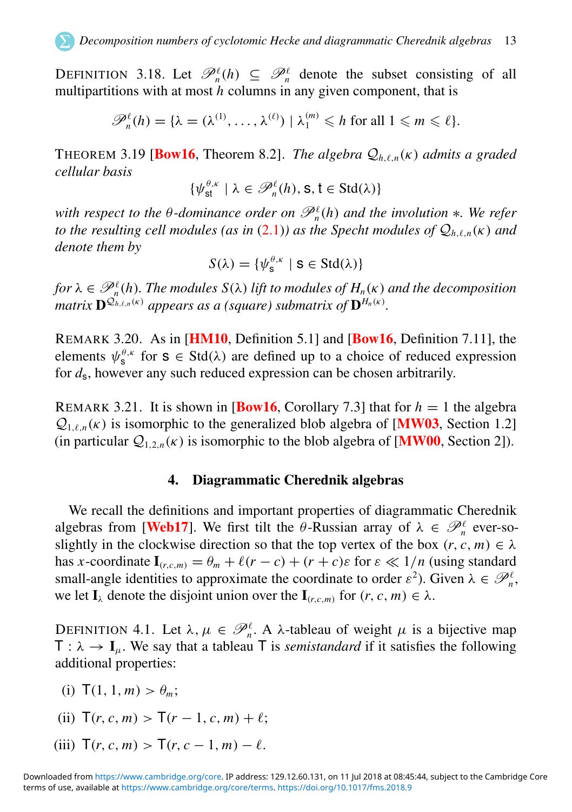DEFINITION 3.18. Let  $\mathcal{P}_n^{\ell}(h) \subseteq \mathcal{P}_n^{\ell}$  denote the subset consisting of all multipartitions with at most *h* columns in any given component, that is

$$
\mathscr{P}_n^{\ell}(h) = \{ \lambda = (\lambda^{(1)}, \ldots, \lambda^{(\ell)}) \mid \lambda_1^{(m)} \leqslant h \text{ for all } 1 \leqslant m \leqslant \ell \}.
$$

THEOREM 3.19 [**[Bow16](#page-63-12)**, Theorem 8.2]. *The algebra*  $Q_{h,\ell,n}(\kappa)$  *admits a graded cellular basis*

$$
\{\psi_{\text{st}}^{\theta,\kappa} \mid \lambda \in \mathscr{P}_n^{\ell}(h), \text{s}, t \in \text{Std}(\lambda)\}\
$$

*with respect to the θ*-dominance order on  $\mathcal{P}_n^{\ell}(h)$  and the involution ∗*. We refer to the resulting cell modules (as in [\(2.1\)](#page-6-0)) as the Specht modules of*  $Q_{h\ell n}(\kappa)$  *and denote them by*

$$
S(\lambda) = \{ \psi_{\mathsf{s}}^{\theta,\kappa} \mid \mathsf{s} \in \text{Std}(\lambda) \}
$$

for  $\lambda \in \mathscr{P}_n^{\ell}(h)$ . The modules  $S(\lambda)$  lift to modules of  $H_n(\kappa)$  and the decomposition *matrix*  $\mathbf{D}^{\mathcal{Q}_{h,\ell,n}(\kappa)}$  appears as a (square) submatrix of  $\mathbf{D}^{H_n(\kappa)}$ .

REMARK 3.20. As in [[HM10](#page-64-14), Definition 5.1] and [[Bow16](#page-63-12), Definition 7.11], the elements  $\psi_s^{\theta,\kappa}$  for  $s \in \text{Std}(\lambda)$  are defined up to a choice of reduced expression for *d*s, however any such reduced expression can be chosen arbitrarily.

REMARK 3.21. It is shown in **[[Bow16](#page-63-12),** Corollary 7.3] that for  $h = 1$  the algebra  $Q_{1\ell n}(k)$  is isomorphic to the generalized blob algebra of [**[MW03](#page-64-19)**, Section 1.2] (in particular  $Q_{1,2,n}(\kappa)$  is isomorphic to the blob algebra of [**[MW00](#page-64-20)**, Section 2]).

#### 4. Diagrammatic Cherednik algebras

We recall the definitions and important properties of diagrammatic Cherednik algebras from [[Web17](#page-65-2)]. We first tilt the  $\theta$ -Russian array of  $\lambda \in \mathcal{P}_n^{\ell}$  ever-soslightly in the clockwise direction so that the top vertex of the box  $(r, c, m) \in \lambda$ has *x*-coordinate  $I_{(r,c,m)} = \theta_m + \ell(r - c) + (r + c)\varepsilon$  for  $\varepsilon \ll 1/n$  (using standard small-angle identities to approximate the coordinate to order  $\varepsilon^2$ ). Given  $\lambda \in \mathcal{P}_n^{\ell}$ , we let  $I_{\lambda}$  denote the disjoint union over the  $I_{(r,c,m)}$  for  $(r, c, m) \in \lambda$ .

<span id="page-13-1"></span><span id="page-13-0"></span>DEFINITION 4.1. Let  $\lambda, \mu \in \mathcal{P}_n^{\ell}$ . A  $\lambda$ -tableau of weight  $\mu$  is a bijective map  $T : \lambda \to I_{\mu}$ . We say that a tableau T is *semistandard* if it satisfies the following additional properties:

- (i)  $T(1, 1, m) > \theta_m$ :
- (ii)  $T(r, c, m) > T(r 1, c, m) + \ell$ ;
- <span id="page-13-2"></span>(iii)  $T(r, c, m) > T(r, c - 1, m) - \ell$ .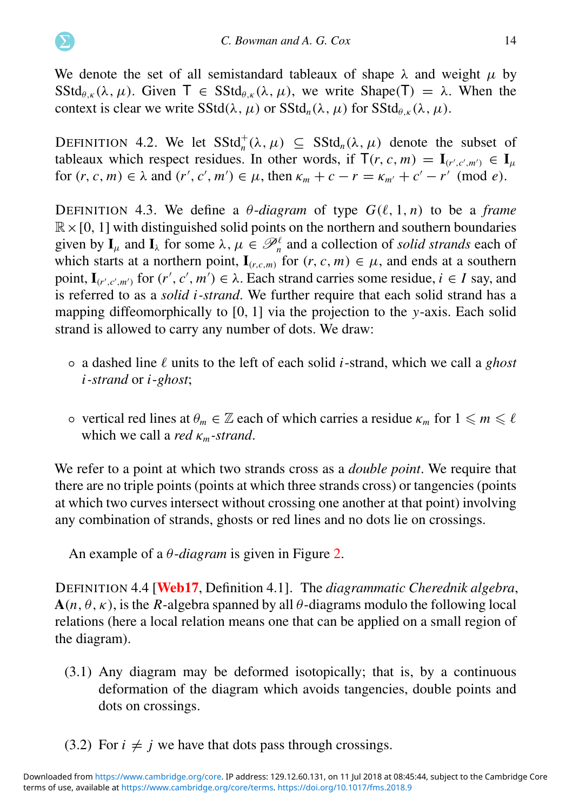We denote the set of all semistandard tableaux of shape  $\lambda$  and weight  $\mu$  by SStd<sub>θκ</sub> (λ, μ). Given  $T \in SStd_{\theta k}(\lambda, \mu)$ , we write Shape(T) = λ. When the context is clear we write  $SStd(\lambda, \mu)$  or  $SStd_n(\lambda, \mu)$  for  $SStd_{\theta, \kappa}(\lambda, \mu)$ .

DEFINITION 4.2. We let  $SStd_n^+(\lambda, \mu) \subseteq SStd_n(\lambda, \mu)$  denote the subset of tableaux which respect residues. In other words, if  $T(r, c, m) = I_{(r', c', m')} \in I_{\mu}$ for  $(r, c, m) \in \lambda$  and  $(r', c', m') \in \mu$ , then  $\kappa_m + c - r = \kappa_{m'} + c' - r' \pmod{e}$ .

<span id="page-14-0"></span>DEFINITION 4.3. We define a  $\theta$ -diagram of type  $G(\ell, 1, n)$  to be a *frame*  $\mathbb{R} \times [0, 1]$  with distinguished solid points on the northern and southern boundaries given by  $I_\mu$  and  $I_\lambda$  for some  $\lambda, \mu \in \mathcal{P}_n^{\ell}$  and a collection of *solid strands* each of which starts at a northern point,  $I_{(r,c,m)}$  for  $(r, c, m) \in \mu$ , and ends at a southern point,  $I_{(r',c',m')}$  for  $(r', c', m') \in \lambda$ . Each strand carries some residue,  $i \in I$  say, and is referred to as a *solid i -strand*. We further require that each solid strand has a mapping diffeomorphically to [0, 1] via the projection to the *y*-axis. Each solid strand is allowed to carry any number of dots. We draw:

- a dashed line ℓ units to the left of each solid *i*-strand, which we call a *ghost i -strand* or *i*-*ghost*;
- $\circ$  vertical red lines at  $\theta_m \in \mathbb{Z}$  each of which carries a residue  $\kappa_m$  for  $1 \leq m \leq \ell$ which we call a *red* κ*m-strand*.

<span id="page-14-2"></span>We refer to a point at which two strands cross as a *double point*. We require that there are no triple points (points at which three strands cross) or tangencies (points at which two curves intersect without crossing one another at that point) involving any combination of strands, ghosts or red lines and no dots lie on crossings.

<span id="page-14-1"></span>An example of a θ-*diagram* is given in Figure [2.](#page-14-0)

DEFINITION 4.4 [[Web17](#page-65-2), Definition 4.1]. The *diagrammatic Cherednik algebra*,  $A(n, \theta, \kappa)$ , is the *R*-algebra spanned by all  $\theta$ -diagrams modulo the following local relations (here a local relation means one that can be applied on a small region of the diagram).

- (3.1) Any diagram may be deformed isotopically; that is, by a continuous deformation of the diagram which avoids tangencies, double points and dots on crossings.
- (3.2) For  $i \neq j$  we have that dots pass through crossings.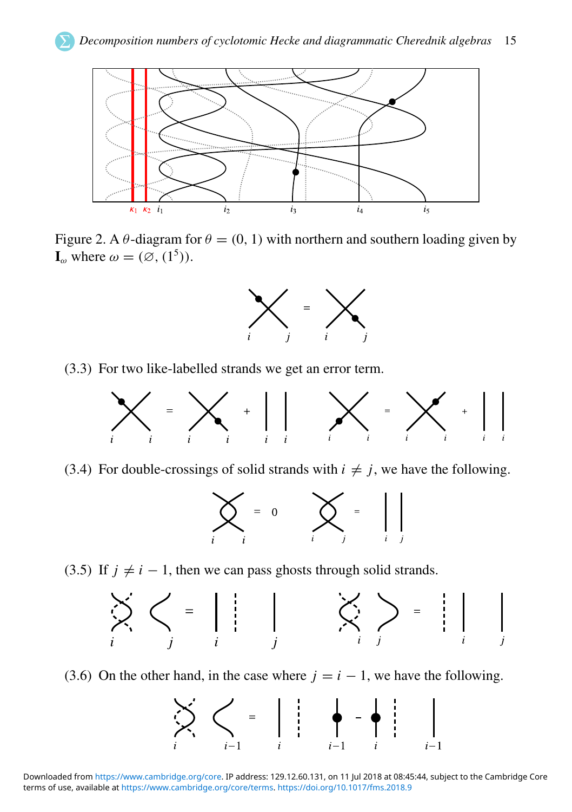

<span id="page-15-2"></span>Figure 2. A  $\theta$ -diagram for  $\theta = (0, 1)$  with northern and southern loading given by  $\mathbf{I}_{\omega}$  where  $\omega = (\emptyset, (1^5)).$ 



<span id="page-15-1"></span><span id="page-15-0"></span>(3.3) For two like-labelled strands we get an error term.



(3.4) For double-crossings of solid strands with  $i \neq j$ , we have the following.



<span id="page-15-3"></span>(3.5) If  $j \neq i - 1$ , then we can pass ghosts through solid strands.



(3.6) On the other hand, in the case where  $j = i - 1$ , we have the following.

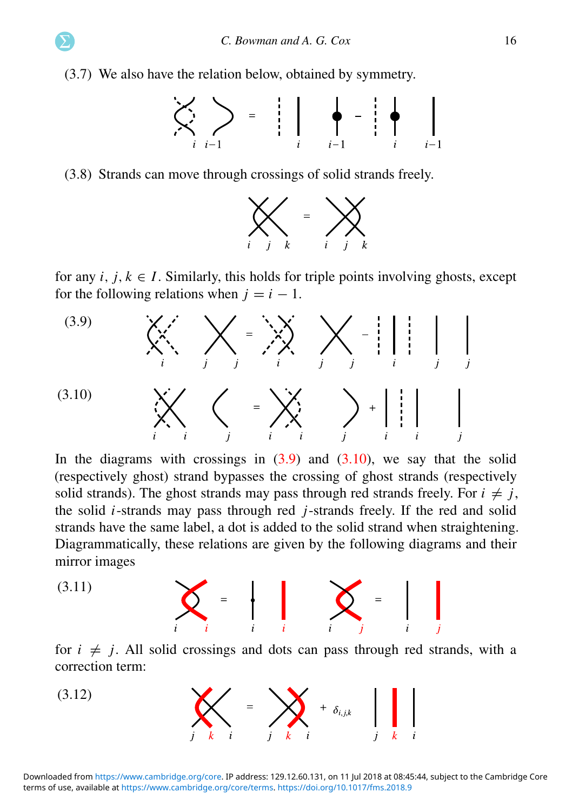<span id="page-16-1"></span>(3.7) We also have the relation below, obtained by symmetry.



<span id="page-16-2"></span>(3.8) Strands can move through crossings of solid strands freely.



for any  $i, j, k \in I$ . Similarly, this holds for triple points involving ghosts, except for the following relations when  $j = i - 1$ .

<span id="page-16-0"></span>

In the diagrams with crossings in  $(3.9)$  and  $(3.10)$ , we say that the solid (respectively ghost) strand bypasses the crossing of ghost strands (respectively solid strands). The ghost strands may pass through red strands freely. For  $i \neq j$ , the solid *i*-strands may pass through red *j*-strands freely. If the red and solid strands have the same label, a dot is added to the solid strand when straightening. Diagrammatically, these relations are given by the following diagrams and their mirror images

$$
(3.11)
$$
\n
$$
\sum_{i} = \begin{bmatrix} \cdot & \cdot & \cdot \\ \cdot & \cdot & \cdot \\ \cdot & \cdot & \cdot \end{bmatrix} \quad \sum_{i} = \begin{bmatrix} \cdot & \cdot & \cdot \\ \cdot & \cdot & \cdot \\ \cdot & \cdot & \cdot \end{bmatrix}
$$

for  $i \neq j$ . All solid crossings and dots can pass through red strands, with a correction term:

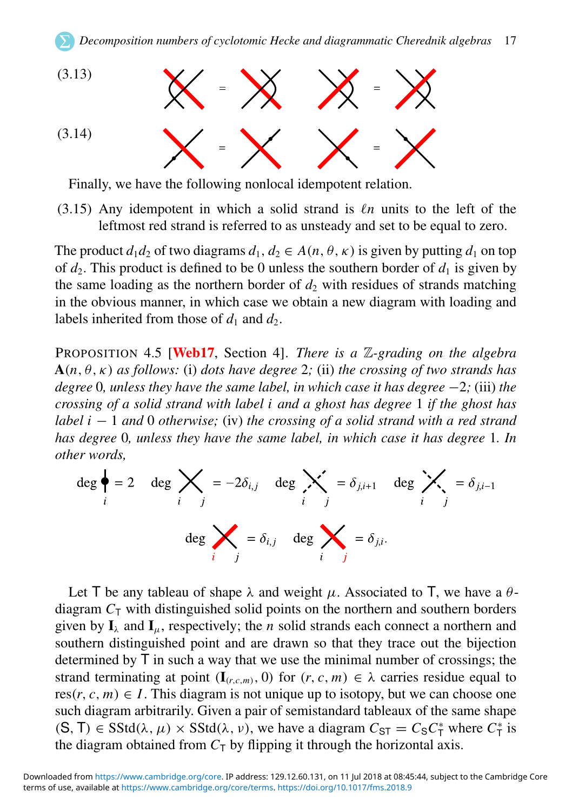

Finally, we have the following nonlocal idempotent relation.

(3.15) Any idempotent in which a solid strand is ℓ*n* units to the left of the leftmost red strand is referred to as unsteady and set to be equal to zero.

<span id="page-17-1"></span>The product  $d_1 d_2$  of two diagrams  $d_1, d_2 \in A(n, \theta, \kappa)$  is given by putting  $d_1$  on top of  $d_2$ . This product is defined to be 0 unless the southern border of  $d_1$  is given by the same loading as the northern border of  $d_2$  with residues of strands matching in the obvious manner, in which case we obtain a new diagram with loading and labels inherited from those of  $d_1$  and  $d_2$ .

PROPOSITION 4.5 [[Web17](#page-65-2), Section 4]. *There is a* Z*-grading on the algebra*  $A(n, \theta, \kappa)$  *as follows:* (i) *dots have degree* 2; (ii) *the crossing of two strands has degree* 0*, unless they have the same label, in which case it has degree* −2*;* (iii) *the crossing of a solid strand with label i and a ghost has degree* 1 *if the ghost has label i* − 1 *and* 0 *otherwise;* (iv) *the crossing of a solid strand with a red strand has degree* 0*, unless they have the same label, in which case it has degree* 1*. In other words,*

<span id="page-17-0"></span>
$$
\deg \bigg\{\n= 2 \quad \deg \bigtimes_{i} = -2\delta_{i,j} \quad \deg \bigtimes_{i} = \delta_{j,i+1} \quad \deg \bigtimes_{j} = \delta_{j,i-1}
$$
\n
$$
\deg \bigtimes_{i} = \delta_{i,j} \quad \deg \bigtimes_{i} = \delta_{j,i}.
$$

Let T be any tableau of shape  $\lambda$  and weight  $\mu$ . Associated to T, we have a  $\theta$ diagram  $C<sub>T</sub>$  with distinguished solid points on the northern and southern borders given by  $I_{\lambda}$  and  $I_{\mu}$ , respectively; the *n* solid strands each connect a northern and southern distinguished point and are drawn so that they trace out the bijection determined by T in such a way that we use the minimal number of crossings; the strand terminating at point  $(I_{(r,c,m)}, 0)$  for  $(r, c, m) \in \lambda$  carries residue equal to res( $r, c, m$ )  $\in I$ . This diagram is not unique up to isotopy, but we can choose one such diagram arbitrarily. Given a pair of semistandard tableaux of the same shape  $(S, T) \in SStd(\lambda, \mu) \times SStd(\lambda, \nu)$ , we have a diagram  $C_{ST} = C_S C_T^*$  where  $C_T^*$  is the diagram obtained from  $C<sub>T</sub>$  by flipping it through the horizontal axis.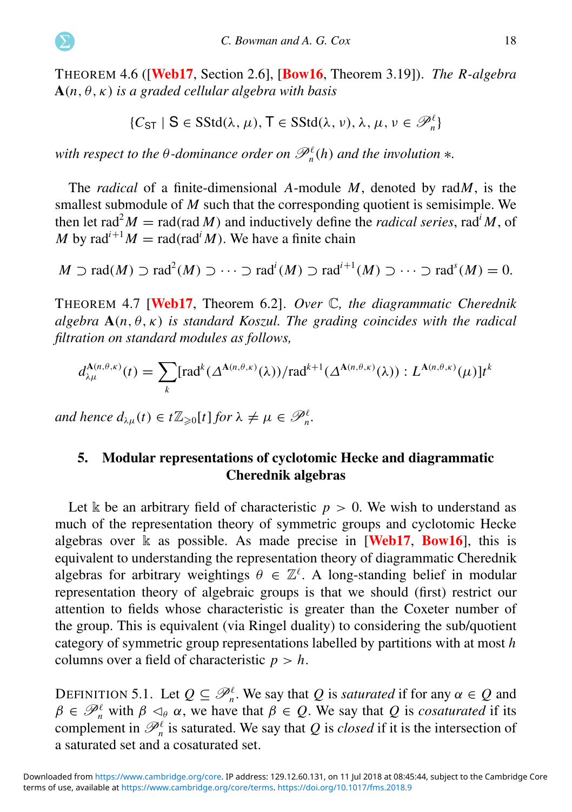<span id="page-18-1"></span>THEOREM 4.6 ([[Web17](#page-65-2), Section 2.6], [[Bow16](#page-63-12), Theorem 3.19]). *The R-algebra* A(*n*, θ,κ) *is a graded cellular algebra with basis*

$$
\{\mathcal{C}_{\text{ST}} \mid S \in \text{SStd}(\lambda, \mu), T \in \text{SStd}(\lambda, \nu), \lambda, \mu, \nu \in \mathscr{P}_\textit{n}^\ell\}
$$

*with respect to the*  $\theta$ *-dominance order on*  $\mathscr{P}_n^{\ell}(h)$  *and the involution*  $*$ *.* 

The *radical* of a finite-dimensional *A*-module *M*, denoted by rad*M*, is the smallest submodule of *M* such that the corresponding quotient is semisimple. We then let rad<sup>2</sup> $M = \text{rad}(\text{rad } M)$  and inductively define the *radical series*, rad<sup>*i*</sup> $M$ , of *M* by rad<sup>*i*+1</sup>*M* = rad(rad<sup>*i*</sup>*M*). We have a finite chain

$$
M \supset \text{rad}(M) \supset \text{rad}^2(M) \supset \cdots \supset \text{rad}^i(M) \supset \text{rad}^{i+1}(M) \supset \cdots \supset \text{rad}^s(M) = 0.
$$

THEOREM 4.7 [[Web17](#page-65-2), Theorem 6.2]. *Over* C*, the diagrammatic Cherednik algebra*  $A(n, \theta, \kappa)$  *is standard Koszul. The grading coincides with the radical filtration on standard modules as follows,*

$$
d_{\lambda\mu}^{\mathbf{A}(n,\theta,\kappa)}(t) = \sum_{k} [\text{rad}^{k}(\Delta^{\mathbf{A}(n,\theta,\kappa)}(\lambda)) / \text{rad}^{k+1}(\Delta^{\mathbf{A}(n,\theta,\kappa)}(\lambda)) : L^{\mathbf{A}(n,\theta,\kappa)}(\mu)] t^{k}
$$

*and hence*  $d_{\lambda\mu}(t) \in t\mathbb{Z}_{\geqslant 0}[t]$  *for*  $\lambda \neq \mu \in \mathscr{P}_n^{\ell}$ .

#### 5. Modular representations of cyclotomic Hecke and diagrammatic Cherednik algebras

Let k be an arbitrary field of characteristic  $p > 0$ . We wish to understand as much of the representation theory of symmetric groups and cyclotomic Hecke algebras over  $\Bbbk$  as possible. As made precise in [[Web17](#page-65-2), [Bow16](#page-63-12)], this is equivalent to understanding the representation theory of diagrammatic Cherednik algebras for arbitrary weightings  $\theta \in \mathbb{Z}^{\ell}$ . A long-standing belief in modular representation theory of algebraic groups is that we should (first) restrict our attention to fields whose characteristic is greater than the Coxeter number of the group. This is equivalent (via Ringel duality) to considering the sub/quotient category of symmetric group representations labelled by partitions with at most *h* columns over a field of characteristic  $p > h$ .

<span id="page-18-0"></span>DEFINITION 5.1. Let  $Q \subseteq \mathcal{P}_n^{\ell}$ . We say that *Q* is *saturated* if for any  $\alpha \in Q$  and  $\beta \in \mathcal{P}_n^{\ell}$  with  $\beta \leq_{\theta} \alpha$ , we have that  $\beta \in \mathcal{Q}$ . We say that  $\mathcal{Q}$  is *cosaturated* if its complement in  $\mathcal{P}_n^{\ell}$  is saturated. We say that *Q* is *closed* if it is the intersection of a saturated set and a cosaturated set.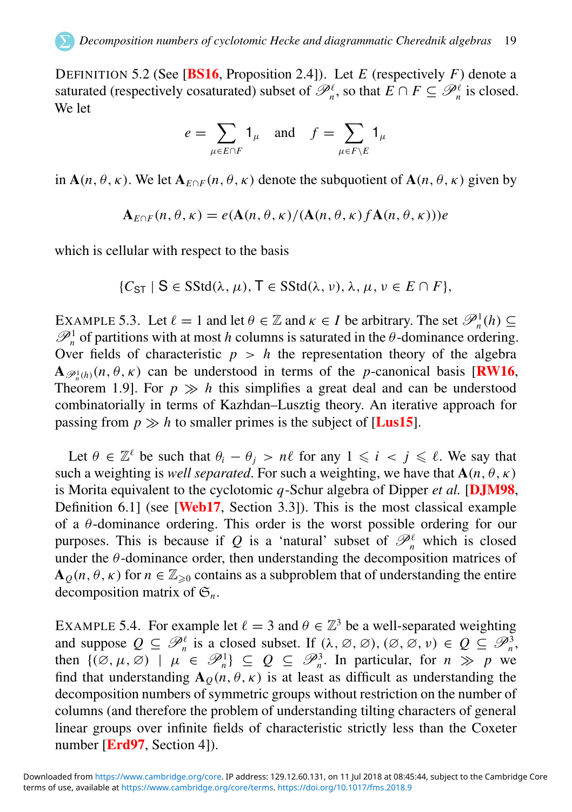DEFINITION 5.2 (See [[BS16](#page-63-8), Proposition 2.4]). Let *E* (respectively *F*) denote a saturated (respectively cosaturated) subset of  $\mathcal{P}_n^{\ell}$ , so that  $E \cap F \subseteq \mathcal{P}_n^{\ell}$  is closed. We let

$$
e = \sum_{\mu \in E \cap F} 1_{\mu} \quad \text{and} \quad f = \sum_{\mu \in F \setminus E} 1_{\mu}
$$

in  $A(n, \theta, \kappa)$ . We let  $A_{F \cap F}(n, \theta, \kappa)$  denote the subquotient of  $A(n, \theta, \kappa)$  given by

$$
\mathbf{A}_{E\cap F}(n,\theta,\kappa)=e(\mathbf{A}(n,\theta,\kappa)/(\mathbf{A}(n,\theta,\kappa)f\mathbf{A}(n,\theta,\kappa)))e
$$

<span id="page-19-0"></span>which is cellular with respect to the basis

$$
\{C_{ST} \mid S \in SStd(\lambda, \mu), T \in SStd(\lambda, \nu), \lambda, \mu, \nu \in E \cap F\},\
$$

<span id="page-19-1"></span>EXAMPLE 5.3. Let  $\ell = 1$  and let  $\theta \in \mathbb{Z}$  and  $\kappa \in I$  be arbitrary. The set  $\mathcal{P}_n^1(h) \subseteq$  $\mathcal{P}_n^1$  of partitions with at most *h* columns is saturated in the  $\theta$ -dominance ordering. Over fields of characteristic  $p > h$  the representation theory of the algebra  $\mathbf{A}_{\mathscr{P}_n^1(h)}(n,\theta,\kappa)$  can be understood in terms of the *p*-canonical basis [**[RW16](#page-65-3)**, Theorem 1.9]. For  $p \gg h$  this simplifies a great deal and can be understood combinatorially in terms of Kazhdan–Lusztig theory. An iterative approach for passing from  $p \gg h$  to smaller primes is the subject of [**[Lus15](#page-64-21)**].

Let  $\theta \in \mathbb{Z}^{\ell}$  be such that  $\theta_i - \theta_j > n\ell$  for any  $1 \leq i \leq j \leq \ell$ . We say that such a weighting is *well separated*. For such a weighting, we have that  $A(n, \theta, \kappa)$ is Morita equivalent to the cyclotomic *q*-Schur algebra of Dipper *et al.* [[DJM98](#page-63-16), Definition 6.1] (see **[[Web17](#page-65-2)**, Section 3.3]). This is the most classical example of a  $\theta$ -dominance ordering. This order is the worst possible ordering for our purposes. This is because if Q is a 'natural' subset of  $\mathcal{P}_n^{\ell}$  which is closed under the  $\theta$ -dominance order, then understanding the decomposition matrices of  $\mathbf{A}_{\theta}(n, \theta, \kappa)$  for  $n \in \mathbb{Z}_{\geq 0}$  contains as a subproblem that of understanding the entire decomposition matrix of  $\mathfrak{S}_n$ .

EXAMPLE 5.4. For example let  $\ell = 3$  and  $\theta \in \mathbb{Z}^3$  be a well-separated weighting and suppose  $Q \subseteq \mathcal{P}_n^{\ell}$  is a closed subset. If  $(\lambda, \emptyset, \emptyset), (\emptyset, \emptyset, \nu) \in Q \subseteq \mathcal{P}_n^3$ , then  $\{(\emptyset, \mu, \emptyset) \mid \mu \in \mathcal{P}_n^1\} \subseteq Q \subseteq \mathcal{P}_n^3$ . In particular, for  $n \gg p$  we find that understanding  $A_{Q}(n, \theta, \kappa)$  is at least as difficult as understanding the decomposition numbers of symmetric groups without restriction on the number of columns (and therefore the problem of understanding tilting characters of general linear groups over infinite fields of characteristic strictly less than the Coxeter number [**[Erd97](#page-63-15)**, Section 4]).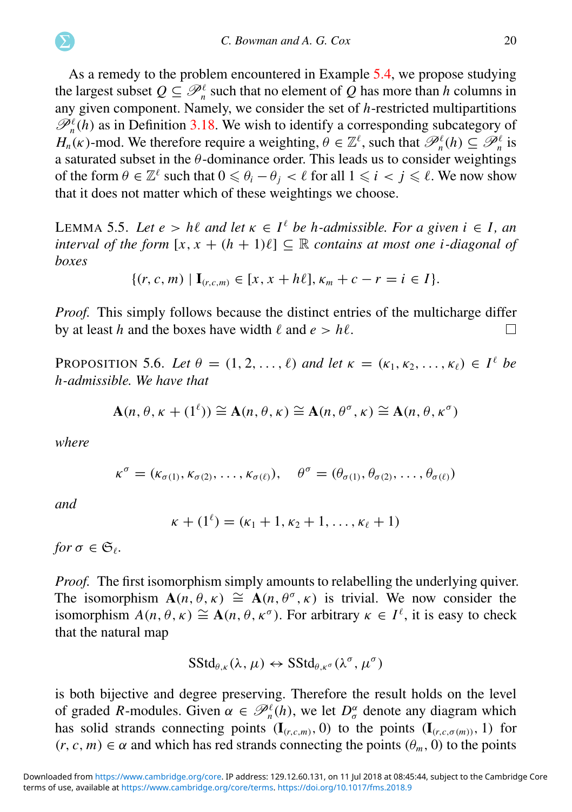As a remedy to the problem encountered in Example [5.4,](#page-18-0) we propose studying the largest subset  $Q \subseteq \mathcal{P}_n^{\ell}$  such that no element of  $Q$  has more than *h* columns in any given component. Namely, we consider the set of *h*-restricted multipartitions  $\mathcal{P}_n^{\ell}(h)$  as in Definition [3.18.](#page-12-1) We wish to identify a corresponding subcategory of *H<sub>n</sub>*(*k*)-mod. We therefore require a weighting,  $\theta \in \mathbb{Z}^{\ell}$ , such that  $\mathcal{P}_n^{\ell}(h) \subseteq \mathcal{P}_n^{\ell}$  is a saturated subset in the  $\theta$ -dominance order. This leads us to consider weightings of the form  $\theta \in \mathbb{Z}^{\ell}$  such that  $0 \le \theta_i - \theta_j < \ell$  for all  $1 \le i < j \le \ell$ . We now show that it does not matter which of these weightings we choose.

<span id="page-20-2"></span>LEMMA 5.5. Let  $e > h\ell$  and let  $\kappa \in I^{\ell}$  be *h*-admissible. For a given  $i \in I$ , an *interval of the form*  $[x, x + (h + 1)\ell] \subseteq \mathbb{R}$  *contains at most one i-diagonal of boxes*

$$
\{(r, c, m) | \mathbf{I}_{(r, c, m)} \in [x, x + h\ell], \kappa_m + c - r = i \in I\}.
$$

*Proof.* This simply follows because the distinct entries of the multicharge differ by at least *h* and the boxes have width  $\ell$  and  $e > h\ell$ . П

PROPOSITION 5.6. *Let*  $\theta = (1, 2, \ldots, \ell)$  *and let*  $\kappa = (\kappa_1, \kappa_2, \ldots, \kappa_\ell) \in I^{\ell}$  *be h-admissible. We have that*

$$
\mathbf{A}(n, \theta, \kappa + (1^{\ell})) \cong \mathbf{A}(n, \theta, \kappa) \cong \mathbf{A}(n, \theta^{\sigma}, \kappa) \cong \mathbf{A}(n, \theta, \kappa^{\sigma})
$$

*where*

$$
\kappa^{\sigma} = (\kappa_{\sigma(1)}, \kappa_{\sigma(2)}, \ldots, \kappa_{\sigma(\ell)}), \quad \theta^{\sigma} = (\theta_{\sigma(1)}, \theta_{\sigma(2)}, \ldots, \theta_{\sigma(\ell)})
$$

*and*

$$
\kappa + (1^{\ell}) = (\kappa_1 + 1, \kappa_2 + 1, \ldots, \kappa_{\ell} + 1)
$$

*for*  $\sigma \in \mathfrak{S}_{\ell}$ .

*Proof.* The first isomorphism simply amounts to relabelling the underlying quiver. The isomorphism  $A(n, \theta, \kappa) \cong A(n, \theta^{\sigma}, \kappa)$  is trivial. We now consider the isomorphism  $A(n, \theta, \kappa) \cong A(n, \theta, \kappa^{\sigma})$ . For arbitrary  $\kappa \in I^{\ell}$ , it is easy to check that the natural map

<span id="page-20-0"></span>
$$
\mathrm{SStd}_{\theta,\kappa}(\lambda,\mu) \leftrightarrow \mathrm{SStd}_{\theta,\kappa^{\sigma}}(\lambda^{\sigma},\mu^{\sigma})
$$

<span id="page-20-1"></span>is both bijective and degree preserving. Therefore the result holds on the level of graded *R*-modules. Given  $\alpha \in \mathcal{P}_n^{\ell}(h)$ , we let  $D_{\sigma}^{\alpha}$  denote any diagram which has solid strands connecting points  $(I_{(r,c,m)}, 0)$  to the points  $(I_{(r,c,\sigma(m))}, 1)$  for  $(r, c, m) \in \alpha$  and which has red strands connecting the points  $(\theta_m, 0)$  to the points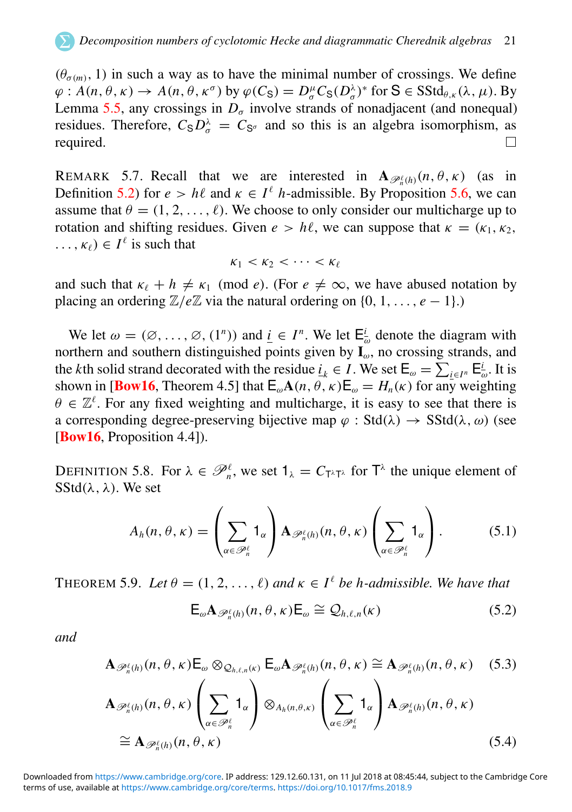$(\theta_{\sigma(m)}, 1)$  in such a way as to have the minimal number of crossings. We define  $\varphi: A(n, \theta, \kappa) \to A(n, \theta, \kappa^{\sigma})$  by  $\varphi(C_{\mathsf{S}}) = D_{\sigma}^{\mu} C_{\mathsf{S}}(D_{\sigma}^{\lambda})^*$  for  $\mathsf{S} \in \mathsf{SStd}_{\theta, \kappa}(\lambda, \mu)$ . By Lemma [5.5,](#page-19-0) any crossings in  $D_{\sigma}$  involve strands of nonadjacent (and nonequal) residues. Therefore,  $C_{\rm S}D_{\sigma}^{\lambda} = C_{\rm S_{\sigma}}$  and so this is an algebra isomorphism, as required.

REMARK 5.7. Recall that we are interested in  $\mathbf{A}_{\mathscr{P}_n^{\ell}(h)}(n,\theta,\kappa)$  (as in Definition [5.2\)](#page-18-1) for  $e > h\ell$  and  $\kappa \in I^{\ell}$  *h*-admissible. By Proposition [5.6,](#page-19-1) we can assume that  $\theta = (1, 2, \dots, \ell)$ . We choose to only consider our multicharge up to rotation and shifting residues. Given  $e > h\ell$ , we can suppose that  $\kappa = (\kappa_1, \kappa_2, \kappa_3)$  $\ldots, \kappa_{\ell} \in I^{\ell}$  is such that

$$
\kappa_1 < \kappa_2 < \cdots < \kappa_\ell
$$

and such that  $\kappa_{\ell} + h \neq \kappa_1 \pmod{e}$ . (For  $e \neq \infty$ , we have abused notation by placing an ordering  $\mathbb{Z}/e\mathbb{Z}$  via the natural ordering on  $\{0, 1, \ldots, e-1\}$ .)

<span id="page-21-0"></span>We let  $\omega = (\emptyset, \dots, \emptyset, (1^n))$  and  $\underline{i} \in I^n$ . We let  $\mathsf{E}_{\omega}^{\underline{i}}$  denote the diagram with northern and southern distinguished points given by  $I_{\omega}$ , no crossing strands, and the *k*th solid strand decorated with the residue  $\underline{i}_k \in I$ . We set  $\mathsf{E}_{\omega} = \sum_{i \in I^n} \mathsf{E}_{\omega}^i$ . It is shown in [**[Bow16](#page-63-12)**, Theorem 4.5] that  $\mathsf{E}_{\omega} \mathbf{A}(n, \theta, \kappa) \mathsf{E}_{\omega} = H_n(\kappa)$  for any weighting  $\theta \in \mathbb{Z}^{\ell}$ . For any fixed weighting and multicharge, it is easy to see that there is a corresponding degree-preserving bijective map  $\varphi$  : Std( $\lambda$ )  $\rightarrow$  SStd( $\lambda$ ,  $\omega$ ) (see [[Bow16](#page-63-12), Proposition 4.4]).

DEFINITION 5.8. For  $\lambda \in \mathcal{P}_n^{\ell}$ , we set  $1_{\lambda} = C_{T^{\lambda}T^{\lambda}}$  for  $T^{\lambda}$  the unique element of  $SStd(\lambda, \lambda)$ . We set

$$
A_h(n,\theta,\kappa) = \left(\sum_{\alpha \in \mathscr{P}_h^{\ell}} \mathbf{1}_{\alpha}\right) \mathbf{A}_{\mathscr{P}_h^{\ell}(h)}(n,\theta,\kappa) \left(\sum_{\alpha \in \mathscr{P}_h^{\ell}} \mathbf{1}_{\alpha}\right). \tag{5.1}
$$

THEOREM 5.9. *Let*  $\theta = (1, 2, ..., \ell)$  and  $\kappa \in I^{\ell}$  be h-admissible. We have that

$$
\mathsf{E}_{\omega} \mathbf{A}_{\mathscr{P}_n^{\ell}(h)}(n,\theta,\kappa) \mathsf{E}_{\omega} \cong \mathcal{Q}_{h,\ell,n}(\kappa) \tag{5.2}
$$

<span id="page-21-1"></span>*and*

$$
\mathbf{A}_{\mathscr{P}_n^{\ell}(h)}(n,\theta,\kappa)\mathsf{E}_{\omega}\otimes_{\mathcal{Q}_{h,\ell,n}(\kappa)}\mathsf{E}_{\omega}\mathbf{A}_{\mathscr{P}_n^{\ell}(h)}(n,\theta,\kappa)\cong\mathbf{A}_{\mathscr{P}_n^{\ell}(h)}(n,\theta,\kappa)\quad(5.3)
$$

$$
\mathbf{A}_{\mathscr{P}_n^{\ell}(h)}(n,\theta,\kappa)\left(\sum_{\alpha\in\mathscr{P}_n^{\ell}}\mathbf{1}_{\alpha}\right)\otimes_{A_h(n,\theta,\kappa)}\left(\sum_{\alpha\in\mathscr{P}_n^{\ell}}\mathbf{1}_{\alpha}\right)\mathbf{A}_{\mathscr{P}_n^{\ell}(h)}(n,\theta,\kappa)
$$
\n
$$
\cong \mathbf{A}_{\mathscr{P}_n^{\ell}(h)}(n,\theta,\kappa) \tag{5.4}
$$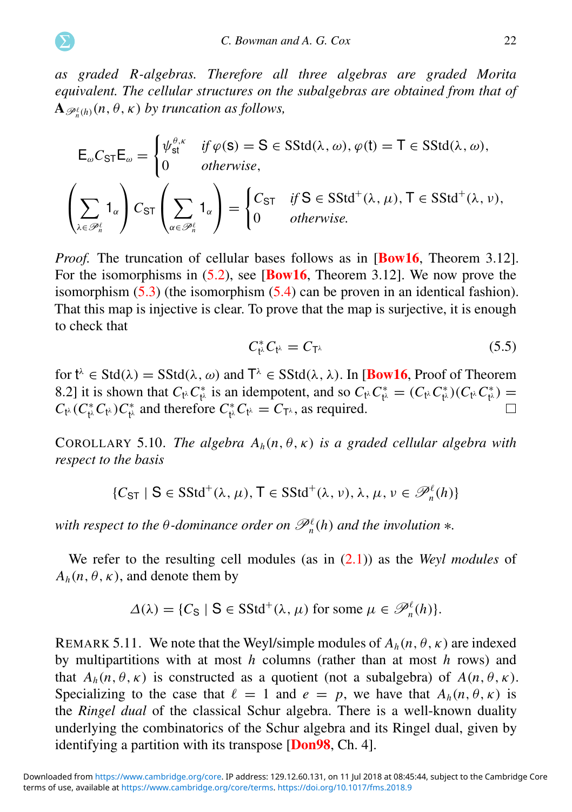*as graded R-algebras. Therefore all three algebras are graded Morita equivalent. The cellular structures on the subalgebras are obtained from that of*  ${\bf A}_{\mathscr{P}_n^{\ell}(h)}(n,\theta,\kappa)$  by truncation as follows,

$$
\mathsf{E}_{\omega}C_{\mathsf{ST}}\mathsf{E}_{\omega} = \begin{cases} \psi_{\mathsf{st}}^{\theta,\kappa} & \text{if } \varphi(\mathsf{s}) = \mathsf{S} \in \mathsf{SStd}(\lambda,\omega), \varphi(\mathsf{t}) = \mathsf{T} \in \mathsf{SStd}(\lambda,\omega), \\ 0 & \text{otherwise,} \end{cases}
$$
\n
$$
\left(\sum_{\lambda \in \mathscr{P}_{n}^{\ell}} \mathbf{1}_{\alpha}\right) C_{\mathsf{ST}}\left(\sum_{\alpha \in \mathscr{P}_{n}^{\ell}} \mathbf{1}_{\alpha}\right) = \begin{cases} C_{\mathsf{ST}} & \text{if } \mathsf{S} \in \mathsf{SStd}^{+}(\lambda,\mu), \mathsf{T} \in \mathsf{SStd}^{+}(\lambda,\nu), \\ 0 & \text{otherwise.} \end{cases}
$$

<span id="page-22-0"></span>*Proof.* The truncation of cellular bases follows as in **[[Bow16](#page-63-12),** Theorem 3.12]. For the isomorphisms in [\(5.2\)](#page-20-0), see [[Bow16](#page-63-12), Theorem 3.12]. We now prove the isomorphism  $(5.3)$  (the isomorphism  $(5.4)$  can be proven in an identical fashion). That this map is injective is clear. To prove that the map is surjective, it is enough to check that

$$
C_{t^{\lambda}}^* C_{t^{\lambda}} = C_{T^{\lambda}}
$$
\n
$$
(5.5)
$$

for  $t^{\lambda} \in \text{Std}(\lambda) = \text{SStd}(\lambda, \omega)$  and  $T^{\lambda} \in \text{SStd}(\lambda, \lambda)$ . In [**[Bow16](#page-63-12)**, Proof of Theorem 8.2] it is shown that  $C_{t}$ <sup>*i*</sup> $C_{t}^{*}$  is an idempotent, and so  $C_{t}$ <sup>*i*</sup> $C_{t}^{*} = (C_{t}$ <sup>*i*</sup> $C_{t}^{*})$  $(C_{t}$ <sup>*i*</sup> $C_{t}^{*}$  $) =$  $\Box$  $C_{t^{\lambda}}(C_{t^{\lambda}}^{*}C_{t^{\lambda}})C_{t^{\lambda}}^{*}$  and therefore  $C_{t^{\lambda}}^{*}C_{t^{\lambda}} = C_{T^{\lambda}}$ , as required.

<span id="page-22-2"></span>COROLLARY 5.10. *The algebra*  $A_h(n, \theta, \kappa)$  *is a graded cellular algebra with respect to the basis*

 $\{C_{\text{ST}} \mid \mathbf{S} \in \text{SStd}^+(\lambda, \mu), \mathbf{T} \in \text{SStd}^+(\lambda, \nu), \lambda, \mu, \nu \in \mathscr{P}_n^{\ell}(h)\}\$ 

*with respect to the*  $\theta$ *-dominance order on*  $\mathscr{P}_n^{\ell}(h)$  *and the involution*  $*$ *.* 

We refer to the resulting cell modules (as in [\(2.1\)](#page-6-0)) as the *Weyl modules* of  $A_h(n, \theta, \kappa)$ , and denote them by

<span id="page-22-1"></span>
$$
\Delta(\lambda) = \{C_{\mathcal{S}} \mid \mathcal{S} \in \mathcal{S} \mathcal{S} \mathcal{t} \mathcal{d}^+(\lambda, \mu) \text{ for some } \mu \in \mathcal{P}_n^{\ell}(h)\}.
$$

REMARK 5.11. We note that the Weyl/simple modules of  $A_h(n, \theta, \kappa)$  are indexed by multipartitions with at most *h* columns (rather than at most *h* rows) and that  $A_h(n, \theta, \kappa)$  is constructed as a quotient (not a subalgebra) of  $A(n, \theta, \kappa)$ . Specializing to the case that  $\ell = 1$  and  $e = p$ , we have that  $A_h(n, \theta, \kappa)$  is the *Ringel dual* of the classical Schur algebra. There is a well-known duality underlying the combinatorics of the Schur algebra and its Ringel dual, given by identifying a partition with its transpose [[Don98](#page-63-17), Ch. 4].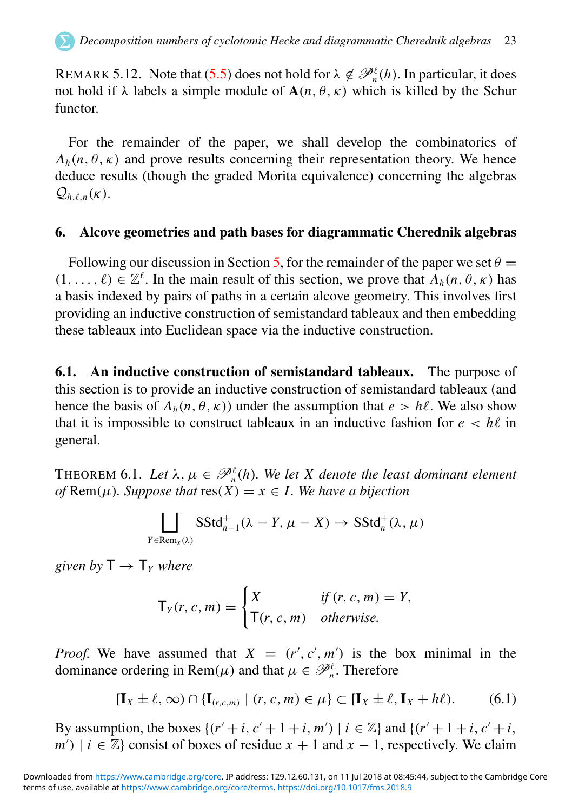REMARK 5.12. Note that [\(5.5\)](#page-21-0) does not hold for  $\lambda \notin \mathcal{P}_n^{\ell}(h)$ . In particular, it does not hold if  $\lambda$  labels a simple module of  $A(n, \theta, \kappa)$  which is killed by the Schur functor.

For the remainder of the paper, we shall develop the combinatorics of  $A_h(n, \theta, \kappa)$  and prove results concerning their representation theory. We hence deduce results (though the graded Morita equivalence) concerning the algebras  $Q_{h\ell n}(k)$ .

#### 6. Alcove geometries and path bases for diagrammatic Cherednik algebras

Following our discussion in Section [5,](#page-17-0) for the remainder of the paper we set  $\theta =$  $(1, \ldots, \ell) \in \mathbb{Z}^{\ell}$ . In the main result of this section, we prove that  $A_h(n, \theta, \kappa)$  has a basis indexed by pairs of paths in a certain alcove geometry. This involves first providing an inductive construction of semistandard tableaux and then embedding these tableaux into Euclidean space via the inductive construction.

6.1. An inductive construction of semistandard tableaux. The purpose of this section is to provide an inductive construction of semistandard tableaux (and hence the basis of  $A_h(n, \theta, \kappa)$  under the assumption that  $e > h\ell$ . We also show that it is impossible to construct tableaux in an inductive fashion for  $e < h\ell$  in general.

THEOREM 6.1. Let  $\lambda, \mu \in \mathscr{P}_n^{\ell}(h)$ . We let X denote the least dominant element *of* Rem( $\mu$ )*. Suppose that*  $res(X) = x \in I$ *. We have a bijection* 

$$
\bigsqcup_{Y \in \text{Rem}_x(\lambda)} \text{SStd}_{n-1}^+(\lambda - Y, \mu - X) \to \text{SStd}_n^+(\lambda, \mu)
$$

*given by*  $T \rightarrow T_Y$  *where* 

$$
\mathsf{T}_{Y}(r,c,m) = \begin{cases} X & \text{if } (r,c,m) = Y, \\ \mathsf{T}(r,c,m) & \text{otherwise.} \end{cases}
$$

*Proof.* We have assumed that  $X = (r', c', m')$  is the box minimal in the dominance ordering in Rem( $\mu$ ) and that  $\mu \in \mathcal{P}_n^{\ell}$ . Therefore

$$
[\mathbf{I}_X \pm \ell, \infty) \cap \{\mathbf{I}_{(r,c,m)} \mid (r, c, m) \in \mu\} \subset [\mathbf{I}_X \pm \ell, \mathbf{I}_X + h\ell). \tag{6.1}
$$

By assumption, the boxes  $\{(r' + i, c' + 1 + i, m') | i \in \mathbb{Z}\}\$  and  $\{(r' + 1 + i, c' + i,$  $m'$ ) | *i*  $\in \mathbb{Z}$ } consist of boxes of residue *x* + 1 and *x* − 1, respectively. We claim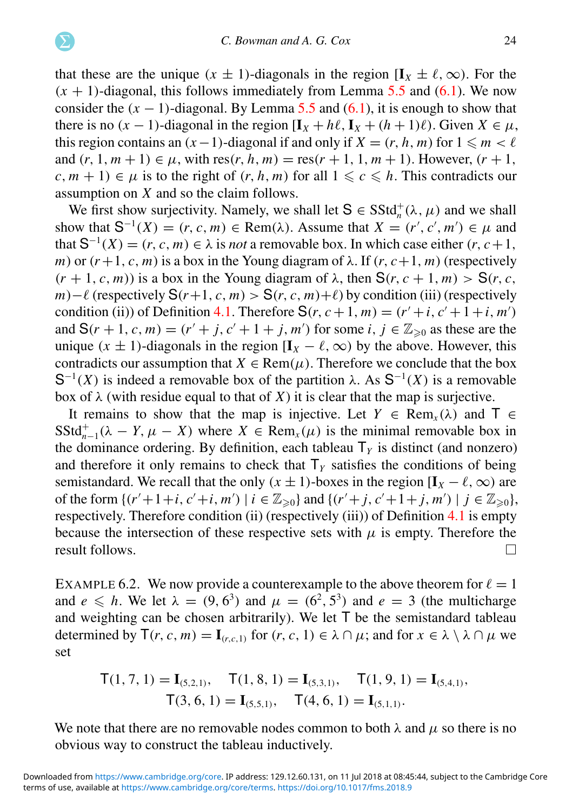that these are the unique  $(x \pm 1)$ -diagonals in the region  $[I_x \pm \ell, \infty)$ . For the  $(x + 1)$ -diagonal, this follows immediately from Lemma [5.5](#page-19-0) and [\(6.1\)](#page-22-1). We now consider the  $(x - 1)$ -diagonal. By Lemma [5.5](#page-19-0) and  $(6.1)$ , it is enough to show that there is no  $(x - 1)$ -diagonal in the region  $[\mathbf{I}_x + h\ell, \mathbf{I}_x + (h + 1)\ell)$ . Given  $X \in \mu$ , this region contains an  $(x-1)$ -diagonal if and only if  $X = (r, h, m)$  for  $1 \le m < \ell$ and  $(r, 1, m + 1) \in \mu$ , with  $res(r, h, m) = res(r + 1, 1, m + 1)$ . However,  $(r + 1,$  $c, m + 1 \in \mu$  is to the right of  $(r, h, m)$  for all  $1 \leq c \leq h$ . This contradicts our assumption on *X* and so the claim follows.

<span id="page-24-0"></span>We first show surjectivity. Namely, we shall let  $S \in SStd_n^+(\lambda, \mu)$  and we shall show that  $S^{-1}(X) = (r, c, m) \in \text{Rem}(\lambda)$ . Assume that  $X = (r', c', m') \in \mu$  and that  $S^{-1}(X) = (r, c, m) \in \lambda$  is *not* a removable box. In which case either  $(r, c+1,$ *m*) or  $(r+1, c, m)$  is a box in the Young diagram of  $\lambda$ . If  $(r, c+1, m)$  (respectively  $(r + 1, c, m)$  is a box in the Young diagram of  $\lambda$ , then  $S(r, c + 1, m) > S(r, c, m)$ *m*)−ℓ (respectively  $S(r+1, c, m) > S(r, c, m)+ℓ$ ) by condition (iii) (respectively condition (ii)) of Definition [4.1.](#page-12-2) Therefore  $S(r, c+1, m) = (r'+i, c'+1+i, m')$ and  $S(r + 1, c, m) = (r' + j, c' + 1 + j, m')$  for some *i*,  $j \in \mathbb{Z}_{\geq 0}$  as these are the unique ( $x \pm 1$ )-diagonals in the region [ $I_x - \ell$ ,  $\infty$ ) by the above. However, this contradicts our assumption that  $X \in \text{Rem}(\mu)$ . Therefore we conclude that the box S<sup>-1</sup>(*X*) is indeed a removable box of the partition  $\lambda$ . As S<sup>-1</sup>(*X*) is a removable box of  $\lambda$  (with residue equal to that of *X*) it is clear that the map is surjective.

It remains to show that the map is injective. Let  $Y \in \text{Rem}_x(\lambda)$  and  $\overline{T} \in$  $SStd_{n-1}^+(\lambda - Y, \mu - X)$  where  $X \in Rem_x(\mu)$  is the minimal removable box in the dominance ordering. By definition, each tableau  $T_Y$  is distinct (and nonzero) and therefore it only remains to check that  $T<sub>y</sub>$  satisfies the conditions of being semistandard. We recall that the only  $(x \pm 1)$ -boxes in the region  $[I_x - \ell, \infty)$  are of the form  $\{(r'+1+i, c'+i, m') \mid i \in \mathbb{Z}_{\geq 0}\}$  and  $\{(r'+j, c'+1+j, m') \mid j \in \mathbb{Z}_{\geq 0}\}$ , respectively. Therefore condition (ii) (respectively (iii)) of Definition [4.1](#page-12-2) is empty because the intersection of these respective sets with  $\mu$  is empty. Therefore the result follows.  $\Box$ 

<span id="page-24-1"></span>EXAMPLE 6.2. We now provide a counterexample to the above theorem for  $\ell = 1$ and  $e \leq h$ . We let  $\lambda = (9, 6^3)$  and  $\mu = (6^2, 5^3)$  and  $e = 3$  (the multicharge and weighting can be chosen arbitrarily). We let T be the semistandard tableau determined by  $\mathsf{T}(r, c, m) = \mathbf{I}_{(r, c, 1)}$  for  $(r, c, 1) \in \lambda \cap \mu$ ; and for  $x \in \lambda \setminus \lambda \cap \mu$  we set

$$
T(1, 7, 1) = I_{(5,2,1)}, \quad T(1, 8, 1) = I_{(5,3,1)}, \quad T(1, 9, 1) = I_{(5,4,1)},
$$

$$
T(3, 6, 1) = I_{(5,5,1)}, \quad T(4, 6, 1) = I_{(5,1,1)}.
$$

We note that there are no removable nodes common to both  $\lambda$  and  $\mu$  so there is no obvious way to construct the tableau inductively.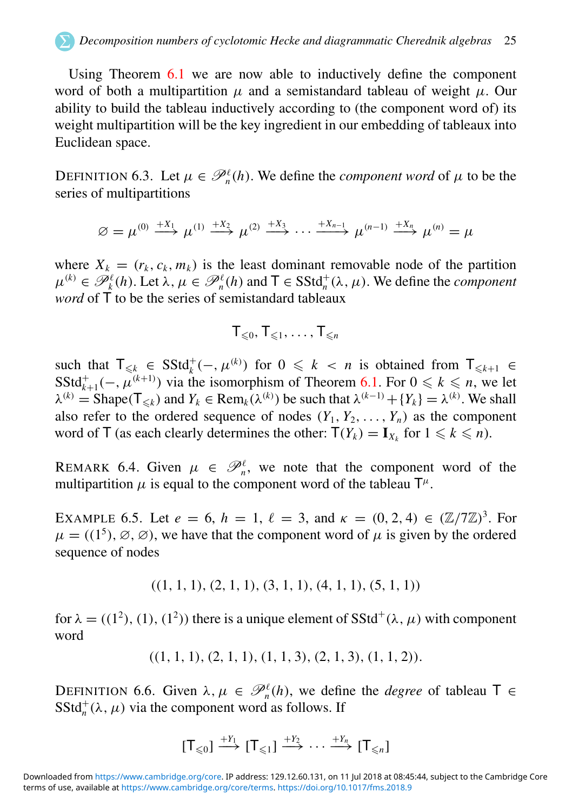#### *Decomposition numbers of cyclotomic Hecke and diagrammatic Cherednik algebras* 25

Using Theorem [6.1](#page-22-2) we are now able to inductively define the component word of both a multipartition  $\mu$  and a semistandard tableau of weight  $\mu$ . Our ability to build the tableau inductively according to (the component word of) its weight multipartition will be the key ingredient in our embedding of tableaux into Euclidean space.

DEFINITION 6.3. Let  $\mu \in \mathcal{P}_n^{\ell}(h)$ . We define the *component word* of  $\mu$  to be the series of multipartitions

$$
\varnothing = \mu^{(0)} \stackrel{+X_1}{\longrightarrow} \mu^{(1)} \stackrel{+X_2}{\longrightarrow} \mu^{(2)} \stackrel{+X_3}{\longrightarrow} \cdots \stackrel{+X_{n-1}}{\longrightarrow} \mu^{(n-1)} \stackrel{+X_n}{\longrightarrow} \mu^{(n)} = \mu
$$

where  $X_k = (r_k, c_k, m_k)$  is the least dominant removable node of the partition  $\mu^{(k)} \in \mathscr{P}_k^{\ell}(h)$ . Let  $\lambda, \mu \in \mathscr{P}_n^{\ell}(h)$  and  $\mathsf{T} \in \text{SStd}_n^+(\lambda, \mu)$ . We define the *component word* of  $\overline{T}$  to be the series of semistandard tableaux

$$
T_{\leqslant 0}, T_{\leqslant 1}, \ldots, T_{\leqslant n}
$$

such that  $\mathsf{T}_{\leq k} \in \mathsf{SStd}^+_k(-, \mu^{(k)})$  for  $0 \leq k < n$  is obtained from  $\mathsf{T}_{\leq k+1} \in$ SStd<sup>+</sup><sub>k+1</sub>(-,  $\mu^{(k+1)}$ ) via the isomorphism of Theorem [6.1.](#page-22-2) For  $0 \le k \le n$ , we let  $\lambda^{(k)}$  = Shape( $\mathsf{T}_{\leq k}$ ) and  $Y_k \in \text{Rem}_k(\lambda^{(k)})$  be such that  $\lambda^{(k-1)} + \{Y_k\} = \lambda^{(k)}$ . We shall also refer to the ordered sequence of nodes  $(Y_1, Y_2, \ldots, Y_n)$  as the component word of T (as each clearly determines the other:  $T(Y_k) = I_{X_k}$  for  $1 \le k \le n$ ).

REMARK 6.4. Given  $\mu \in \mathcal{P}_n^{\ell}$ , we note that the component word of the multipartition  $\mu$  is equal to the component word of the tableau  $\mathsf{T}^{\mu}$ .

EXAMPLE 6.5. Let  $e = 6$ ,  $h = 1$ ,  $\ell = 3$ , and  $\kappa = (0, 2, 4) \in (\mathbb{Z}/7\mathbb{Z})^3$ . For  $\mu = ((1^5), \emptyset, \emptyset)$ , we have that the component word of  $\mu$  is given by the ordered sequence of nodes

<span id="page-25-0"></span> $((1, 1, 1), (2, 1, 1), (3, 1, 1), (4, 1, 1), (5, 1, 1))$ 

for  $\lambda = ((1^2), (1), (1^2))$  there is a unique element of SStd<sup>+</sup>( $\lambda$ ,  $\mu$ ) with component word

$$
((1, 1, 1), (2, 1, 1), (1, 1, 3), (2, 1, 3), (1, 1, 2)).
$$

DEFINITION 6.6. Given  $\lambda, \mu \in \mathcal{P}_n^{\ell}(h)$ , we define the *degree* of tableau  $\mathsf{T} \in$  $SStd<sub>n</sub><sup>+</sup>(\lambda, \mu)$  via the component word as follows. If

$$
[\mathsf{T}_{\leq 0}] \xrightarrow{+Y_1} [\mathsf{T}_{\leq 1}] \xrightarrow{+Y_2} \cdots \xrightarrow{+Y_n} [\mathsf{T}_{\leq n}]
$$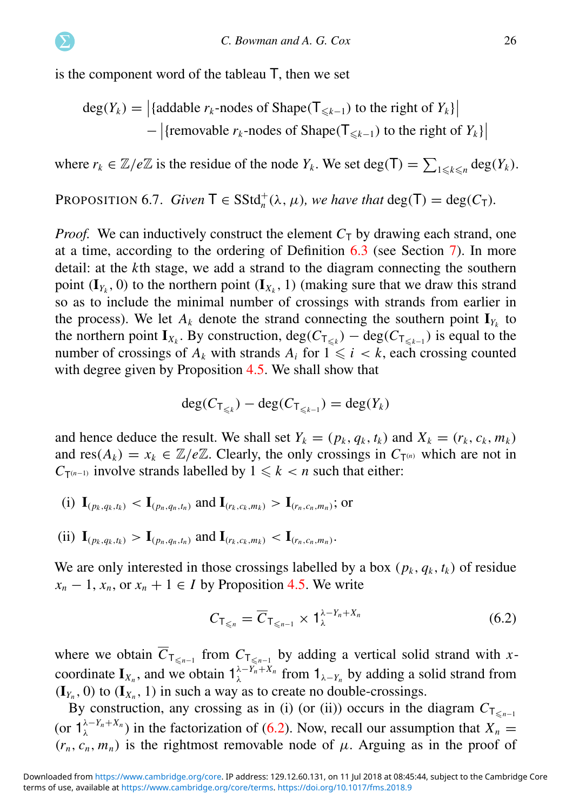is the component word of the tableau T, then we set

<span id="page-26-0"></span>
$$
\deg(Y_k) = |\{\text{addable } r_k\text{-nodes of Shape}(T_{\leq k-1}) \text{ to the right of } Y_k\}|
$$
  
– |{removable } r\_k\text{-nodes of Shape}(T\_{\leq k-1}) \text{ to the right of } Y\_k\}|

where  $r_k \in \mathbb{Z}/e\mathbb{Z}$  is the residue of the node  $Y_k$ . We set deg(T) =  $\sum_{1 \leq k \leq n} deg(Y_k)$ .

PROPOSITION 6.7. *Given*  $T \in SStd_n^+(\lambda, \mu)$ *, we have that* deg( $T$ ) = deg( $C_T$ )*.* 

*Proof.* We can inductively construct the element  $C<sub>T</sub>$  by drawing each strand, one at a time, according to the ordering of Definition [6.3](#page-24-0) (see Section [7\)](#page-34-0). In more detail: at the *k*th stage, we add a strand to the diagram connecting the southern point  $(I_{Y_k}, 0)$  to the northern point  $(I_{X_k}, 1)$  (making sure that we draw this strand so as to include the minimal number of crossings with strands from earlier in the process). We let  $A_k$  denote the strand connecting the southern point  $\mathbf{I}_{Y_k}$  to the northern point  $\mathbf{I}_{X_k}$ . By construction,  $deg(C_{\mathsf{T}_{\leq k}}) - deg(C_{\mathsf{T}_{\leq k-1}})$  is equal to the number of crossings of  $A_k$  with strands  $A_i$  for  $1 \leq i \leq k$ , each crossing counted with degree given by Proposition [4.5.](#page-16-0) We shall show that

$$
\deg(C_{\mathsf{T}_{\leq k}}) - \deg(C_{\mathsf{T}_{\leq k-1}}) = \deg(Y_k)
$$

and hence deduce the result. We shall set  $Y_k = (p_k, q_k, t_k)$  and  $X_k = (r_k, c_k, m_k)$ and  $res(A_k) = x_k \in \mathbb{Z}/e\mathbb{Z}$ . Clearly, the only crossings in  $C_{\tau^{(n)}}$  which are not in  $C_{\mathsf{T}^{(n-1)}}$  involve strands labelled by  $1 \leq k < n$  such that either:

- (i)  $\mathbf{I}_{(p_k, q_k, t_k)} < \mathbf{I}_{(p_n, q_n, t_n)}$  and  $\mathbf{I}_{(r_k, c_k, m_k)} > \mathbf{I}_{(r_n, c_n, m_n)}$ ; or
- (ii)  $\mathbf{I}_{(p_k, q_k, t_k)} > \mathbf{I}_{(p_n, q_n, t_n)}$  and  $\mathbf{I}_{(r_k, c_k, m_k)} < \mathbf{I}_{(r_n, c_n, m_n)}$ .

We are only interested in those crossings labelled by a box  $(p_k, q_k, t_k)$  of residue  $x_n - 1$ ,  $x_n$ , or  $x_n + 1 \in I$  by Proposition [4.5.](#page-16-0) We write

$$
C_{\mathsf{T}_{\leq n}} = \overline{C}_{\mathsf{T}_{\leq n-1}} \times \mathsf{1}_{\lambda}^{\lambda - Y_n + X_n} \tag{6.2}
$$

where we obtain  $C_{\mathsf{T}_{\leq n-1}}$  from  $C_{\mathsf{T}_{\leq n-1}}$  by adding a vertical solid strand with *x*coordinate  $I_{X_n}$ , and we obtain  $1_{\lambda}^{\lambda-Y_n+X_n}$  from  $1_{\lambda-Y_n}$  by adding a solid strand from  $(I_{Y_n}, 0)$  to  $(I_{X_n}, 1)$  in such a way as to create no double-crossings.

By construction, any crossing as in (i) (or (ii)) occurs in the diagram  $C_{\overline{S}_{n-1}}$ (or  $1^{\lambda - Y_n + X_n}_{\lambda}$ ) in the factorization of [\(6.2\)](#page-25-0). Now, recall our assumption that  $X_n =$  $(r_n, c_n, m_n)$  is the rightmost removable node of  $\mu$ . Arguing as in the proof of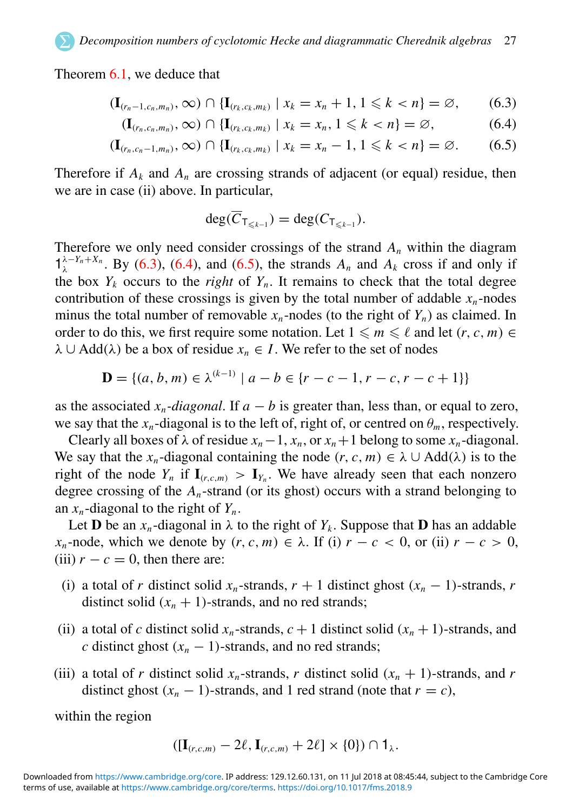Theorem [6.1,](#page-22-2) we deduce that

$$
(\mathbf{I}_{(r_n-1,c_n,m_n)},\infty) \cap \{\mathbf{I}_{(r_k,c_k,m_k)} \mid x_k = x_n+1, 1 \leq k < n\} = \varnothing,\qquad(6.3)
$$

$$
(\mathbf{I}_{(r_n,c_n,m_n)},\infty) \cap \{\mathbf{I}_{(r_k,c_k,m_k)} \mid x_k = x_n, 1 \leq k < n\} = \varnothing,\tag{6.4}
$$

$$
(\mathbf{I}_{(r_n,c_n-1,m_n)},\infty) \cap \{\mathbf{I}_{(r_k,c_k,m_k)} \mid x_k = x_n - 1, 1 \leq k < n\} = \varnothing. \tag{6.5}
$$

<span id="page-27-0"></span>Therefore if  $A_k$  and  $A_n$  are crossing strands of adjacent (or equal) residue, then we are in case (ii) above. In particular,

$$
\deg(\overline{C}_{\mathsf{T}_{\leq k-1}})=\deg(C_{\mathsf{T}_{\leq k-1}}).
$$

Therefore we only need consider crossings of the strand *A<sup>n</sup>* within the diagram  $1^{\lambda - Y_n + X_n}$ . By [\(6.3\)](#page-26-0), [\(6.4\)](#page-26-0), and [\(6.5\)](#page-26-0), the strands  $A_n$  and  $A_k$  cross if and only if the box  $Y_k$  occurs to the *right* of  $Y_n$ . It remains to check that the total degree contribution of these crossings is given by the total number of addable  $x<sub>n</sub>$ -nodes minus the total number of removable  $x_n$ -nodes (to the right of  $Y_n$ ) as claimed. In order to do this, we first require some notation. Let  $1 \le m \le \ell$  and let  $(r, c, m) \in$  $\lambda \cup \text{Add}(\lambda)$  be a box of residue  $x_n \in I$ . We refer to the set of nodes

$$
\mathbf{D} = \{(a, b, m) \in \lambda^{(k-1)} \mid a - b \in \{r - c - 1, r - c, r - c + 1\}\}
$$

(*k*−1)

as the associated  $x_n$ *-diagonal*. If  $a - b$  is greater than, less than, or equal to zero, we say that the  $x_n$ -diagonal is to the left of, right of, or centred on  $\theta_m$ , respectively.

Clearly all boxes of  $\lambda$  of residue  $x_n - 1$ ,  $x_n$ , or  $x_n + 1$  belong to some  $x_n$ -diagonal. We say that the *x<sub>n</sub>*-diagonal containing the node  $(r, c, m) \in \lambda \cup \text{Add}(\lambda)$  is to the right of the node  $Y_n$  if  $\mathbf{I}_{(r,c,m)} > \mathbf{I}_{Y_n}$ . We have already seen that each nonzero degree crossing of the *An*-strand (or its ghost) occurs with a strand belonging to an *xn*-diagonal to the right of *Yn*.

Let **D** be an  $x_n$ -diagonal in  $\lambda$  to the right of  $Y_k$ . Suppose that **D** has an addable *x<sub>n</sub>*-node, which we denote by  $(r, c, m) \in \lambda$ . If (i)  $r - c < 0$ , or (ii)  $r - c > 0$ , (iii)  $r - c = 0$ , then there are:

- (i) a total of *r* distinct solid  $x_n$ -strands,  $r + 1$  distinct ghost  $(x_n 1)$ -strands, *r* distinct solid  $(x_n + 1)$ -strands, and no red strands;
- (ii) a total of *c* distinct solid  $x_n$ -strands,  $c + 1$  distinct solid  $(x_n + 1)$ -strands, and *c* distinct ghost  $(x_n - 1)$ -strands, and no red strands;
- (iii) a total of *r* distinct solid  $x_n$ -strands, *r* distinct solid  $(x_n + 1)$ -strands, and *r* distinct ghost  $(x_n - 1)$ -strands, and 1 red strand (note that  $r = c$ ),

within the region

$$
([\mathbf{I}_{(r,c,m)}-2\ell,\mathbf{I}_{(r,c,m)}+2\ell]\times\{0\})\cap\mathbf{1}_{\lambda}.
$$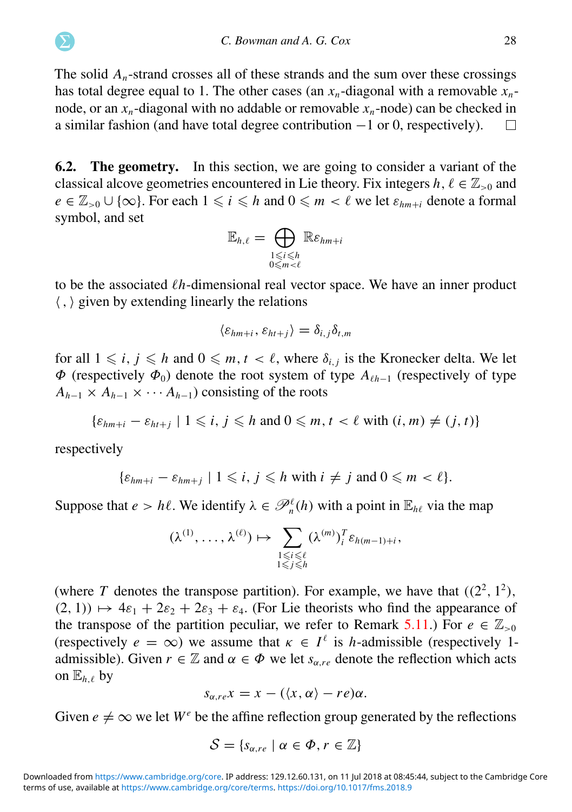The solid  $A_n$ -strand crosses all of these strands and the sum over these crossings has total degree equal to 1. The other cases (an  $x_n$ -diagonal with a removable  $x_n$ node, or an  $x_n$ -diagonal with no addable or removable  $x_n$ -node) can be checked in a similar fashion (and have total degree contribution −1 or 0, respectively).  $\Box$ 

6.2. The geometry. In this section, we are going to consider a variant of the classical alcove geometries encountered in Lie theory. Fix integers  $h, \ell \in \mathbb{Z}_{>0}$  and  $e \in \mathbb{Z}_{>0} \cup \{\infty\}$ . For each  $1 \leq i \leq h$  and  $0 \leq m < \ell$  we let  $\varepsilon_{hm+i}$  denote a formal symbol, and set

$$
\mathbb{E}_{h,\ell} = \bigoplus_{\substack{1 \le i \le h \\ 0 \le m < \ell}} \mathbb{R} \varepsilon_{hm+i}
$$

to be the associated  $\ell h$ -dimensional real vector space. We have an inner product  $\langle , \rangle$  given by extending linearly the relations

$$
\langle \varepsilon_{hm+i}, \varepsilon_{ht+j} \rangle = \delta_{i,j} \delta_{t,m}
$$

for all  $1 \leq i, j \leq h$  and  $0 \leq m, t < \ell$ , where  $\delta_{i,j}$  is the Kronecker delta. We let  $Φ$  (respectively  $Φ_0$ ) denote the root system of type  $A_{\ell h-1}$  (respectively of type  $A_{h-1} \times A_{h-1} \times \cdots A_{h-1}$  consisting of the roots

 $\{\varepsilon_{hm+i} - \varepsilon_{ht+j} \mid 1 \leq i, j \leq h \text{ and } 0 \leq m, t < \ell \text{ with } (i, m) \neq (j, t)\}$ 

respectively

$$
\{\varepsilon_{hm+i}-\varepsilon_{hm+j}\mid 1\leqslant i,\,j\leqslant h\,\,\text{with}\,\,i\neq j\,\,\text{and}\,\,0\leqslant m<\ell\}.
$$

Suppose that  $e > h\ell$ . We identify  $\lambda \in \mathcal{P}_n^{\ell}(h)$  with a point in  $\mathbb{E}_{h\ell}$  via the map

$$
(\lambda^{(1)},\ldots,\lambda^{(\ell)})\mapsto\sum_{\substack{1\leqslant i\leqslant \ell\\ 1\leqslant j\leqslant h}}(\lambda^{(m)})_i^T\varepsilon_{h(m-1)+i},
$$

(where T denotes the transpose partition). For example, we have that  $((2^2, 1^2),$  $(2, 1)$ )  $\mapsto$  4 $\varepsilon_1 + 2\varepsilon_2 + 2\varepsilon_3 + \varepsilon_4$ . (For Lie theorists who find the appearance of the transpose of the partition peculiar, we refer to Remark [5.11.](#page-21-1)) For  $e \in \mathbb{Z}_{>0}$ (respectively  $e = \infty$ ) we assume that  $\kappa \in I^{\ell}$  is *h*-admissible (respectively 1admissible). Given  $r \in \mathbb{Z}$  and  $\alpha \in \Phi$  we let  $s_{\alpha, re}$  denote the reflection which acts on  $\mathbb{E}_{h} \rho$  by

$$
s_{\alpha, re}x = x - (\langle x, \alpha \rangle - re)\alpha.
$$

Given  $e \neq \infty$  we let  $W^e$  be the affine reflection group generated by the reflections

$$
\mathcal{S} = \{s_{\alpha, re} \mid \alpha \in \Phi, r \in \mathbb{Z}\}\
$$

terms of use, available at [https://www.cambridge.org/core/terms.](https://www.cambridge.org/core/terms) <https://doi.org/10.1017/fms.2018.9> Downloaded from [https://www.cambridge.org/core.](https://www.cambridge.org/core) IP address: 129.12.60.131, on 11 Jul 2018 at 08:45:44, subject to the Cambridge Core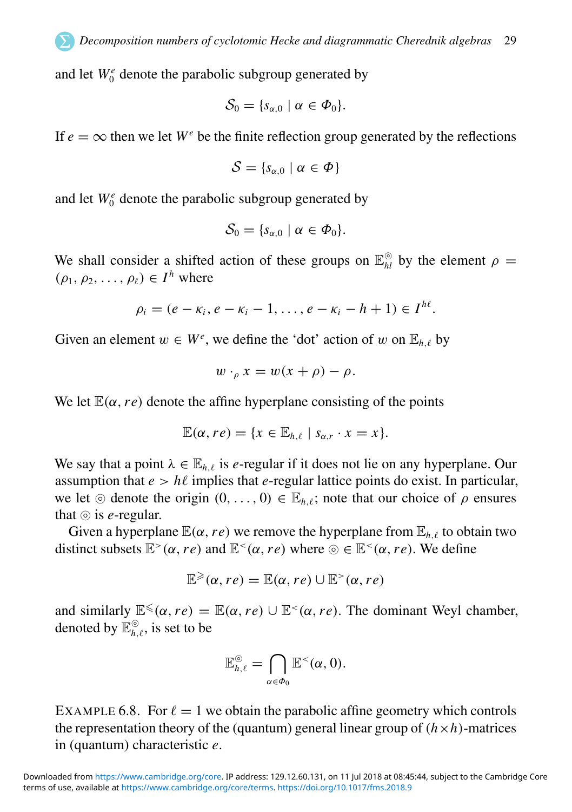and let  $W_0^e$  denote the parabolic subgroup generated by

$$
\mathcal{S}_0 = \{s_{\alpha,0} \mid \alpha \in \Phi_0\}.
$$

If  $e = \infty$  then we let  $W^e$  be the finite reflection group generated by the reflections

$$
\mathcal{S} = \{s_{\alpha,0} \mid \alpha \in \Phi\}
$$

and let  $W_0^e$  denote the parabolic subgroup generated by

$$
\mathcal{S}_0 = \{s_{\alpha,0} \mid \alpha \in \Phi_0\}.
$$

<span id="page-29-0"></span>We shall consider a shifted action of these groups on  $\mathbb{E}_{hl}^{\odot}$  by the element  $\rho =$  $(\rho_1, \rho_2, \ldots, \rho_\ell) \in I^h$  where

$$
\rho_i=(e-\kappa_i,e-\kappa_i-1,\ldots,e-\kappa_i-h+1)\in I^{h\ell}.
$$

Given an element  $w \in W^e$ , we define the 'dot' action of w on  $\mathbb{E}_{h,\ell}$  by

$$
w \cdot_{\rho} x = w(x + \rho) - \rho.
$$

We let  $\mathbb{E}(\alpha, r\epsilon)$  denote the affine hyperplane consisting of the points

$$
\mathbb{E}(\alpha, r e) = \{x \in \mathbb{E}_{h,\ell} \mid s_{\alpha,r} \cdot x = x\}.
$$

We say that a point  $\lambda \in \mathbb{E}_{h,\ell}$  is *e*-regular if it does not lie on any hyperplane. Our assumption that  $e > h\ell$  implies that *e*-regular lattice points do exist. In particular, we let ⊚ denote the origin  $(0, \ldots, 0) \in \mathbb{E}_{h}$ , note that our choice of  $\rho$  ensures that ⊚ is *e*-regular.

Given a hyperplane  $\mathbb{E}(\alpha, r\epsilon)$  we remove the hyperplane from  $\mathbb{E}_{h\ell}$  to obtain two distinct subsets  $\mathbb{E}^>(\alpha, r\epsilon)$  and  $\mathbb{E}^<(\alpha, r\epsilon)$  where  $\odot \in \mathbb{E}^<(\alpha, r\epsilon)$ . We define

$$
\mathbb{E}^{\geqslant}(\alpha, re) = \mathbb{E}(\alpha, re) \cup \mathbb{E}^{>}(\alpha, re)
$$

<span id="page-29-1"></span>and similarly  $\mathbb{E}^{\leq}(\alpha, re) = \mathbb{E}(\alpha, re) \cup \mathbb{E}^{<}(\alpha, re)$ . The dominant Weyl chamber, denoted by  $\mathbb{E}_{h,\ell}^{\circledcirc}$ , is set to be

$$
\mathbb{E}_{h,\ell}^{\odot} = \bigcap_{\alpha \in \Phi_0} \mathbb{E}^{\lt}(\alpha,0).
$$

EXAMPLE 6.8. For  $\ell = 1$  we obtain the parabolic affine geometry which controls the representation theory of the (quantum) general linear group of  $(h \times h)$ -matrices in (quantum) characteristic *e*.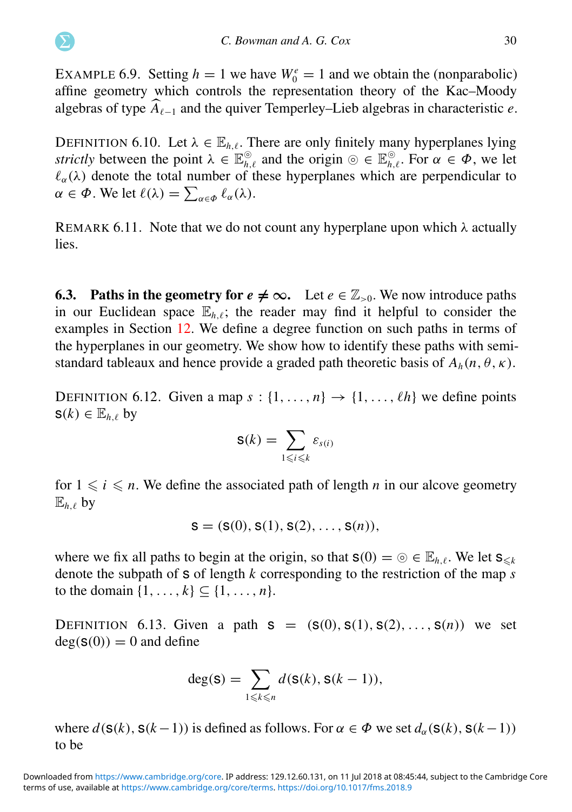EXAMPLE 6.9. Setting  $h = 1$  we have  $W_0^e = 1$  and we obtain the (nonparabolic) affine geometry which controls the representation theory of the Kac–Moody algebras of type  $\widehat{A}_{\ell-1}$  and the quiver Temperley–Lieb algebras in characteristic *e*.

DEFINITION 6.10. Let  $\lambda \in \mathbb{E}_{h,\ell}$ . There are only finitely many hyperplanes lying *strictly* between the point  $\lambda \in \mathbb{E}_{h,\ell}^{\odot}$  and the origin  $\odot \in \mathbb{E}_{h,\ell}^{\odot}$ . For  $\alpha \in \Phi$ , we let  $\ell_{\alpha}(\lambda)$  denote the total number of these hyperplanes which are perpendicular to  $\alpha \in \Phi$ . We let  $\ell(\lambda) = \sum_{\alpha \in \Phi} \ell_{\alpha}(\lambda)$ .

<span id="page-30-0"></span>REMARK 6.11. Note that we do not count any hyperplane upon which  $\lambda$  actually lies.

**6.3. Paths in the geometry for**  $e \neq \infty$ **.** Let  $e \in \mathbb{Z}_{>0}$ . We now introduce paths in our Euclidean space  $\mathbb{E}_{h,\ell}$ ; the reader may find it helpful to consider the examples in Section [12.](#page-59-0) We define a degree function on such paths in terms of the hyperplanes in our geometry. We show how to identify these paths with semistandard tableaux and hence provide a graded path theoretic basis of  $A_h(n, \theta, \kappa)$ .

DEFINITION 6.12. Given a map  $s : \{1, \ldots, n\} \rightarrow \{1, \ldots, \ell h\}$  we define points  $s(k) \in \mathbb{E}_{h}$ , by

$$
\mathsf{S}(k)=\sum_{1\leqslant i\leqslant k}\varepsilon_{s(i)}
$$

for  $1 \leq i \leq n$ . We define the associated path of length *n* in our alcove geometry  $\mathbb{E}_{h,\ell}$  by

$$
s = (s(0), s(1), s(2), \ldots, s(n)),
$$

where we fix all paths to begin at the origin, so that  $s(0) = \circledcirc \in \mathbb{E}_{h,\ell}$ . We let  $s_{\leq k}$ denote the subpath of s of length *k* corresponding to the restriction of the map *s* to the domain  $\{1, ..., k\} \subseteq \{1, ..., n\}.$ 

DEFINITION 6.13. Given a path  $s = (s(0), s(1), s(2), ..., s(n))$  we set  $deg(s(0)) = 0$  and define

$$
\deg(\mathbf{S}) = \sum_{1 \leq k \leq n} d(\mathbf{S}(k), \mathbf{S}(k-1)),
$$

where  $d(s(k), s(k-1))$  is defined as follows. For  $\alpha \in \Phi$  we set  $d_{\alpha}(s(k), s(k-1))$ to be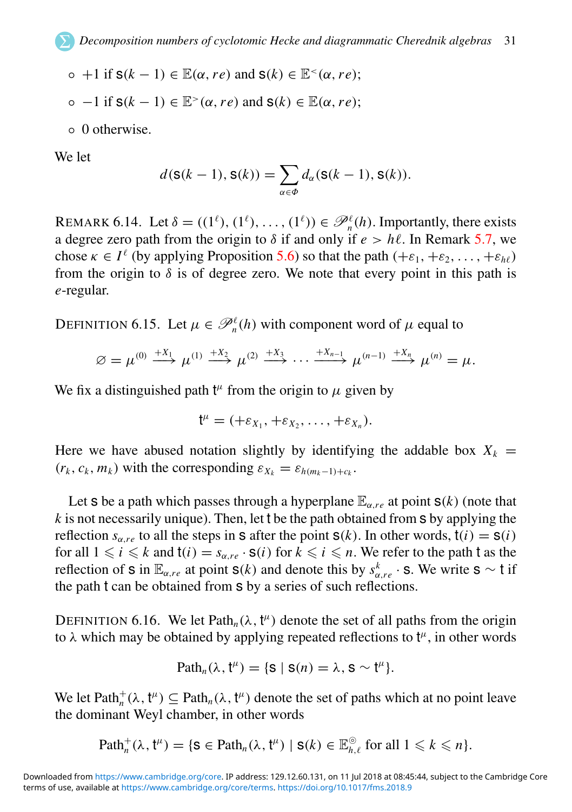- $\circ$  +1 if  $s(k-1) \in \mathbb{E}(\alpha, re)$  and  $s(k) \in \mathbb{E}^{<}(\alpha, re);$
- −1 if s(*k* − 1) ∈ E <sup>&</sup>gt;(α,*re*) and s(*k*) ∈ E(α,*re*);
- 0 otherwise.

We let

$$
d(\mathbf{S}(k-1), \mathbf{S}(k)) = \sum_{\alpha \in \Phi} d_{\alpha}(\mathbf{S}(k-1), \mathbf{S}(k)).
$$

REMARK 6.14. Let  $\delta = ((1^{\ell}), (1^{\ell}), \ldots, (1^{\ell})) \in \mathcal{P}_n^{\ell}(h)$ . Importantly, there exists a degree zero path from the origin to  $\delta$  if and only if  $e > h\ell$ . In Remark [5.7,](#page-20-2) we chose  $\kappa \in I^{\ell}$  (by applying Proposition [5.6\)](#page-19-1) so that the path  $(+\varepsilon_1, +\varepsilon_2, \ldots, +\varepsilon_{h\ell})$ from the origin to  $\delta$  is of degree zero. We note that every point in this path is *e*-regular.

DEFINITION 6.15. Let  $\mu \in \mathcal{P}_n^{\ell}(h)$  with component word of  $\mu$  equal to

$$
\varnothing = \mu^{(0)} \stackrel{+X_1}{\longrightarrow} \mu^{(1)} \stackrel{+X_2}{\longrightarrow} \mu^{(2)} \stackrel{+X_3}{\longrightarrow} \cdots \stackrel{+X_{n-1}}{\longrightarrow} \mu^{(n-1)} \stackrel{+X_n}{\longrightarrow} \mu^{(n)} = \mu.
$$

We fix a distinguished path  $t^{\mu}$  from the origin to  $\mu$  given by

$$
\mathsf{t}^{\mu}=(+\varepsilon_{X_1},+\varepsilon_{X_2},\ldots,+\varepsilon_{X_n}).
$$

Here we have abused notation slightly by identifying the addable box  $X_k$  =  $(r_k, c_k, m_k)$  with the corresponding  $\varepsilon_{X_k} = \varepsilon_{h(m_k-1)+c_k}$ .

<span id="page-31-0"></span>Let **s** be a path which passes through a hyperplane  $\mathbb{E}_{\alpha}$  *re* at point **s**(*k*) (note that *k* is not necessarily unique). Then, let t be the path obtained from s by applying the reflection  $s_{\alpha r e}$  to all the steps in **s** after the point **s**(*k*). In other words,  $t(i) = s(i)$ for all  $1 \le i \le k$  and  $t(i) = s_{\alpha, re} \cdot s(i)$  for  $k \le i \le n$ . We refer to the path t as the reflection of s in  $\mathbb{E}_{\alpha, re}$  at point s(*k*) and denote this by  $s_{\alpha, re}^k \cdot$  s. We write s ~ t if the path t can be obtained from s by a series of such reflections.

DEFINITION 6.16. We let Path<sub>n</sub>( $\lambda$ ,  $t^{\mu}$ ) denote the set of all paths from the origin to  $\lambda$  which may be obtained by applying repeated reflections to  $t^{\mu}$ , in other words

$$
Path_n(\lambda, t^{\mu}) = \{s \mid s(n) = \lambda, s \sim t^{\mu}\}.
$$

We let  $\text{Path}_{n}^{+}(\lambda, t^{\mu}) \subseteq \text{Path}_{n}(\lambda, t^{\mu})$  denote the set of paths which at no point leave the dominant Weyl chamber, in other words

$$
\text{Path}_{n}^{+}(\lambda, \mathfrak{t}^{\mu}) = \{ \mathbf{S} \in \text{Path}_{n}(\lambda, \mathfrak{t}^{\mu}) \mid \mathbf{S}(k) \in \mathbb{E}_{h,\ell}^{\odot} \text{ for all } 1 \leq k \leq n \}.
$$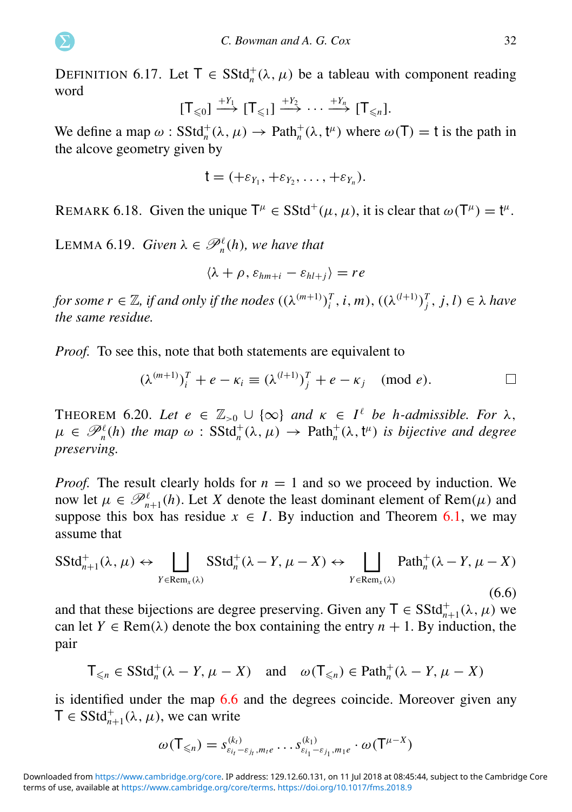DEFINITION 6.17. Let  $T \in SStd_n^+(\lambda, \mu)$  be a tableau with component reading word

$$
[\mathsf{T}_{\leq 0}] \xrightarrow{+Y_1} [\mathsf{T}_{\leq 1}] \xrightarrow{+Y_2} \cdots \xrightarrow{+Y_n} [\mathsf{T}_{\leq n}].
$$

We define a map  $\omega$ :  $SStd_n^+(\lambda, \mu) \to Path_n^+(\lambda, t^\mu)$  where  $\omega(T) = t$  is the path in the alcove geometry given by

$$
t=(+\varepsilon_{Y_1},+\varepsilon_{Y_2},\ldots,+\varepsilon_{Y_n}).
$$

REMARK 6.18. Given the unique  $T^{\mu} \in SStd^{+}(\mu, \mu)$ , it is clear that  $\omega(T^{\mu}) = t^{\mu}$ .

LEMMA 6.19. *Given*  $\lambda \in \mathcal{P}_n^{\ell}(h)$ *, we have that* 

<span id="page-32-0"></span>
$$
\langle \lambda + \rho, \varepsilon_{hm+i} - \varepsilon_{hl+j} \rangle = re
$$

*for some*  $r \in \mathbb{Z}$ *, if and only if the nodes*  $((\lambda^{(m+1)})_i^T, i, m)$ ,  $((\lambda^{(l+1)})_j^T, j, l) \in \lambda$  have *the same residue.*

*Proof.* To see this, note that both statements are equivalent to

$$
(\lambda^{(m+1)})_i^T + e - \kappa_i \equiv (\lambda^{(l+1)})_j^T + e - \kappa_j \pmod{e}.
$$

THEOREM 6.20. *Let*  $e \in \mathbb{Z}_{>0} \cup \{\infty\}$  *and*  $\kappa \in I^{\ell}$  *be h-admissible. For*  $\lambda$ ,  $\mu \in \mathscr{P}_n^{\ell}(h)$  the map  $\omega$ :  $SStd_n^+(\lambda, \mu) \to Path_n^+(\lambda, t^{\mu})$  is bijective and degree *preserving.*

*Proof.* The result clearly holds for  $n = 1$  and so we proceed by induction. We now let  $\mu \in \mathcal{P}_{n+1}^{\ell}(h)$ . Let *X* denote the least dominant element of Rem( $\mu$ ) and suppose this box has residue  $x \in I$ . By induction and Theorem [6.1,](#page-22-2) we may assume that

$$
SStd_{n+1}^{+}(\lambda, \mu) \leftrightarrow \bigsqcup_{Y \in Rem_x(\lambda)} SStd_n^{+}(\lambda - Y, \mu - X) \leftrightarrow \bigsqcup_{Y \in Rem_x(\lambda)} Path_n^{+}(\lambda - Y, \mu - X)
$$
\n(6.6)

and that these bijections are degree preserving. Given any  $T \in SStd_{n+1}^+(\lambda, \mu)$  we can let  $Y \in \text{Rem}(\lambda)$  denote the box containing the entry  $n + 1$ . By induction, the pair

$$
\mathsf{T}_{\leq n} \in \mathrm{SStd}_n^+(\lambda - Y, \mu - X) \quad \text{and} \quad \omega(\mathsf{T}_{\leq n}) \in \mathrm{Path}_n^+(\lambda - Y, \mu - X)
$$

is identified under the map [6.6](#page-31-0) and the degrees coincide. Moreover given any  $\mathsf{T} \in \mathsf{SStd}_{n+1}^+(\lambda, \mu)$ , we can write

$$
\omega(\mathsf{T}_{\leq n})=s_{\varepsilon_{i_l}-\varepsilon_{j_l},m_{l'}}^{(k_l)}\ldots s_{\varepsilon_{i_1}-\varepsilon_{j_1},m_{l'}}^{(k_1)}\cdot \omega(\mathsf{T}^{\mu-X})
$$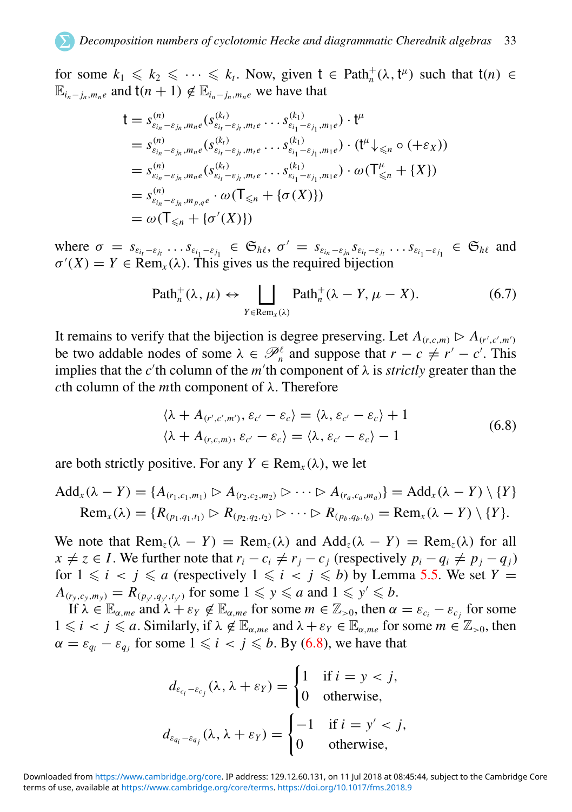for some  $k_1 \leq k_2 \leq \cdots \leq k_t$ . Now, given  $t \in \text{Path}_{n}^{+}(\lambda, t^{\mu})$  such that  $t(n) \in$  $\mathbb{E}_{i_n - j_n, m_n e}$  and  $t(n + 1) \notin \mathbb{E}_{i_n - j_n, m_n e}$  we have that

$$
t = s_{\varepsilon_{i_n} - \varepsilon_{j_n}, m_n e}^{(n)} (s_{\varepsilon_{i_1} - \varepsilon_{j_1}, m_1 e}^{(k_1)} \cdots s_{\varepsilon_{i_1} - \varepsilon_{j_1}, m_1 e}^{(k_1)}) \cdot t^{\mu}
$$
  
\n
$$
= s_{\varepsilon_{i_n} - \varepsilon_{j_n}, m_n e}^{(n)} (s_{\varepsilon_{i_1} - \varepsilon_{j_1}, m_1 e}^{(k_1)} \cdots s_{\varepsilon_{i_1} - \varepsilon_{j_1}, m_1 e}^{(k_1)}) \cdot (t^{\mu} \downarrow \leq n \circ (+\varepsilon_X))
$$
  
\n
$$
= s_{\varepsilon_{i_n} - \varepsilon_{j_n}, m_n e}^{(n)} (s_{\varepsilon_{i_1} - \varepsilon_{j_1}, m_1 e}^{(k_1)} \cdots s_{\varepsilon_{i_1} - \varepsilon_{j_1}, m_1 e}^{(k_1)}) \cdot \omega (T_{\leq n}^{\mu} + \{X\})
$$
  
\n
$$
= s_{\varepsilon_{i_n} - \varepsilon_{j_n}, m_{p,q} e}^{(n)} \cdot \omega (T_{\leq n} + \{\sigma(X)\})
$$
  
\n
$$
= \omega (T_{\leq n} + \{\sigma'(X)\})
$$

<span id="page-33-0"></span>where  $\sigma = s_{\varepsilon_{i_t} - \varepsilon_{j_t}} \dots s_{\varepsilon_{i_1} - \varepsilon_{j_1}} \in \mathfrak{S}_{h\ell}, \sigma' = s_{\varepsilon_{i_n} - \varepsilon_{j_n}} s_{\varepsilon_{i_t} - \varepsilon_{j_t}} \dots s_{\varepsilon_{i_1} - \varepsilon_{j_1}} \in \mathfrak{S}_{h\ell}$  and  $\sigma'(X) = Y \in \text{Rem}_x(\lambda)$ . This gives us the required bijection

$$
\text{Path}_{n}^{+}(\lambda, \mu) \leftrightarrow \bigsqcup_{Y \in \text{Rem}_{x}(\lambda)} \text{Path}_{n}^{+}(\lambda - Y, \mu - X). \tag{6.7}
$$

It remains to verify that the bijection is degree preserving. Let  $A_{(r,c,m)} \triangleright A_{(r',c',m')}$ be two addable nodes of some  $\lambda \in \mathcal{P}_n^{\ell}$  and suppose that  $r - c \neq r' - c'$ . This implies that the  $c'$ <sup>th</sup> column of the  $m'$ <sup>th</sup> component of  $\lambda$  is *strictly* greater than the *c*th column of the *m*th component of λ. Therefore

$$
\langle \lambda + A_{(r',c',m')}, \varepsilon_{c'} - \varepsilon_c \rangle = \langle \lambda, \varepsilon_{c'} - \varepsilon_c \rangle + 1
$$
  

$$
\langle \lambda + A_{(r,c,m)}, \varepsilon_{c'} - \varepsilon_c \rangle = \langle \lambda, \varepsilon_{c'} - \varepsilon_c \rangle - 1
$$
 (6.8)

are both strictly positive. For any  $Y \in \text{Rem}_{r}(\lambda)$ , we let

$$
Add_x(\lambda - Y) = \{A_{(r_1, c_1, m_1)} \triangleright A_{(r_2, c_2, m_2)} \triangleright \cdots \triangleright A_{(r_a, c_a, m_a)}\} = Add_x(\lambda - Y) \setminus \{Y\}
$$
  
\n
$$
Rem_x(\lambda) = \{R_{(p_1, q_1, t_1)} \triangleright R_{(p_2, q_2, t_2)} \triangleright \cdots \triangleright R_{(p_b, q_b, t_b)} = Rem_x(\lambda - Y) \setminus \{Y\}.
$$

We note that  $\text{Rem}_{z}(\lambda - Y) = \text{Rem}_{z}(\lambda)$  and  $\text{Add}_{z}(\lambda - Y) = \text{Rem}_{z}(\lambda)$  for all  $x \neq z \in I$ . We further note that  $r_i - c_i \neq r_i - c_j$  (respectively  $p_i - q_i \neq p_i - q_j$ ) for  $1 \le i \le i \le a$  (respectively  $1 \le i \le j \le b$ ) by Lemma [5.5.](#page-19-0) We set  $Y =$  $A_{(r_y, c_y, m_y)} = R_{(p_{y'}, q_{y'}, t_{y'})}$  for some  $1 \leq y \leq a$  and  $1 \leq y' \leq b$ .

If  $\lambda \in \mathbb{E}_{\alpha,me}$  and  $\lambda + \varepsilon_Y \notin \mathbb{E}_{\alpha,me}$  for some  $m \in \mathbb{Z}_{>0}$ , then  $\alpha = \varepsilon_{c_i} - \varepsilon_{c_j}$  for some  $1 \leq i < j \leq a$ . Similarly, if  $\lambda \notin \mathbb{E}_{\alpha, m}$  and  $\lambda + \varepsilon_Y \in \mathbb{E}_{\alpha, m}$  for some  $m \in \mathbb{Z}_{>0}$ , then  $\alpha = \varepsilon_{q_i} - \varepsilon_{q_j}$  for some  $1 \leq i < j \leq b$ . By [\(6.8\)](#page-32-0), we have that

$$
d_{\varepsilon_{c_i} - \varepsilon_{c_j}}(\lambda, \lambda + \varepsilon_Y) = \begin{cases} 1 & \text{if } i = y < j, \\ 0 & \text{otherwise,} \end{cases}
$$
\n
$$
d_{\varepsilon_{q_i} - \varepsilon_{q_j}}(\lambda, \lambda + \varepsilon_Y) = \begin{cases} -1 & \text{if } i = y' < j, \\ 0 & \text{otherwise,} \end{cases}
$$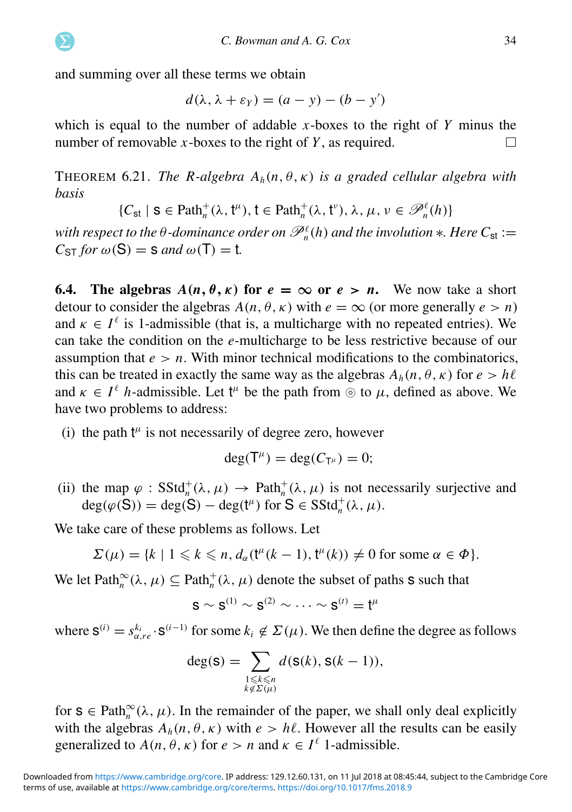<span id="page-34-1"></span>and summing over all these terms we obtain

$$
d(\lambda, \lambda + \varepsilon_Y) = (a - y) - (b - y')
$$

which is equal to the number of addable *x*-boxes to the right of *Y* minus the number of removable *x*-boxes to the right of *Y* , as required.  $\Box$ 

<span id="page-34-2"></span>THEOREM 6.21. *The R-algebra*  $A_h(n, \theta, \kappa)$  *is a graded cellular algebra with basis*

$$
\{C_{st} \mid s \in \text{Path}^+_n(\lambda, t^n), t \in \text{Path}^+_n(\lambda, t^{\nu}), \lambda, \mu, \nu \in \mathcal{P}_n^{\ell}(h)\}
$$

with respect to the  $\theta$ -dominance order on  $\mathscr{P}_n^{\ell}(h)$  and the involution  $*$ . Here  $C_{\text{st}}$   $:=$  $C_{ST}$  *for*  $\omega(S) = S$  *and*  $\omega(T) = t$ *.* 

**6.4.** The algebras  $A(n, \theta, \kappa)$  for  $e = \infty$  or  $e > n$ . We now take a short detour to consider the algebras  $A(n, \theta, \kappa)$  with  $e = \infty$  (or more generally  $e > n$ ) and  $\kappa \in I^{\ell}$  is 1-admissible (that is, a multicharge with no repeated entries). We can take the condition on the *e*-multicharge to be less restrictive because of our assumption that  $e > n$ . With minor technical modifications to the combinatorics, this can be treated in exactly the same way as the algebras  $A_h(n, \theta, \kappa)$  for  $e > h\ell$ and  $\kappa \in I^{\ell}$  *h*-admissible. Let t<sup> $\mu$ </sup> be the path from  $\odot$  to  $\mu$ , defined as above. We have two problems to address:

(i) the path  $t^{\mu}$  is not necessarily of degree zero, however

$$
\deg(\mathsf{T}^{\mu})=\deg(C_{\mathsf{T}^{\mu}})=0;
$$

(ii) the map  $\varphi$  :  $SStd_n^+(\lambda, \mu) \to Path_n^+(\lambda, \mu)$  is not necessarily surjective and  $deg(\varphi(S)) = deg(S) - deg(t^{\mu})$  for  $S \in SStd_n^+(\lambda, \mu)$ .

We take care of these problems as follows. Let

$$
\Sigma(\mu) = \{k \mid 1 \leq k \leq n, d_{\alpha}(\mathfrak{t}^{\mu}(k-1), \mathfrak{t}^{\mu}(k)) \neq 0 \text{ for some } \alpha \in \Phi\}.
$$

<span id="page-34-0"></span>We let Path<sub>n</sub><sup>∞</sup>( $\lambda$ ,  $\mu$ )  $\subseteq$  Path<sub>n</sub><sup>+</sup>( $\lambda$ ,  $\mu$ ) denote the subset of paths **s** such that

$$
\boldsymbol{\mathsf{S}}\sim\boldsymbol{\mathsf{S}}^{(1)}\sim\boldsymbol{\mathsf{S}}^{(2)}\sim\cdots\sim\boldsymbol{\mathsf{S}}^{(t)}=\boldsymbol{\mathsf{t}}^{\mu}
$$

where  $S^{(i)} = s_{\alpha, re}^{k_i} \cdot S^{(i-1)}$  for some  $k_i \notin \Sigma(\mu)$ . We then define the degree as follows

$$
\deg(\mathbf{S}) = \sum_{\substack{1 \leq k \leq n \\ k \notin \Sigma(\mu)}} d(\mathbf{S}(k), \mathbf{S}(k-1)),
$$

for  $s \in \text{Path}_{n}^{\infty}(\lambda, \mu)$ . In the remainder of the paper, we shall only deal explicitly with the algebras  $A_h(n, \theta, \kappa)$  with  $e > h\ell$ . However all the results can be easily generalized to  $A(n, \theta, \kappa)$  for  $e > n$  and  $\kappa \in I^{\ell}$  1-admissible.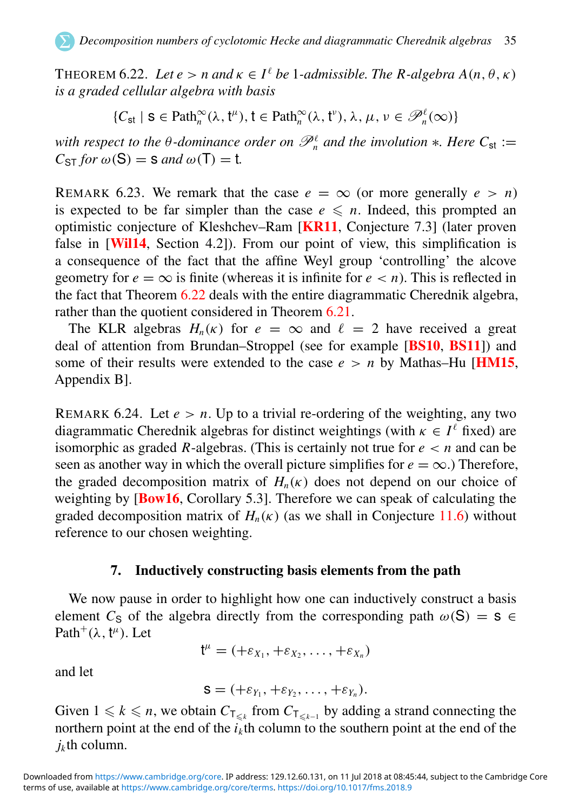THEOREM 6.22. *Let*  $e > n$  *and*  $\kappa \in I^{\ell}$  *be 1-admissible. The R-algebra*  $A(n, \theta, \kappa)$ *is a graded cellular algebra with basis*

$$
\{C_{st} \mid s \in \text{Path}^{\infty}_n(\lambda, t^{\mu}), t \in \text{Path}^{\infty}_n(\lambda, t^{\nu}), \lambda, \mu, \nu \in \mathcal{P}_n^{\ell}(\infty)\}\
$$

*with respect to the*  $\theta$ *-dominance order on*  $\mathscr{P}_n^{\ell}$  *and the involution*  $*$ *. Here*  $C_{st}$  :=  $C_{ST}$  *for*  $\omega(S) = S$  *and*  $\omega(T) = t$ *.* 

REMARK 6.23. We remark that the case  $e = \infty$  (or more generally  $e > n$ ) is expected to be far simpler than the case  $e \leq n$ . Indeed, this prompted an optimistic conjecture of Kleshchev–Ram [[KR11](#page-64-7), Conjecture 7.3] (later proven false in [[Wil14](#page-65-6), Section 4.2]). From our point of view, this simplification is a consequence of the fact that the affine Weyl group 'controlling' the alcove geometry for  $e = \infty$  is finite (whereas it is infinite for  $e < n$ ). This is reflected in the fact that Theorem [6.22](#page-34-1) deals with the entire diagrammatic Cherednik algebra, rather than the quotient considered in Theorem [6.21.](#page-33-0)

<span id="page-35-1"></span>The KLR algebras  $H_n(\kappa)$  for  $e = \infty$  and  $\ell = 2$  have received a great deal of attention from Brundan–Stroppel (see for example [[BS10](#page-63-18), [BS11](#page-63-6)]) and some of their results were extended to the case  $e > n$  by Mathas–Hu [**[HM15](#page-64-6)**, Appendix B].

REMARK 6.24. Let  $e > n$ . Up to a trivial re-ordering of the weighting, any two diagrammatic Cherednik algebras for distinct weightings (with  $\kappa \in I^{\ell}$  fixed) are isomorphic as graded *R*-algebras. (This is certainly not true for  $e \le n$  and can be seen as another way in which the overall picture simplifies for  $e = \infty$ .) Therefore, the graded decomposition matrix of  $H_n(\kappa)$  does not depend on our choice of weighting by [**[Bow16](#page-63-12)**, Corollary 5.3]. Therefore we can speak of calculating the graded decomposition matrix of  $H_n(\kappa)$  (as we shall in Conjecture [11.6\)](#page-58-0) without reference to our chosen weighting.

#### 7. Inductively constructing basis elements from the path

We now pause in order to highlight how one can inductively construct a basis element *C*<sub>S</sub> of the algebra directly from the corresponding path  $\omega(S) = S \in$ Path<sup>+</sup> $(\lambda, t^{\mu})$ . Let

$$
\mathsf{t}^{\mu}=(+\varepsilon_{X_1},+\varepsilon_{X_2},\ldots,+\varepsilon_{X_n})
$$

and let

$$
\mathbf{S}=(+\varepsilon_{Y_1},+\varepsilon_{Y_2},\ldots,+\varepsilon_{Y_n}).
$$

<span id="page-35-0"></span>Given  $1 \leq k \leq n$ , we obtain  $C_{\mathsf{T}_{\leq k}}$  from  $C_{\mathsf{T}_{\leq k-1}}$  by adding a strand connecting the northern point at the end of the  $i_k$ <sup>th</sup> column to the southern point at the end of the *jk* th column.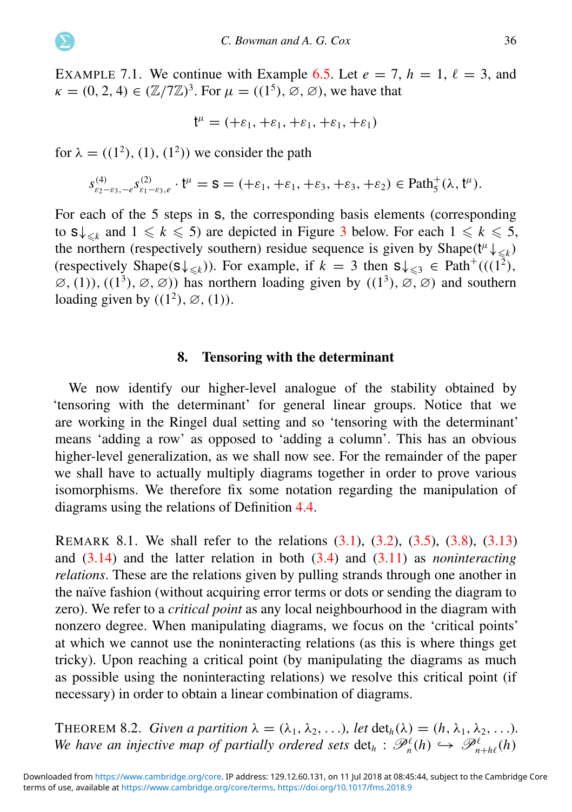EXAMPLE 7.1. We continue with Example [6.5.](#page-24-1) Let  $e = 7$ ,  $h = 1$ ,  $\ell = 3$ , and  $\kappa = (0, 2, 4) \in (\mathbb{Z}/7\mathbb{Z})^3$ . For  $\mu = ((1^5), \emptyset, \emptyset)$ , we have that

$$
t^\mu = (+\epsilon_1, +\epsilon_1, +\epsilon_1, +\epsilon_1, +\epsilon_1)
$$

for  $\lambda = ((1^2), (1), (1^2))$  we consider the path

$$
s^{(4)}_{\epsilon_2-\epsilon_3,-\epsilon} s^{(2)}_{\epsilon_1-\epsilon_3,\epsilon} \cdot {\frak t}^\mu = {\sf S} = (+\epsilon_1, +\epsilon_1, +\epsilon_3, +\epsilon_3, +\epsilon_2) \in \text{Path}^+_5(\lambda, {\frak t}^\mu).
$$

For each of the 5 steps in s, the corresponding basis elements (corresponding to  $s \downarrow_{\leq k}$  and  $1 \leq k \leq 5$ ) are depicted in Figure [3](#page-36-0) below. For each  $1 \leq k \leq 5$ , the northern (respectively southern) residue sequence is given by Shape( $t^{\mu} \downarrow_{\leq k}$ ) (respectively Shape( $s\downarrow_{\leq k}$ )). For example, if  $k = 3$  then  $s\downarrow_{\leq 3} \in \text{Path}^+(((1^2),$  $\varnothing$ , (1)), ((1<sup>3</sup>),  $\varnothing$ ,  $\varnothing$ )) has northern loading given by ((1<sup>3</sup>),  $\varnothing$ ,  $\varnothing$ ) and southern loading given by  $((1^2), \emptyset, (1)).$ 

#### <span id="page-36-0"></span>8. Tensoring with the determinant

We now identify our higher-level analogue of the stability obtained by 'tensoring with the determinant' for general linear groups. Notice that we are working in the Ringel dual setting and so 'tensoring with the determinant' means 'adding a row' as opposed to 'adding a column'. This has an obvious higher-level generalization, as we shall now see. For the remainder of the paper we shall have to actually multiply diagrams together in order to prove various isomorphisms. We therefore fix some notation regarding the manipulation of diagrams using the relations of Definition [4.4.](#page-13-0)

REMARK 8.1. We shall refer to the relations [\(3.1\)](#page-13-1), [\(3.2\)](#page-13-2), [\(3.5\)](#page-14-1), [\(3.8\)](#page-15-2), [\(3.13\)](#page-16-1) and [\(3.14\)](#page-16-2) and the latter relation in both [\(3.4\)](#page-14-2) and [\(3.11\)](#page-15-3) as *noninteracting relations*. These are the relations given by pulling strands through one another in the naïve fashion (without acquiring error terms or dots or sending the diagram to zero). We refer to a *critical point* as any local neighbourhood in the diagram with nonzero degree. When manipulating diagrams, we focus on the 'critical points' at which we cannot use the noninteracting relations (as this is where things get tricky). Upon reaching a critical point (by manipulating the diagrams as much as possible using the noninteracting relations) we resolve this critical point (if necessary) in order to obtain a linear combination of diagrams.

THEOREM 8.2. *Given a partition*  $\lambda = (\lambda_1, \lambda_2, \ldots)$ *, let*  $\det_b(\lambda) = (h, \lambda_1, \lambda_2, \ldots)$ *. We have an injective map of partially ordered sets*  $det_h$  :  $\mathscr{P}_n^{\ell}(h) \hookrightarrow \mathscr{P}_{n+h\ell}^{\ell}(h)$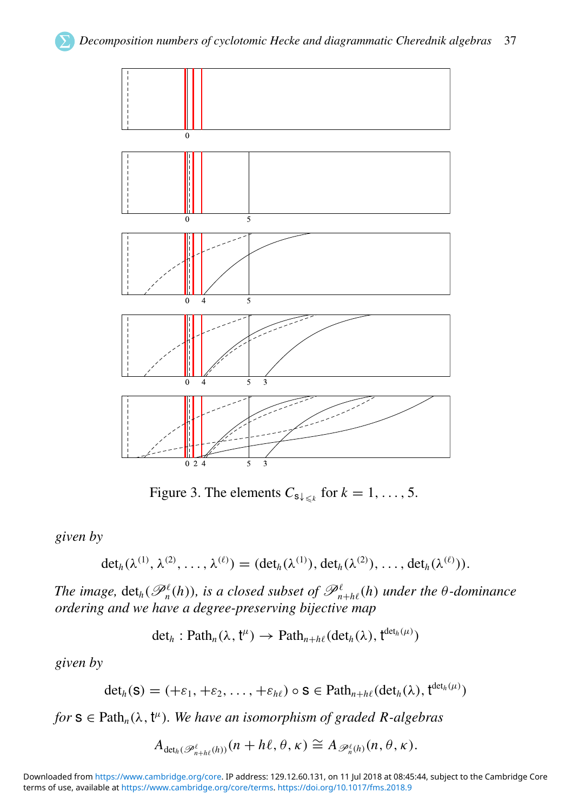

Figure 3. The elements  $C_{s\downarrow s}($  for  $k = 1, ..., 5$ .

*given by*

$$
\det_h(\lambda^{(1)},\lambda^{(2)},\ldots,\lambda^{(\ell)})=(\det_h(\lambda^{(1)}),\det_h(\lambda^{(2)}),\ldots,\det_h(\lambda^{(\ell)})).
$$

*The image,*  $det_h(\mathscr{P}_n^{\ell}(h))$ *, is a closed subset of*  $\mathscr{P}_{n+h\ell}^{\ell}(h)$  *under the*  $\theta$ -dominance *ordering and we have a degree-preserving bijective map*

$$
\det_h: \text{Path}_n(\lambda, \mathfrak{t}^\mu) \to \text{Path}_{n+h\ell}(\text{det}_h(\lambda), \mathfrak{t}^{\text{det}_h(\mu)})
$$

<span id="page-37-0"></span>*given by*

$$
\det_h(\mathbf{S}) = (+\varepsilon_1, +\varepsilon_2, \ldots, +\varepsilon_{h\ell}) \circ \mathbf{S} \in \mathrm{Path}_{n+h\ell}(\det_h(\lambda), \mathbf{t}^{\det_h(\mu)})
$$

 $for s \in \text{Path}_n(\lambda, t^{\mu})$ *. We have an isomorphism of graded R-algebras* 

$$
A_{\det_h(\mathscr{P}_{n+h\ell}^{\ell}(h))}(n+h\ell,\theta,\kappa)\cong A_{\mathscr{P}_{n}^{\ell}(h)}(n,\theta,\kappa).
$$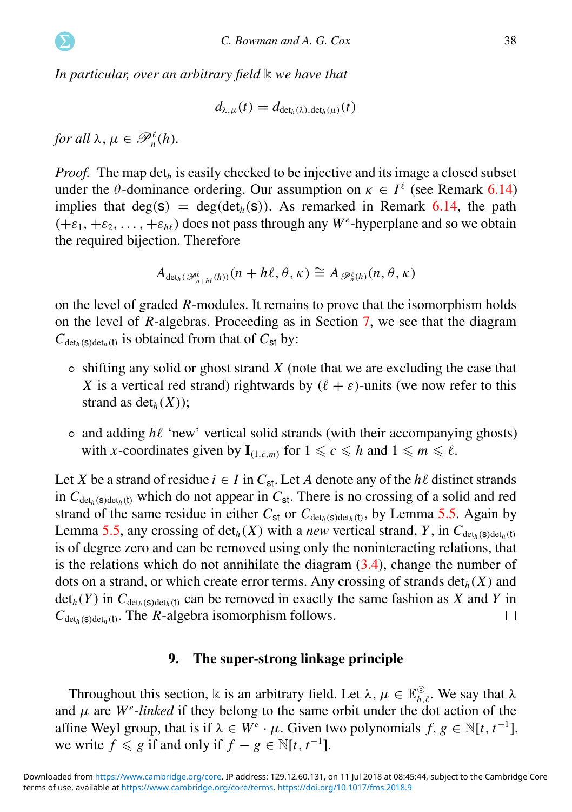<span id="page-38-0"></span>*In particular, over an arbitrary field* **k** *we have that* 

<span id="page-38-2"></span>
$$
d_{\lambda,\mu}(t) = d_{\det_h(\lambda),\det_h(\mu)}(t)
$$

*for all*  $\lambda, \mu \in \mathscr{P}_n^{\ell}(h)$ *.* 

*Proof.* The map det<sub>h</sub> is easily checked to be injective and its image a closed subset under the  $\theta$ -dominance ordering. Our assumption on  $\kappa \in I^{\ell}$  (see Remark [6.14\)](#page-30-0) implies that  $deg(s) = deg(det<sub>h</sub>(s))$ . As remarked in Remark [6.14,](#page-30-0) the path  $(+\varepsilon_1, +\varepsilon_2, \ldots, +\varepsilon_{h\ell})$  does not pass through any  $W^e$ -hyperplane and so we obtain the required bijection. Therefore

$$
A_{\det_h(\mathscr{P}_{n+h\ell}^{\ell}(h))}(n+h\ell,\theta,\kappa)\cong A_{\mathscr{P}_n^{\ell}(h)}(n,\theta,\kappa)
$$

on the level of graded *R*-modules. It remains to prove that the isomorphism holds on the level of *R*-algebras. Proceeding as in Section [7,](#page-34-0) we see that the diagram  $C_{\det_h(s)\det_h(t)}$  is obtained from that of  $C_{st}$  by:

- shifting any solid or ghost strand *X* (note that we are excluding the case that *X* is a vertical red strand) rightwards by  $(\ell + \varepsilon)$ -units (we now refer to this strand as  $det_h(X)$ ;
- and adding *h*ℓ 'new' vertical solid strands (with their accompanying ghosts) with *x*-coordinates given by  $\mathbf{I}_{(1,c,m)}$  for  $1 \leq c \leq h$  and  $1 \leq m \leq l$ .

Let *X* be a strand of residue  $i \in I$  in  $C_{st}$ . Let *A* denote any of the *h* $\ell$  distinct strands in  $C_{\det_h(s)\det_h(t)}$  which do not appear in  $C_{st}$ . There is no crossing of a solid and red strand of the same residue in either  $C_{st}$  or  $C_{det_h(s)det_h(t)}$ , by Lemma [5.5.](#page-19-0) Again by Lemma [5.5,](#page-19-0) any crossing of  $\det_h(X)$  with a *new* vertical strand, *Y*, in  $C_{\det(h)}$ is of degree zero and can be removed using only the noninteracting relations, that is the relations which do not annihilate the diagram  $(3.4)$ , change the number of dots on a strand, or which create error terms. Any crossing of strands  $det<sub>h</sub>(X)$  and  $det_h(Y)$  in  $C_{det_h(s)det_h(t)}$  can be removed in exactly the same fashion as *X* and *Y* in  $C_{\det_h(s)\det_h(t)}$ . The *R*-algebra isomorphism follows. П

#### 9. The super-strong linkage principle

<span id="page-38-1"></span>Throughout this section, k is an arbitrary field. Let  $\lambda, \mu \in \mathbb{E}_{h,\ell}^{\circ}$ . We say that  $\lambda$ and  $\mu$  are  $W^e$ -*linked* if they belong to the same orbit under the dot action of the affine Weyl group, that is if  $\lambda \in W^e \cdot \mu$ . Given two polynomials  $f, g \in \mathbb{N}[t, t^{-1}]$ , we write  $f \le g$  if and only if  $f - g \in \mathbb{N}[t, t^{-1}]$ .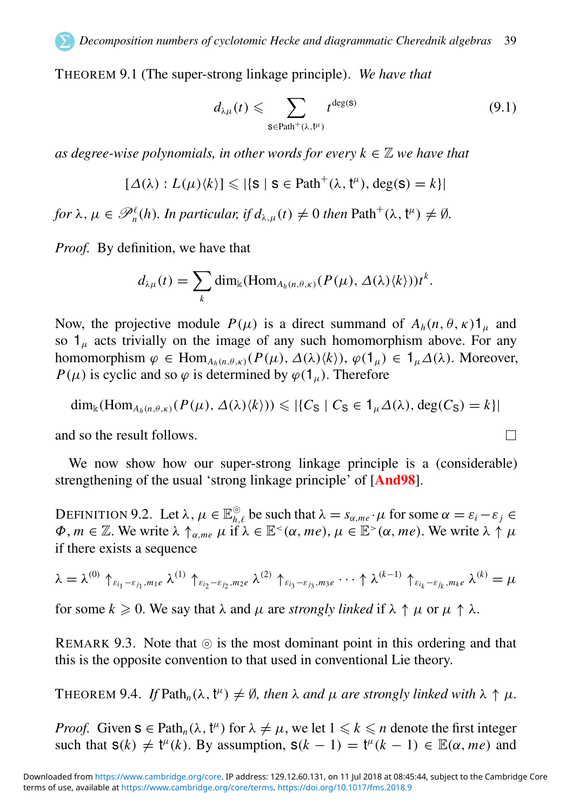THEOREM 9.1 (The super-strong linkage principle). *We have that*

$$
d_{\lambda\mu}(t) \leqslant \sum_{\mathbf{s}\in \text{Path}^+(\lambda, t^{\mu})} t^{\deg(\mathbf{s})} \tag{9.1}
$$

 $\Box$ 

*as degree-wise polynomials, in other words for every*  $k \in \mathbb{Z}$  *we have that* 

$$
[\Delta(\lambda): L(\mu)\langle k \rangle] \leqslant |\{\mathbf{S} \mid \mathbf{S} \in \mathrm{Path}^+(\lambda, \mathbf{t}^\mu), \deg(\mathbf{S}) = k\}|
$$

for  $\lambda, \mu \in \mathscr{P}_n^{\ell}(h)$ . In particular, if  $d_{\lambda,\mu}(t) \neq 0$  then  $\text{Path}^+(\lambda, \mathfrak{k}^{\mu}) \neq \emptyset$ .

*Proof.* By definition, we have that

$$
d_{\lambda\mu}(t) = \sum_{k} \dim_{\mathbb{k}}(\mathrm{Hom}_{A_{h}(n,\theta,\kappa)}(P(\mu),\Delta(\lambda)\langle k\rangle))t^{k}.
$$

<span id="page-39-0"></span>Now, the projective module  $P(\mu)$  is a direct summand of  $A_h(n, \theta, \kappa)$ <sup>1</sup><sub>u</sub> and so  $1<sub>u</sub>$  acts trivially on the image of any such homomorphism above. For any homomorphism  $\varphi \in \text{Hom}_{A_h(n,\theta,\kappa)}(P(\mu), \Delta(\lambda)\langle k\rangle), \varphi(1_\mu) \in 1_\mu \Delta(\lambda)$ . Moreover, *P*( $\mu$ ) is cyclic and so  $\varphi$  is determined by  $\varphi(1_{\mu})$ . Therefore

$$
\dim_{\mathbb{k}}(\mathrm{Hom}_{A_h(n,\theta,\kappa)}(P(\mu),\Delta(\lambda)\langle k\rangle))\leqslant |\{C_S\mid C_S\in 1_{\mu}\Delta(\lambda),\deg(C_S)=k\}|
$$

and so the result follows.

We now show how our super-strong linkage principle is a (considerable) strengthening of the usual 'strong linkage principle' of [[And98](#page-63-1)].

DEFINITION 9.2. Let  $\lambda, \mu \in \mathbb{E}_{h,\ell}^{\circledcirc}$  be such that  $\lambda = s_{\alpha,me} \cdot \mu$  for some  $\alpha = \varepsilon_i - \varepsilon_j \in$  $\Phi, m \in \mathbb{Z}$ . We write  $\lambda \uparrow_{\alpha,me} \mu$  if  $\lambda \in \mathbb{E}^{\leq}(\alpha, me), \mu \in \mathbb{E}^{\geq}(\alpha, me)$ . We write  $\lambda \uparrow \mu$ if there exists a sequence

$$
\lambda = \lambda^{(0)} \uparrow_{\varepsilon_{i_1} - \varepsilon_{j_1}, m_1 e} \lambda^{(1)} \uparrow_{\varepsilon_{i_2} - \varepsilon_{j_2}, m_2 e} \lambda^{(2)} \uparrow_{\varepsilon_{i_3} - \varepsilon_{j_3}, m_3 e} \cdots \uparrow \lambda^{(k-1)} \uparrow_{\varepsilon_{i_k} - \varepsilon_{j_k}, m_k e} \lambda^{(k)} = \mu
$$

for some  $k \geq 0$ . We say that  $\lambda$  and  $\mu$  are *strongly linked* if  $\lambda \uparrow \mu$  or  $\mu \uparrow \lambda$ .

<span id="page-39-1"></span>REMARK 9.3. Note that  $\circledcirc$  is the most dominant point in this ordering and that this is the opposite convention to that used in conventional Lie theory.

THEOREM 9.4. If  $Path_n(\lambda, t^{\mu}) \neq \emptyset$ , then  $\lambda$  and  $\mu$  are strongly linked with  $\lambda \uparrow \mu$ .

*Proof.* Given  $s \in \text{Path}_n(\lambda, t^n)$  for  $\lambda \neq \mu$ , we let  $1 \leq k \leq n$  denote the first integer such that  $s(k) \neq t^{\mu}(k)$ . By assumption,  $s(k - 1) = t^{\mu}(k - 1) \in \mathbb{E}(\alpha, me)$  and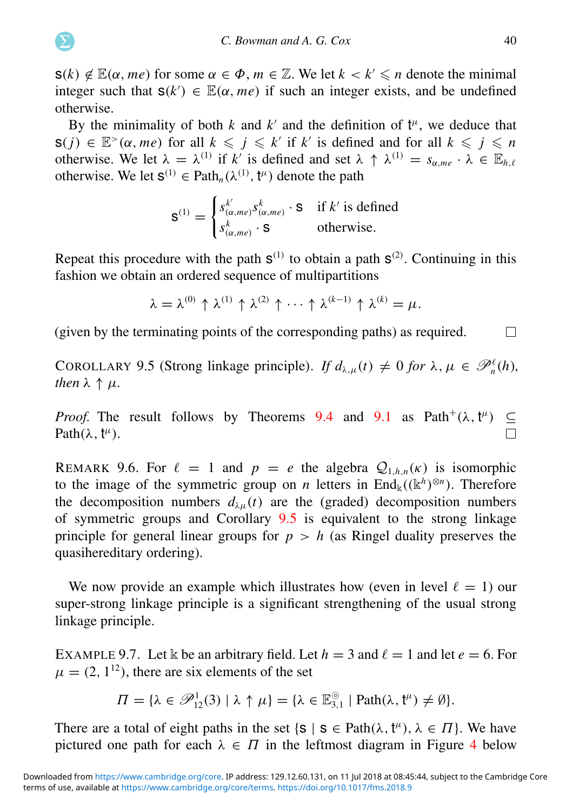$s(k) \notin \mathbb{E}(\alpha, me)$  for some  $\alpha \in \Phi$ ,  $m \in \mathbb{Z}$ . We let  $k < k' \leq n$  denote the minimal integer such that  $s(k') \in \mathbb{E}(\alpha, me)$  if such an integer exists, and be undefined otherwise.

By the minimality of both  $k$  and  $k'$  and the definition of  $t^{\mu}$ , we deduce that  $s(j) \in \mathbb{E}^{\geq}(\alpha, me)$  for all  $k \leq j \leq k'$  if  $k'$  is defined and for all  $k \leq j \leq n$ otherwise. We let  $\lambda = \lambda^{(1)}$  if k' is defined and set  $\lambda \uparrow \lambda^{(1)} = s_{\alpha, me} \cdot \lambda \in \mathbb{E}_{h,\ell}$ otherwise. We let  $S^{(1)} \in \text{Path}_n(\lambda^{(1)}, t^{\mu})$  denote the path

$$
\mathbf{S}^{(1)} = \begin{cases} s_{(\alpha,me)}^{k'} s_{(\alpha,me)}^k \cdot \mathbf{S} & \text{if } k' \text{ is defined} \\ s_{(\alpha,me)}^k \cdot \mathbf{S} & \text{otherwise.} \end{cases}
$$

<span id="page-40-0"></span>Repeat this procedure with the path  $S^{(1)}$  to obtain a path  $S^{(2)}$ . Continuing in this fashion we obtain an ordered sequence of multipartitions

<span id="page-40-1"></span>
$$
\lambda = \lambda^{(0)} \uparrow \lambda^{(1)} \uparrow \lambda^{(2)} \uparrow \cdots \uparrow \lambda^{(k-1)} \uparrow \lambda^{(k)} = \mu.
$$

(given by the terminating points of the corresponding paths) as required.  $\Box$ 

COROLLARY 9.5 (Strong linkage principle). *If*  $d_{\lambda,\mu}(t) \neq 0$  *for*  $\lambda, \mu \in \mathcal{P}_n^{\ell}(h)$ , *then*  $\lambda \uparrow \mu$ *.* 

*Proof.* The result follows by Theorems [9.4](#page-38-1) and [9.1](#page-38-0) as Path<sup>+</sup>( $\lambda$ ,  $t^{\mu}$ )  $\subseteq$ Path $(\lambda, t^{\mu})$ .

REMARK 9.6. For  $\ell = 1$  and  $p = e$  the algebra  $Q_{1,h,n}(\kappa)$  is isomorphic to the image of the symmetric group on *n* letters in  $\text{End}_{\mathbb{k}}((\mathbb{k}^h)^{\otimes n})$ . Therefore the decomposition numbers  $d_{\lambda}u(t)$  are the (graded) decomposition numbers of symmetric groups and Corollary [9.5](#page-39-0) is equivalent to the strong linkage principle for general linear groups for  $p > h$  (as Ringel duality preserves the quasihereditary ordering).

We now provide an example which illustrates how (even in level  $\ell = 1$ ) our super-strong linkage principle is a significant strengthening of the usual strong linkage principle.

EXAMPLE 9.7. Let k be an arbitrary field. Let  $h = 3$  and  $\ell = 1$  and let  $e = 6$ . For  $\mu = (2, 1^{12})$ , there are six elements of the set

$$
\Pi = \{ \lambda \in \mathscr{P}^1_{12}(3) \mid \lambda \uparrow \mu \} = \{ \lambda \in \mathbb{E}^{\circledcirc}_{3,1} \mid \text{Path}(\lambda, \mathfrak{t}^{\mu}) \neq \emptyset \}.
$$

There are a total of eight paths in the set  $\{s \mid s \in \text{Path}(\lambda, t^{\mu}), \lambda \in \Pi\}$ . We have pictured one path for each  $\lambda \in \Pi$  in the leftmost diagram in Figure [4](#page-40-0) below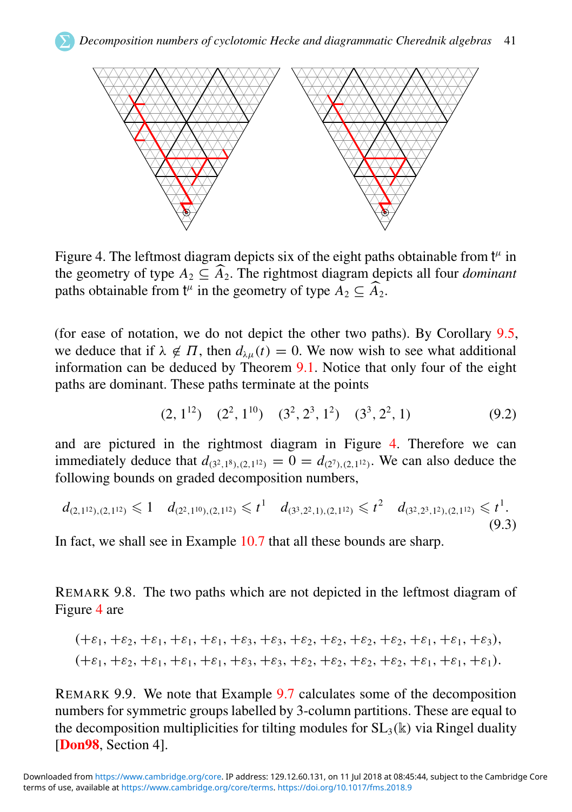

Figure 4. The leftmost diagram depicts six of the eight paths obtainable from  $t^{\mu}$  in the geometry of type  $A_2 \subseteq \widehat{A}_2$ . The rightmost diagram depicts all four *dominant* paths obtainable from  $t^{\mu}$  in the geometry of type  $A_2 \subseteq \widehat{A}_2$ .

<span id="page-41-0"></span>(for ease of notation, we do not depict the other two paths). By Corollary [9.5,](#page-39-0) we deduce that if  $\lambda \notin \Pi$ , then  $d_{\lambda u}(t) = 0$ . We now wish to see what additional information can be deduced by Theorem [9.1.](#page-38-0) Notice that only four of the eight paths are dominant. These paths terminate at the points

$$
(2, 112) \quad (22, 110) \quad (32, 23, 12) \quad (33, 22, 1) \tag{9.2}
$$

and are pictured in the rightmost diagram in Figure [4.](#page-40-0) Therefore we can immediately deduce that  $d_{(3^2,1^8),(2,1^{12})} = 0 = d_{(2^7),(2,1^{12})}$ . We can also deduce the following bounds on graded decomposition numbers,

$$
d_{(2,1^{12}), (2,1^{12})} \leq 1 \quad d_{(2^2,1^{10}), (2,1^{12})} \leq t^1 \quad d_{(3^3,2^2,1), (2,1^{12})} \leq t^2 \quad d_{(3^2,2^3,1^2), (2,1^{12})} \leq t^1. \tag{9.3}
$$

In fact, we shall see in Example [10.7](#page-44-0) that all these bounds are sharp.

REMARK 9.8. The two paths which are not depicted in the leftmost diagram of Figure [4](#page-40-0) are

$$
(+\varepsilon_1, +\varepsilon_2, +\varepsilon_1, +\varepsilon_1, +\varepsilon_1, +\varepsilon_3, +\varepsilon_3, +\varepsilon_2, +\varepsilon_2, +\varepsilon_2, +\varepsilon_1, +\varepsilon_1, +\varepsilon_3),(+\varepsilon_1, +\varepsilon_2, +\varepsilon_1, +\varepsilon_1, +\varepsilon_1, +\varepsilon_3, +\varepsilon_3, +\varepsilon_2, +\varepsilon_2, +\varepsilon_2, +\varepsilon_2, +\varepsilon_1, +\varepsilon_1, +\varepsilon_1).
$$

REMARK 9.9. We note that Example [9.7](#page-39-1) calculates some of the decomposition numbers for symmetric groups labelled by 3-column partitions. These are equal to the decomposition multiplicities for tilting modules for  $SL_3(\mathbb{k})$  via Ringel duality [[Don98](#page-63-17), Section 4].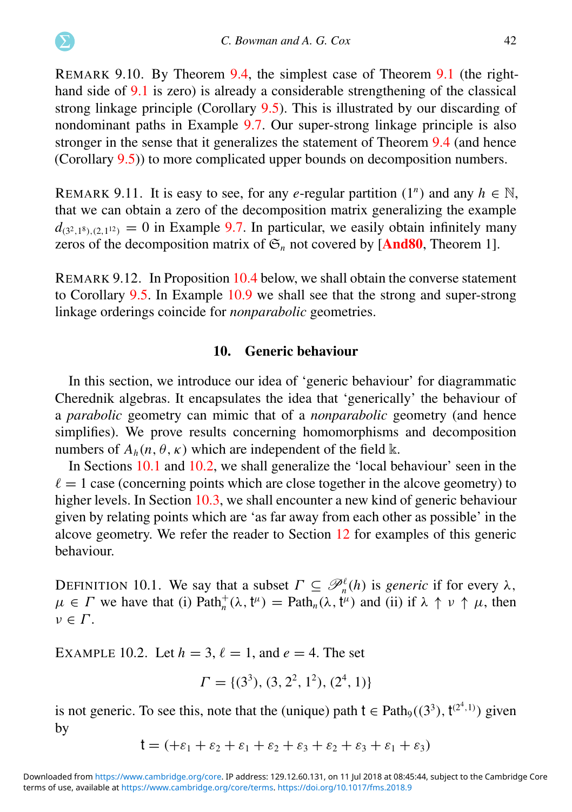REMARK 9.10. By Theorem [9.4,](#page-38-1) the simplest case of Theorem [9.1](#page-38-0) (the righthand side of [9.1](#page-38-2) is zero) is already a considerable strengthening of the classical strong linkage principle (Corollary [9.5\)](#page-39-0). This is illustrated by our discarding of nondominant paths in Example [9.7.](#page-39-1) Our super-strong linkage principle is also stronger in the sense that it generalizes the statement of Theorem [9.4](#page-38-1) (and hence (Corollary [9.5\)](#page-39-0)) to more complicated upper bounds on decomposition numbers.

REMARK 9.11. It is easy to see, for any *e*-regular partition  $(1^n)$  and any  $h \in \mathbb{N}$ , that we can obtain a zero of the decomposition matrix generalizing the example  $d_{(3^2,1^8),(2,1^{12})} = 0$  in Example [9.7.](#page-39-1) In particular, we easily obtain infinitely many zeros of the decomposition matrix of  $\mathfrak{S}_n$  not covered by [[And80](#page-63-0), Theorem 1].

<span id="page-42-0"></span>REMARK 9.12. In Proposition [10.4](#page-42-0) below, we shall obtain the converse statement to Corollary [9.5.](#page-39-0) In Example [10.9](#page-44-1) we shall see that the strong and super-strong linkage orderings coincide for *nonparabolic* geometries.

#### 10. Generic behaviour

In this section, we introduce our idea of 'generic behaviour' for diagrammatic Cherednik algebras. It encapsulates the idea that 'generically' the behaviour of a *parabolic* geometry can mimic that of a *nonparabolic* geometry (and hence simplifies). We prove results concerning homomorphisms and decomposition numbers of  $A_h(n, \theta, \kappa)$  which are independent of the field k.

In Sections [10.1](#page-48-1) and [10.2,](#page-51-0) we shall generalize the 'local behaviour' seen in the  $\ell = 1$  case (concerning points which are close together in the alcove geometry) to higher levels. In Section [10.3,](#page-52-0) we shall encounter a new kind of generic behaviour given by relating points which are 'as far away from each other as possible' in the alcove geometry. We refer the reader to Section [12](#page-59-0) for examples of this generic behaviour.

DEFINITION 10.1. We say that a subset  $\Gamma \subseteq \mathcal{P}_n^{\ell}(h)$  is *generic* if for every  $\lambda$ ,  $\mu \in \Gamma$  we have that (i) Path<sub>n</sub><sup> $\dagger$ </sup>( $\lambda$ ,  $t^{\mu}$ ) = Path<sub>n</sub>( $\lambda$ ,  $t^{\mu}$ ) and (ii) if  $\lambda \uparrow \nu \uparrow \mu$ , then  $\nu \in \Gamma$ .

EXAMPLE 10.2. Let  $h = 3$ ,  $\ell = 1$ , and  $e = 4$ . The set

$$
\Gamma = \{ (3^3), (3, 2^2, 1^2), (2^4, 1) \}
$$

is not generic. To see this, note that the (unique) path  $t \in \text{Path}_{9}((3^3), t^{(2^4,1)})$  given by

$$
t = (+\varepsilon_1 + \varepsilon_2 + \varepsilon_1 + \varepsilon_2 + \varepsilon_3 + \varepsilon_2 + \varepsilon_3 + \varepsilon_1 + \varepsilon_3)
$$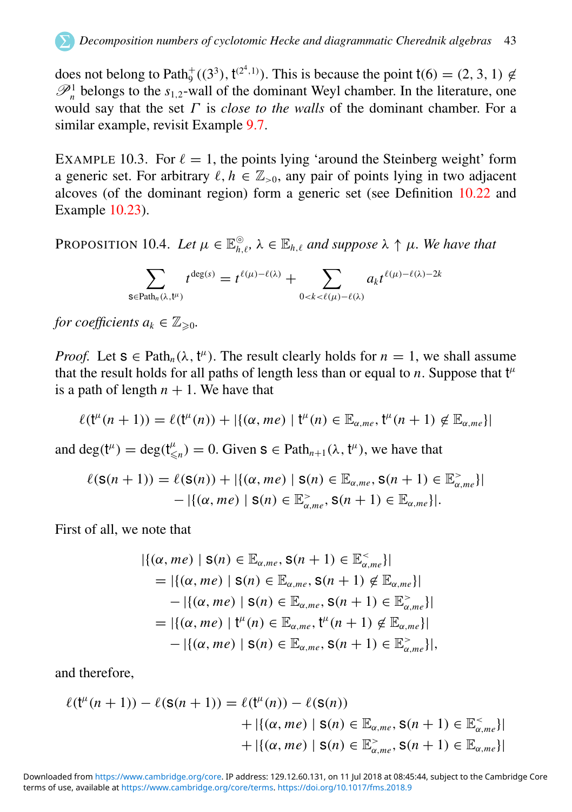does not belong to Path<sup>+</sup> $((3^3), t^{(2^4,1)})$ . This is because the point t(6) = (2, 3, 1)  $\notin$  $\mathscr{P}_n^1$  belongs to the *s*<sub>1,2</sub>-wall of the dominant Weyl chamber. In the literature, one would say that the set Γ is *close to the walls* of the dominant chamber. For a similar example, revisit Example [9.7.](#page-39-1)

EXAMPLE 10.3. For  $\ell = 1$ , the points lying 'around the Steinberg weight' form a generic set. For arbitrary  $\ell, h \in \mathbb{Z}_{>0}$ , any pair of points lying in two adjacent alcoves (of the dominant region) form a generic set (see Definition [10.22](#page-52-1) and Example [10.23\)](#page-52-2).

PROPOSITION 10.4. Let  $\mu \in \mathbb{E}_{h,\ell}^{\circ}$ ,  $\lambda \in \mathbb{E}_{h,\ell}$  and suppose  $\lambda \uparrow \mu$ . We have that

$$
\sum_{\mathsf{s}\in \mathrm{Path}_n(\lambda,\mathfrak{t}^\mu)} t^{\deg(s)} = t^{\ell(\mu)-\ell(\lambda)} + \sum_{0 < k < \ell(\mu)-\ell(\lambda)} a_k t^{\ell(\mu)-\ell(\lambda)-2k}
$$

*for coefficients*  $a_k \in \mathbb{Z}_{\geq 0}$ .

<span id="page-43-0"></span>*Proof.* Let  $s \in \text{Path}_n(\lambda, t^{\mu})$ . The result clearly holds for  $n = 1$ , we shall assume that the result holds for all paths of length less than or equal to  $n$ . Suppose that  $t^{\mu}$ is a path of length  $n + 1$ . We have that

$$
\ell(\mathfrak{k}^{\mu}(n+1)) = \ell(\mathfrak{k}^{\mu}(n)) + |\{(\alpha,me) \mid \mathfrak{k}^{\mu}(n) \in \mathbb{E}_{\alpha,me}, \mathfrak{k}^{\mu}(n+1) \notin \mathbb{E}_{\alpha,me}\}|
$$

and deg( $t^{\mu}$ ) = deg( $t^{\mu}_{\leq n}$ ) = 0. Given  $s \in \text{Path}_{n+1}(\lambda, t^{\mu})$ , we have that

$$
\ell(\mathsf{S}(n+1)) = \ell(\mathsf{S}(n)) + |\{(\alpha, me) \mid \mathsf{S}(n) \in \mathbb{E}_{\alpha, me}, \mathsf{S}(n+1) \in \mathbb{E}_{\alpha, me}^{\geq} \}|
$$
  
-  $|\{(\alpha, me) \mid \mathsf{S}(n) \in \mathbb{E}_{\alpha, me}^{\geq}, \mathsf{S}(n+1) \in \mathbb{E}_{\alpha, me} \}|.$ 

First of all, we note that

<span id="page-43-2"></span><span id="page-43-1"></span>
$$
|\{(\alpha, me) \mid \mathbf{S}(n) \in \mathbb{E}_{\alpha, me}, \mathbf{S}(n+1) \in \mathbb{E}_{\alpha, me}^{\leq}\}|
$$
  
=  $|\{(\alpha, me) \mid \mathbf{S}(n) \in \mathbb{E}_{\alpha, me}, \mathbf{S}(n+1) \notin \mathbb{E}_{\alpha, me}\}|$   
-  $|\{(\alpha, me) \mid \mathbf{S}(n) \in \mathbb{E}_{\alpha, me}, \mathbf{S}(n+1) \in \mathbb{E}_{\alpha, me}^{\geq}\}|$   
=  $|\{(\alpha, me) \mid t^{\mu}(n) \in \mathbb{E}_{\alpha, me}, t^{\mu}(n+1) \notin \mathbb{E}_{\alpha, me}\}|$   
-  $|\{(\alpha, me) \mid \mathbf{S}(n) \in \mathbb{E}_{\alpha, me}, \mathbf{S}(n+1) \in \mathbb{E}_{\alpha, me}^{\geq}\}|,$ 

and therefore,

$$
\ell(\mathsf{t}^{\mu}(n+1)) - \ell(\mathsf{s}(n+1)) = \ell(\mathsf{t}^{\mu}(n)) - \ell(\mathsf{s}(n)) \n+ |\{(\alpha, me) \mid \mathsf{s}(n) \in \mathbb{E}_{\alpha, me}, \mathsf{s}(n+1) \in \mathbb{E}_{\alpha, me}^{\leq} \}| \n+ |\{(\alpha, me) \mid \mathsf{s}(n) \in \mathbb{E}_{\alpha, me}^{\geq}, \mathsf{s}(n+1) \in \mathbb{E}_{\alpha, me} \}|
$$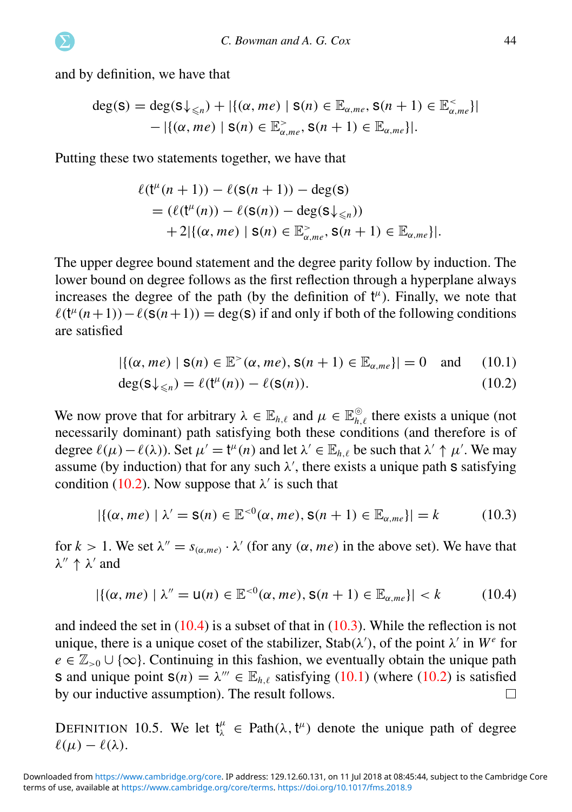<span id="page-44-3"></span>and by definition, we have that

<span id="page-44-2"></span>
$$
deg(s) = deg(s\downarrow_{\leq n}) + |\{(\alpha, me) \mid s(n) \in \mathbb{E}_{\alpha, me}, s(n+1) \in \mathbb{E}_{\alpha, me}^{\lt},\}|
$$
  
 
$$
- |\{(\alpha, me) \mid s(n) \in \mathbb{E}_{\alpha, me}^{\gt}, s(n+1) \in \mathbb{E}_{\alpha, me} \}|.
$$

Putting these two statements together, we have that

$$
\ell(\mathsf{t}^{\mu}(n+1)) - \ell(\mathsf{s}(n+1)) - \deg(\mathsf{s})
$$
  
= 
$$
(\ell(\mathsf{t}^{\mu}(n)) - \ell(\mathsf{s}(n)) - \deg(\mathsf{s}\downarrow_{\leq n}))
$$
  
+ 
$$
2|\{(\alpha, me) \mid \mathsf{s}(n) \in \mathbb{E}^{\geq}_{\alpha, me}, \mathsf{s}(n+1) \in \mathbb{E}_{\alpha, me}\}|.
$$

The upper degree bound statement and the degree parity follow by induction. The lower bound on degree follows as the first reflection through a hyperplane always increases the degree of the path (by the definition of  $t^{\mu}$ ). Finally, we note that  $\ell(\mathsf{t}^{\mu}(n+1)) - \ell(\mathsf{s}(n+1)) = \deg(\mathsf{s})$  if and only if both of the following conditions are satisfied

$$
|\{(\alpha, me) \mid \mathbf{s}(n) \in \mathbb{E}^{\geq}(\alpha, me), \mathbf{s}(n+1) \in \mathbb{E}_{\alpha, me}\}| = 0 \text{ and } (10.1)
$$

$$
\deg(\mathbf{S}\downarrow_{\leq n}) = \ell(\mathfrak{t}^{\mu}(n)) - \ell(\mathbf{S}(n)).\tag{10.2}
$$

<span id="page-44-0"></span>We now prove that for arbitrary  $\lambda \in \mathbb{E}_{h,\ell}$  and  $\mu \in \mathbb{E}_{h,\ell}^{\circ}$  there exists a unique (not necessarily dominant) path satisfying both these conditions (and therefore is of degree  $\ell(\mu) - \ell(\lambda)$ ). Set  $\mu' = t^{\mu}(n)$  and let  $\lambda' \in \mathbb{E}_{h,\ell}$  be such that  $\lambda' \uparrow \mu'$ . We may assume (by induction) that for any such  $\lambda'$ , there exists a unique path s satisfying condition [\(10.2\)](#page-43-0). Now suppose that  $\lambda'$  is such that

$$
|\{(\alpha, me) \mid \lambda' = \mathsf{S}(n) \in \mathbb{E}^{<0}(\alpha, me), \mathsf{S}(n+1) \in \mathbb{E}_{\alpha, me}\}| = k \tag{10.3}
$$

for  $k > 1$ . We set  $\lambda'' = s_{(\alpha, me)} \cdot \lambda'$  (for any  $(\alpha, me)$  in the above set). We have that  $\lambda'' \uparrow \lambda'$  and

$$
|\{(\alpha, me) \mid \lambda'' = \mathsf{u}(n) \in \mathbb{E}^{<0}(\alpha, me), \mathsf{s}(n+1) \in \mathbb{E}_{\alpha, me}\}| < k \tag{10.4}
$$

<span id="page-44-1"></span>and indeed the set in  $(10.4)$  is a subset of that in  $(10.3)$ . While the reflection is not unique, there is a unique coset of the stabilizer, Stab( $\lambda'$ ), of the point  $\lambda'$  in  $W^e$  for  $e \in \mathbb{Z}_{>0} \cup \{\infty\}$ . Continuing in this fashion, we eventually obtain the unique path **s** and unique point  $\mathbf{s}(n) = \lambda^{\prime\prime\prime} \in \mathbb{E}_{h,\ell}$  satisfying [\(10.1\)](#page-43-0) (where [\(10.2\)](#page-43-0) is satisfied by our inductive assumption). The result follows.  $\Box$ 

DEFINITION 10.5. We let  $t^{\mu}_{\lambda} \in \text{Path}(\lambda, t^{\mu})$  denote the unique path of degree  $\ell(\mu) - \ell(\lambda)$ .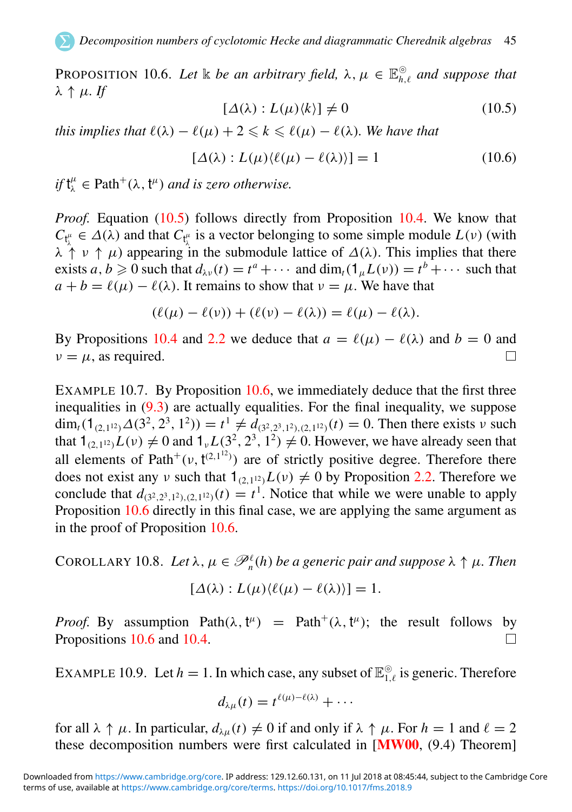PROPOSITION 10.6. Let  $\Bbbk$  *be an arbitrary field,*  $\lambda, \mu \in \mathbb{E}_{h,\ell}^{\odot}$  *and suppose that*  $λ$  ↑  $μ$ *. If* 

$$
[\Delta(\lambda): L(\mu)\langle k \rangle] \neq 0 \tag{10.5}
$$

*this implies that*  $\ell(\lambda) - \ell(\mu) + 2 \leq k \leq \ell(\mu) - \ell(\lambda)$ *. We have that* 

$$
[\Delta(\lambda) : L(\mu)\langle \ell(\mu) - \ell(\lambda) \rangle] = 1 \tag{10.6}
$$

 $if t^{\mu}_{\lambda} \in \text{Path}^{+}(\lambda, t^{\mu})$  *and is zero otherwise.* 

<span id="page-45-1"></span>*Proof.* Equation [\(10.5\)](#page-44-2) follows directly from Proposition [10.4.](#page-42-0) We know that  $C_{t_i^{\mu}} \in \Delta(\lambda)$  and that  $C_{t_i^{\mu}}$  is a vector belonging to some simple module  $L(\nu)$  (with  $\lambda \uparrow \psi + \mu$ ) appearing in the submodule lattice of  $\Delta(\lambda)$ . This implies that there exists  $a, b \ge 0$  such that  $d_{\lambda \nu}(t) = t^a + \cdots$  and  $\dim_t(1_\mu L(\nu)) = t^b + \cdots$  such that  $a + b = \ell(\mu) - \ell(\lambda)$ . It remains to show that  $\nu = \mu$ . We have that

$$
(\ell(\mu) - \ell(\nu)) + (\ell(\nu) - \ell(\lambda)) = \ell(\mu) - \ell(\lambda).
$$

By Propositions [10.4](#page-42-0) and [2.2](#page-7-1) we deduce that  $a = \ell(\mu) - \ell(\lambda)$  and  $b = 0$  and  $\nu = \mu$ , as required. П

EXAMPLE 10.7. By Proposition [10.6,](#page-44-3) we immediately deduce that the first three inequalities in  $(9.3)$  are actually equalities. For the final inequality, we suppose dim<sub>t</sub>(1<sub>(2,112)</sub> $\Delta(3^2, 2^3, 1^2)$ ) =  $t^1 \neq d_{(3^2, 2^3, 1^2), (2, 1^2)}(t) = 0$ . Then there exists v such that  $1_{(2,1^{12})}L(v) \neq 0$  and  $1_vL(3^2, 2^3, 1^2) \neq 0$ . However, we have already seen that all elements of Path<sup>+</sup>( $\nu$ ,  $t^{(2,1^{12})}$ ) are of strictly positive degree. Therefore there does not exist any v such that  $1_{(2,1^{12})}L(v) \neq 0$  by Proposition [2.2.](#page-7-1) Therefore we conclude that  $d_{(3^2,2^3,1^2),(2,1^{12})}(t) = t^1$ . Notice that while we were unable to apply Proposition [10.6](#page-44-3) directly in this final case, we are applying the same argument as in the proof of Proposition [10.6.](#page-44-3)

COROLLARY 10.8. Let  $\lambda, \mu \in \mathscr{P}_n^{\ell}(h)$  be a generic pair and suppose  $\lambda \uparrow \mu$ . Then

$$
[\Delta(\lambda): L(\mu)\langle \ell(\mu) - \ell(\lambda)\rangle] = 1.
$$

*Proof.* By assumption  $Path(\lambda, t^{\mu}) = Path^+(\lambda, t^{\mu})$ ; the result follows by Propositions [10.6](#page-44-3) and [10.4.](#page-42-0)  $\Box$ 

<span id="page-45-0"></span>EXAMPLE 10.9. Let  $h = 1$ . In which case, any subset of  $\mathbb{E}_{1,\ell}^{\odot}$  is generic. Therefore

<span id="page-45-2"></span>
$$
d_{\lambda\mu}(t)=t^{\ell(\mu)-\ell(\lambda)}+\cdots
$$

for all  $\lambda \uparrow \mu$ . In particular,  $d_{\lambda\mu}(t) \neq 0$  if and only if  $\lambda \uparrow \mu$ . For  $h = 1$  and  $\ell = 2$ these decomposition numbers were first calculated in  $[MW00, (9.4)$  $[MW00, (9.4)$  $[MW00, (9.4)$  Theorem]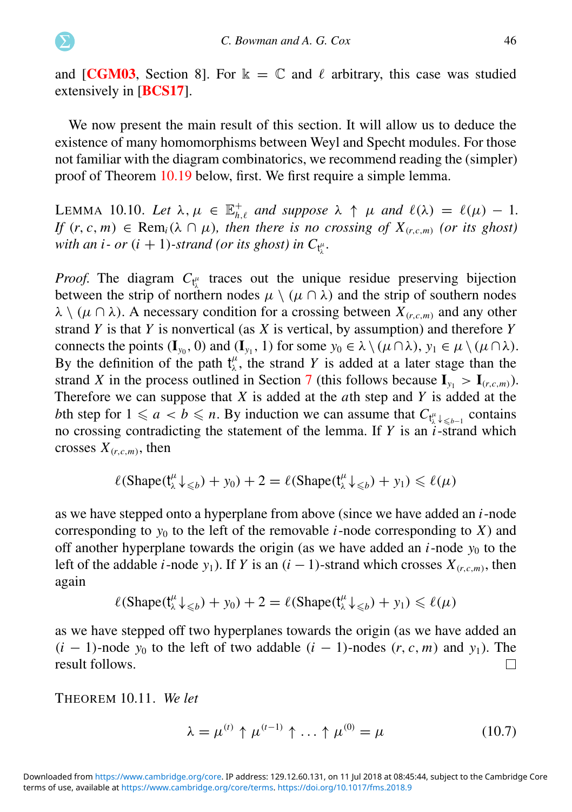and [[CGM03](#page-63-7), Section 8]. For  $\kappa = \mathbb{C}$  and  $\ell$  arbitrary, this case was studied extensively in [[BCS17](#page-63-13)].

We now present the main result of this section. It will allow us to deduce the existence of many homomorphisms between Weyl and Specht modules. For those not familiar with the diagram combinatorics, we recommend reading the (simpler) proof of Theorem [10.19](#page-50-0) below, first. We first require a simple lemma.

LEMMA 10.10. Let  $\lambda, \mu \in \mathbb{E}_{h,\ell}^+$  and suppose  $\lambda \uparrow \mu$  and  $\ell(\lambda) = \ell(\mu) - 1$ . *If*  $(r, c, m) \in \text{Rem}_i(\lambda \cap \mu)$ *, then there is no crossing of*  $X_{(r, c, m)}$  *(or its ghost)* with an *i* - or  $(i + 1)$ -strand (or its ghost) in  $C_{\mathfrak{t}^\mu_\lambda}.$ 

*Proof.* The diagram  $C_{t_1^{\mu}}$  traces out the unique residue preserving bijection between the strip of northern nodes  $\mu \setminus (\mu \cap \lambda)$  and the strip of southern nodes  $\lambda \setminus (\mu \cap \lambda)$ . A necessary condition for a crossing between  $X_{(r,c,m)}$  and any other strand *Y* is that *Y* is nonvertical (as *X* is vertical, by assumption) and therefore *Y* connects the points  $(I_{y_0}, 0)$  and  $(I_{y_1}, 1)$  for some  $y_0 \in \lambda \setminus (\mu \cap \lambda)$ ,  $y_1 \in \mu \setminus (\mu \cap \lambda)$ . By the definition of the path  $t^{\mu}_{\lambda}$ , the strand *Y* is added at a later stage than the strand *X* in the process outlined in Section [7](#page-34-0) (this follows because  $I_{y_1} > I_{(r,c,m)}$ ). Therefore we can suppose that *X* is added at the *a*th step and *Y* is added at the *b*th step for  $1 \le a < b \le n$ . By induction we can assume that  $C_{\mathfrak{t}^{\mu}_{\lambda} \downarrow \le b-1}$  contains no crossing contradicting the statement of the lemma. If *Y* is an *i*-strand which crosses  $X_{(r,c,m)}$ , then

<span id="page-46-2"></span><span id="page-46-0"></span>
$$
\ell(\text{Shape}(\mathsf{t}_{\lambda}^{\mu} \downarrow_{\leq b}) + y_0) + 2 = \ell(\text{Shape}(\mathsf{t}_{\lambda}^{\mu} \downarrow_{\leq b}) + y_1) \leq \ell(\mu)
$$

as we have stepped onto a hyperplane from above (since we have added an *i*-node corresponding to  $y_0$  to the left of the removable *i*-node corresponding to *X*) and off another hyperplane towards the origin (as we have added an  $i$ -node  $y_0$  to the left of the addable *i*-node *y*<sub>1</sub>). If *Y* is an  $(i - 1)$ -strand which crosses  $X_{(r,c,m)}$ , then again

$$
\ell(\text{Shape}(\mathsf{t}_{\lambda}^{\mu}\downarrow_{\leq b}) + y_0) + 2 = \ell(\text{Shape}(\mathsf{t}_{\lambda}^{\mu}\downarrow_{\leq b}) + y_1) \leq \ell(\mu)
$$

as we have stepped off two hyperplanes towards the origin (as we have added an  $(i - 1)$ -node  $y_0$  to the left of two addable  $(i - 1)$ -nodes  $(r, c, m)$  and  $y_1$ ). The result follows.  $\Box$ 

THEOREM 10.11. *We let*

<span id="page-46-1"></span>
$$
\lambda = \mu^{(t)} \uparrow \mu^{(t-1)} \uparrow \ldots \uparrow \mu^{(0)} = \mu \tag{10.7}
$$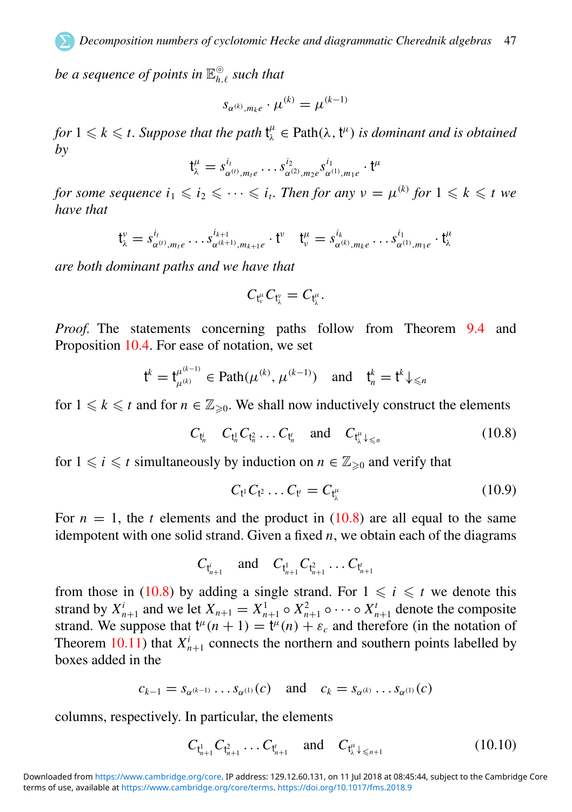*be a sequence of points in* E ⊚ *<sup>h</sup>*,ℓ *such that*

$$
s_{\alpha^{(k)},m_ke} \cdot \mu^{(k)} = \mu^{(k-1)}
$$

*for*  $1 \leqslant k \leqslant t$ . Suppose that the path  $t^{\mu}_{\lambda} \in \text{Path}(\lambda, t^{\mu})$  is dominant and is obtained *by*

$$
\mathsf{t}_{\lambda}^{\mu}=s_{\alpha^{(t)},m_{1}e}^{i_{1}}\ldots s_{\alpha^{(2)},m_{2}e}^{i_{2}}s_{\alpha^{(1)},m_{1}e}^{i_{1}}\cdot\mathsf{t}^{\mu}
$$

*for some sequence*  $i_1 \leqslant i_2 \leqslant \cdots \leqslant i_t$ . Then for any  $v = \mu^{(k)}$  for  $1 \leqslant k \leqslant t$  we *have that*

$$
\mathfrak{t}_{\lambda}^{\nu} = s_{\alpha^{(t)}, m_{i}e}^{i_{1}}, \ldots s_{\alpha^{(k+1)}, m_{k+1}e}^{i_{k+1}} \cdot \mathfrak{t}^{\nu} \quad \mathfrak{t}_{\nu}^{\mu} = s_{\alpha^{(k)}, m_{k}e}^{i_{1}}, \ldots s_{\alpha^{(1)}, m_{1}e}^{i_{1}} \cdot \mathfrak{t}_{\lambda}^{\mu}
$$

*are both dominant paths and we have that*

$$
C_{t^{\mu}_{\nu}}C_{t^{\nu}_{\lambda}}=C_{t^{\mu}_{\lambda}}.
$$

*Proof.* The statements concerning paths follow from Theorem [9.4](#page-38-1) and Proposition [10.4.](#page-42-0) For ease of notation, we set

$$
\mathbf{t}^k = \mathbf{t}_{\mu^{(k)}}^{\mu^{(k-1)}} \in \text{Path}(\mu^{(k)}, \mu^{(k-1)}) \text{ and } \mathbf{t}_n^k = \mathbf{t}^k \downarrow \leq n
$$

for  $1 \leq k \leq t$  and for  $n \in \mathbb{Z}_{\geq 0}$ . We shall now inductively construct the elements

$$
C_{t_n^i} \quad C_{t_n^1} C_{t_n^2} \dots C_{t_n^i} \quad \text{and} \quad C_{t_\lambda^i \downarrow \leq n} \tag{10.8}
$$

for  $1 \leq i \leq t$  simultaneously by induction on  $n \in \mathbb{Z}_{\geq 0}$  and verify that

$$
C_{t^1} C_{t^2} \dots C_{t'} = C_{t^{\mu}_{\lambda}}
$$
 (10.9)

For  $n = 1$ , the *t* elements and the product in  $(10.8)$  are all equal to the same idempotent with one solid strand. Given a fixed  $n$ , we obtain each of the diagrams

$$
C_{t_{n+1}^i}
$$
 and  $C_{t_{n+1}^1}C_{t_{n+1}^2} \ldots C_{t_{n+1}^i}$ 

from those in [\(10.8\)](#page-46-0) by adding a single strand. For  $1 \le i \le t$  we denote this strand by  $X_{n+1}^i$  and we let  $X_{n+1} = X_{n+1}^1 \circ X_{n+1}^2 \circ \cdots \circ X_{n+1}^t$  denote the composite strand. We suppose that  $t^{\mu}(n + 1) = t^{\mu}(n) + \varepsilon_c$  and therefore (in the notation of Theorem [10.11\)](#page-45-0) that  $X_{n+1}^i$  connects the northern and southern points labelled by boxes added in the

$$
c_{k-1} = s_{\alpha^{(k-1)}} \dots s_{\alpha^{(1)}}(c) \quad \text{and} \quad c_k = s_{\alpha^{(k)}} \dots s_{\alpha^{(1)}}(c)
$$

columns, respectively. In particular, the elements

$$
C_{t_{n+1}^1} C_{t_{n+1}^2} \dots C_{t_{n+1}^r} \quad \text{and} \quad C_{t_{\lambda}^{\mu} \downarrow \leq n+1} \tag{10.10}
$$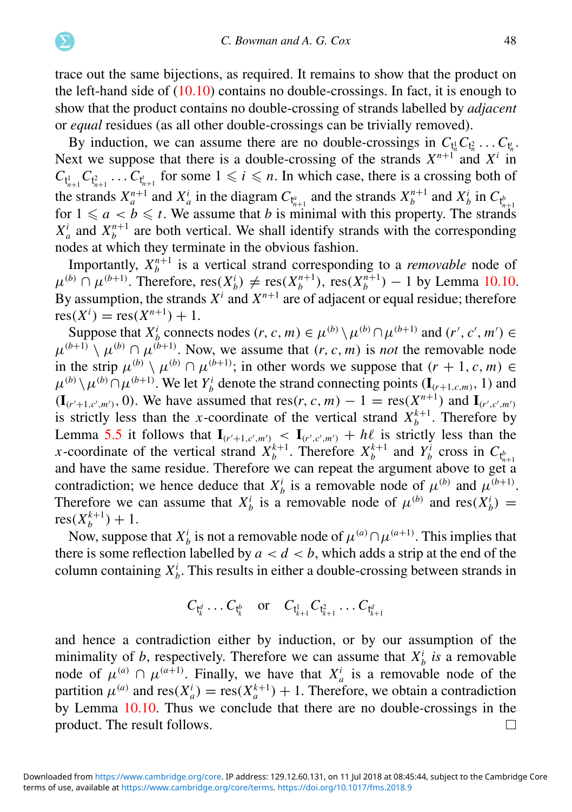<span id="page-48-0"></span>trace out the same bijections, as required. It remains to show that the product on the left-hand side of  $(10.10)$  contains no double-crossings. In fact, it is enough to show that the product contains no double-crossing of strands labelled by *adjacent* or *equal* residues (as all other double-crossings can be trivially removed).

By induction, we can assume there are no double-crossings in  $C_{t_n^1}C_{t_n^2} \ldots C_{t_n^t}$ . Next we suppose that there is a double-crossing of the strands  $X^{n+1}$  and  $X^i$  in  $C_{t_{n+1}^1}$   $C_{t_{n+1}^2}$  ...  $C_{t_{n+1}^t}$  for some  $1 \leq i \leq n$ . In which case, there is a crossing both of the strands  $X_a^{n+1}$  and  $X_a^i$  in the diagram  $C_{\mathfrak{k}_{n+1}^a}$  and the strands  $X_b^{n+1}$  and  $X_b^i$  in  $C_{\mathfrak{k}_b^k}$ for  $1 \leq a < b \leq t$ . We assume that *b* is minimal with this property. The strands  $X_a^i$  and  $X_b^{n+1}$  are both vertical. We shall identify strands with the corresponding nodes at which they terminate in the obvious fashion.

Importantly,  $X_b^{n+1}$  is a vertical strand corresponding to a *removable* node of  $\mu^{(b)}$  ∩  $\mu^{(b+1)}$ . Therefore, res( $X_b^i$ ) ≠ res( $X_b^{n+1}$ ), res( $X_b^{n+1}$ ) − 1 by Lemma [10.10.](#page-45-1) By assumption, the strands  $X^i$  and  $X^{n+1}$  are of adjacent or equal residue; therefore  $res(X<sup>i</sup>) = res(X<sup>n+1</sup>) + 1.$ 

Suppose that  $X_i^i$  connects nodes  $(r, c, m) \in \mu^{(b)} \setminus \mu^{(b)} \cap \mu^{(b+1)}$  and  $(r', c', m') \in$  $\mu^{(b+1)} \setminus \mu^{(b)} \cap \mu^{(b+1)}$ . Now, we assume that  $(r, c, m)$  is *not* the removable node in the strip  $\mu^{(b)} \setminus \mu^{(b)} \cap \mu^{(b+1)}$ ; in other words we suppose that  $(r + 1, c, m) \in$  $\mu^{(b)} \setminus \mu^{(b)} \cap \mu^{(b+1)}$ . We let  $Y_b^i$  denote the strand connecting points (I<sub>(*r*+1,*c*,*m*), 1) and</sub>  $(I_{(r'+1,c',m')}, 0)$ . We have assumed that res $(r, c, m) - 1 = \text{res}(X^{n+1})$  and  $I_{(r',c',m')}$ is strictly less than the *x*-coordinate of the vertical strand  $X_b^{k+1}$ . Therefore by Lemma [5.5](#page-19-0) it follows that  $I_{(r'+1,c',m')}$  <  $I_{(r',c',m')}$  +  $h\ell$  is strictly less than the *x*-coordinate of the vertical strand  $X_b^{k+1}$ . Therefore  $X_b^{k+1}$  and  $Y_b^i$  cross in  $C_{t_b^k}$ and have the same residue. Therefore we can repeat the argument above to get a contradiction; we hence deduce that  $X_b^i$  is a removable node of  $\mu^{(b)}$  and  $\mu^{(b+1)}$ . Therefore we can assume that  $X_b^i$  is a removable node of  $\mu^{(b)}$  and res $(X_b^i)$  =  $res(X_b^{k+1}) + 1.$ 

<span id="page-48-1"></span>Now, suppose that  $X_b^i$  is not a removable node of  $\mu^{(a)} \cap \mu^{(a+1)}$ . This implies that there is some reflection labelled by  $a < d < b$ , which adds a strip at the end of the column containing  $X_b^i$ . This results in either a double-crossing between strands in

$$
C_{t_k^d} \ldots C_{t_k^b}
$$
 or  $C_{t_{k+1}^1} C_{t_{k+1}^2} \ldots C_{t_{k+1}^d}$ 

and hence a contradiction either by induction, or by our assumption of the minimality of *b*, respectively. Therefore we can assume that  $X_b^i$  is a removable node of  $\mu^{(a)} \cap \mu^{(a+1)}$ . Finally, we have that  $X_a^i$  is a removable node of the partition  $\mu^{(a)}$  and  $res(X_a^i) = res(X_a^{k+1}) + 1$ . Therefore, we obtain a contradiction by Lemma [10.10.](#page-45-1) Thus we conclude that there are no double-crossings in the product. The result follows.  $\Box$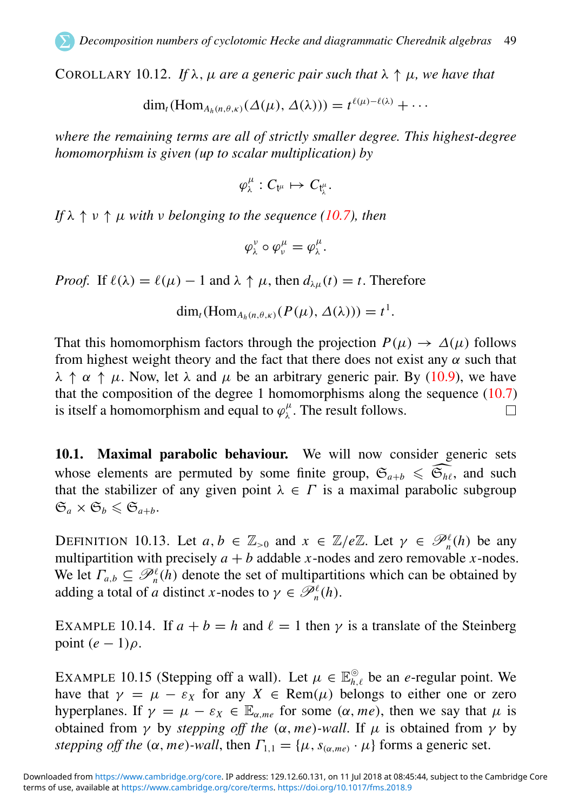COROLLARY 10.12. If  $\lambda$ ,  $\mu$  *are a generic pair such that*  $\lambda \uparrow \mu$ *, we have that* 

$$
\dim_t(\mathrm{Hom}_{A_h(n,\theta,\kappa)}(\Delta(\mu),\Delta(\lambda)))=t^{\ell(\mu)-\ell(\lambda)}+\cdots
$$

<span id="page-49-2"></span>*where the remaining terms are all of strictly smaller degree. This highest-degree homomorphism is given (up to scalar multiplication) by*

$$
\varphi_\lambda^\mu:C_{\mathfrak{t}^\mu}\mapsto C_{\mathfrak{t}^\mu_\lambda}.
$$

*If*  $\lambda \uparrow \nu \uparrow \mu$  *with*  $\nu$  *belonging to the sequence [\(10.7\)](#page-45-2), then* 

<span id="page-49-3"></span><span id="page-49-0"></span>
$$
\varphi_\lambda^{\nu} \circ \varphi_{\nu}^{\mu} = \varphi_{\lambda}^{\mu}.
$$

*Proof.* If  $\ell(\lambda) = \ell(\mu) - 1$  and  $\lambda \uparrow \mu$ , then  $d_{\lambda\mu}(t) = t$ . Therefore

$$
\dim_t(\mathrm{Hom}_{A_h(n,\theta,\kappa)}(P(\mu),\Delta(\lambda)))=t^1.
$$

That this homomorphism factors through the projection  $P(\mu) \to \Delta(\mu)$  follows from highest weight theory and the fact that there does not exist any  $\alpha$  such that  $\lambda \uparrow \alpha \uparrow \mu$ . Now, let  $\lambda$  and  $\mu$  be an arbitrary generic pair. By [\(10.9\)](#page-46-2), we have that the composition of the degree 1 homomorphisms along the sequence  $(10.7)$ is itself a homomorphism and equal to  $\varphi_{\lambda}^{\mu}$ . The result follows. П

10.1. Maximal parabolic behaviour. We will now consider generic sets whose elements are permuted by some finite group,  $\mathfrak{S}_{a+b} \leq \widehat{\mathfrak{S}_{h\ell}}$ , and such that the stabilizer of any given point  $\lambda \in \Gamma$  is a maximal parabolic subgroup  $\mathfrak{S}_a \times \mathfrak{S}_b \leqslant \mathfrak{S}_{a+b}$ .

<span id="page-49-1"></span>DEFINITION 10.13. Let  $a, b \in \mathbb{Z}_{>0}$  and  $x \in \mathbb{Z}/e\mathbb{Z}$ . Let  $\gamma \in \mathcal{P}_n^{\ell}(h)$  be any multipartition with precisely  $a + b$  addable *x*-nodes and zero removable *x*-nodes. We let  $\Gamma_{a,b} \subseteq \mathcal{P}_n^{\ell}(h)$  denote the set of multipartitions which can be obtained by adding a total of *a* distinct *x*-nodes to  $\gamma \in \mathscr{P}_n^{\ell}(h)$ .

EXAMPLE 10.14. If  $a + b = h$  and  $\ell = 1$  then  $\gamma$  is a translate of the Steinberg point  $(e - 1)\rho$ .

EXAMPLE 10.15 (Stepping off a wall). Let  $\mu \in \mathbb{E}_{h,\ell}^{\circ}$  be an *e*-regular point. We have that  $\gamma = \mu - \varepsilon_X$  for any  $X \in \text{Rem}(\mu)$  belongs to either one or zero hyperplanes. If  $\gamma = \mu - \varepsilon_X \in \mathbb{E}_{\alpha,me}$  for some  $(\alpha,me)$ , then we say that  $\mu$  is obtained from  $\gamma$  by *stepping off the* ( $\alpha$ , *me*)*-wall*. If  $\mu$  is obtained from  $\gamma$  by *stepping off the*  $(\alpha, me)$ -wall, then  $\Gamma_{1,1} = {\mu, s_{(\alpha, me)} \cdot \mu}$  forms a generic set.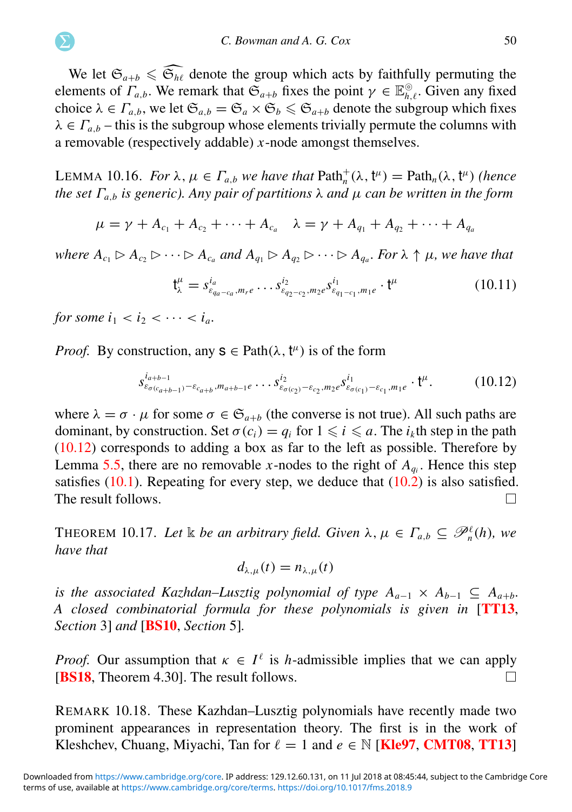We let  $\mathfrak{S}_{a+b} \leq \widehat{\mathfrak{S}_{h\ell}}$  denote the group which acts by faithfully permuting the elements of  $\Gamma_{a,b}$ . We remark that  $\mathfrak{S}_{a+b}$  fixes the point  $\gamma \in \mathbb{E}_{h,\ell}^{\circ}$ . Given any fixed choice  $\lambda \in \Gamma_{a,b}$ , we let  $\mathfrak{S}_{a,b} = \mathfrak{S}_a \times \mathfrak{S}_b \leq \mathfrak{S}_{a+b}$  denote the subgroup which fixes  $\lambda \in \Gamma_{a,b}$  – this is the subgroup whose elements trivially permute the columns with a removable (respectively addable) *x*-node amongst themselves.

LEMMA 10.16. *For*  $\lambda$ ,  $\mu \in \Gamma_{a,b}$  *we have that*  $\text{Path}_{n}^{+}(\lambda, \mathfrak{t}^{\mu}) = \text{Path}_{n}(\lambda, \mathfrak{t}^{\mu})$  (hence *the set*  $\Gamma_{a,b}$  *is generic). Any pair of partitions*  $\lambda$  *and*  $\mu$  *can be written in the form* 

$$
\mu = \gamma + A_{c_1} + A_{c_2} + \cdots + A_{c_a} \quad \lambda = \gamma + A_{q_1} + A_{q_2} + \cdots + A_{q_a}
$$

<span id="page-50-0"></span>*where*  $A_{c_1} \triangleright A_{c_2} \triangleright \cdots \triangleright A_{c_a}$  and  $A_{q_1} \triangleright A_{q_2} \triangleright \cdots \triangleright A_{q_a}$ . For  $\lambda \uparrow \mu$ , we have that

$$
\mathbf{t}_{\lambda}^{\mu} = s_{\varepsilon_{q_a - c_a}, m_r e}^{i_a} \dots s_{\varepsilon_{q_2 - c_2}, m_2 e}^{i_2} s_{\varepsilon_{q_1 - c_1}, m_1 e}^{i_1} \cdot \mathbf{t}^{\mu}
$$
 (10.11)

*for some*  $i_1 < i_2 < \cdots < i_a$ .

*Proof.* By construction, any  $s \in \text{Path}(\lambda, t^{\mu})$  is of the form

$$
s_{\varepsilon_{\sigma(c_{a+b-1})}-\varepsilon_{c_{a+b}},m_{a+b-1}e}\cdots s_{\varepsilon_{\sigma(c_2)}-\varepsilon_{c_2},m_2}^{i_2} s_{\varepsilon_{\sigma(c_1)}-\varepsilon_{c_1},m_1e}^{i_1}\cdot t^{\mu}.
$$
 (10.12)

where  $\lambda = \sigma \cdot \mu$  for some  $\sigma \in \mathfrak{S}_{a+b}$  (the converse is not true). All such paths are dominant, by construction. Set  $\sigma(c_i) = q_i$  for  $1 \leq i \leq a$ . The  $i_k$ th step in the path [\(10.12\)](#page-49-0) corresponds to adding a box as far to the left as possible. Therefore by Lemma [5.5,](#page-19-0) there are no removable *x*-nodes to the right of  $A_{q_i}$ . Hence this step satisfies  $(10.1)$ . Repeating for every step, we deduce that  $(10.2)$  is also satisfied. The result follows. П

**THEOREM 10.17.** Let  $\Bbbk$  be an arbitrary field. Given  $\lambda, \mu \in \Gamma_{a,b} \subseteq \mathcal{P}_n^{\ell}(h)$ , we *have that*

$$
d_{\lambda,\mu}(t)=n_{\lambda,\mu}(t)
$$

<span id="page-50-1"></span>*is the associated Kazhdan–Lusztig polynomial of type*  $A_{a-1} \times A_{b-1} \subseteq A_{a+b}$ *. A closed combinatorial formula for these polynomials is given in* [[TT13](#page-65-5), *Section* 3] *and* [[BS10](#page-63-18), *Section* 5]*.*

*Proof.* Our assumption that  $\kappa \in I^{\ell}$  is *h*-admissible implies that we can apply **[[BS18](#page-63-19).** Theorem 4.30]. The result follows.  $\Box$ 

REMARK 10.18. These Kazhdan–Lusztig polynomials have recently made two prominent appearances in representation theory. The first is in the work of Kleshchev, Chuang, Miyachi, Tan for  $\ell = 1$  and  $e \in \mathbb{N}$  [[Kle97](#page-64-2), [CMT08](#page-63-5), [TT13](#page-65-5)]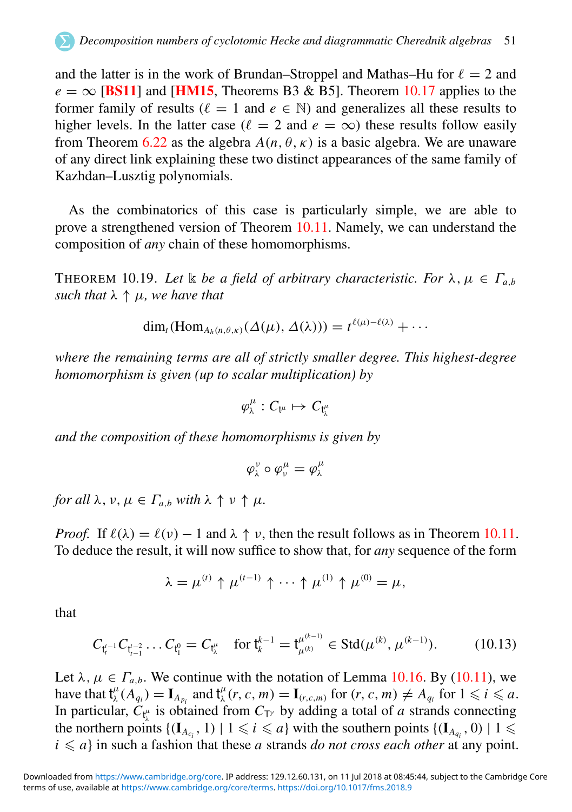and the latter is in the work of Brundan–Stroppel and Mathas–Hu for  $\ell = 2$  and  $e = \infty$  [**[BS11](#page-63-6)**] and [**[HM15](#page-64-6)**, Theorems B3 & B5]. Theorem [10.17](#page-49-1) applies to the former family of results ( $\ell = 1$  and  $e \in \mathbb{N}$ ) and generalizes all these results to higher levels. In the latter case ( $\ell = 2$  and  $e = \infty$ ) these results follow easily from Theorem [6.22](#page-34-1) as the algebra  $A(n, \theta, \kappa)$  is a basic algebra. We are unaware of any direct link explaining these two distinct appearances of the same family of Kazhdan–Lusztig polynomials.

<span id="page-51-2"></span>As the combinatorics of this case is particularly simple, we are able to prove a strengthened version of Theorem [10.11.](#page-45-0) Namely, we can understand the composition of *any* chain of these homomorphisms.

THEOREM 10.19. Let  $\&$  be a field of arbitrary characteristic. For  $\lambda, \mu \in \Gamma_{a,b}$ *such that*  $\lambda \uparrow \mu$ *, we have that* 

$$
\dim_t(\mathrm{Hom}_{A_h(n,\theta,\kappa)}(\Delta(\mu),\Delta(\lambda)))=t^{\ell(\mu)-\ell(\lambda)}+\cdots
$$

<span id="page-51-1"></span>*where the remaining terms are all of strictly smaller degree. This highest-degree homomorphism is given (up to scalar multiplication) by*

$$
\varphi_\lambda^\mu:C_{\mathfrak{t}^\mu}\mapsto C_{\mathfrak{t}^\mu_\lambda}
$$

*and the composition of these homomorphisms is given by*

$$
\varphi_\lambda^\nu\circ\varphi_\nu^\mu=\varphi_\lambda^\mu
$$

*for all*  $\lambda$ ,  $\nu$ ,  $\mu \in \Gamma_{a,b}$  *with*  $\lambda \uparrow \nu \uparrow \mu$ .

*Proof.* If  $\ell(\lambda) = \ell(\nu) - 1$  and  $\lambda \uparrow \nu$ , then the result follows as in Theorem [10.11.](#page-45-0) To deduce the result, it will now suffice to show that, for *any* sequence of the form

$$
\lambda = \mu^{(t)} \uparrow \mu^{(t-1)} \uparrow \cdots \uparrow \mu^{(1)} \uparrow \mu^{(0)} = \mu,
$$

<span id="page-51-3"></span>that

$$
C_{\mathfrak{t}_{i}^{t-1}} C_{\mathfrak{t}_{i-1}^{t-2}} \ldots C_{\mathfrak{t}_{1}^{0}} = C_{\mathfrak{t}_{\lambda}^{\mu}} \quad \text{for } \mathfrak{t}_{k}^{k-1} = \mathfrak{t}_{\mu^{(k)}}^{\mu^{(k-1)}} \in \text{Std}(\mu^{(k)}, \mu^{(k-1)}). \tag{10.13}
$$

<span id="page-51-0"></span>Let  $\lambda, \mu \in \Gamma_{a,b}$ . We continue with the notation of Lemma [10.16.](#page-49-2) By [\(10.11\)](#page-49-3), we have that  $\mathsf{t}^{\mu}_{\lambda}(A_{q_i}) = \mathbf{I}_{A_{p_i}}$  and  $\mathsf{t}^{\mu}_{\lambda}(r, c, m) = \mathbf{I}_{(r, c, m)}$  for  $(r, c, m) \neq A_{q_i}$  for  $1 \leq i \leq a$ . In particular,  $C_{t_i^{\mu}}$  is obtained from  $C_{T^{\gamma}}$  by adding a total of *a* strands connecting the northern points  $\{(\mathbf{I}_{A_{c_i}}, 1) \mid 1 \leq i \leq a\}$  with the southern points  $\{(\mathbf{I}_{A_{q_i}}, 0) \mid 1 \leq a_i\}$  $i \leq a$  in such a fashion that these *a* strands *do not cross each other* at any point.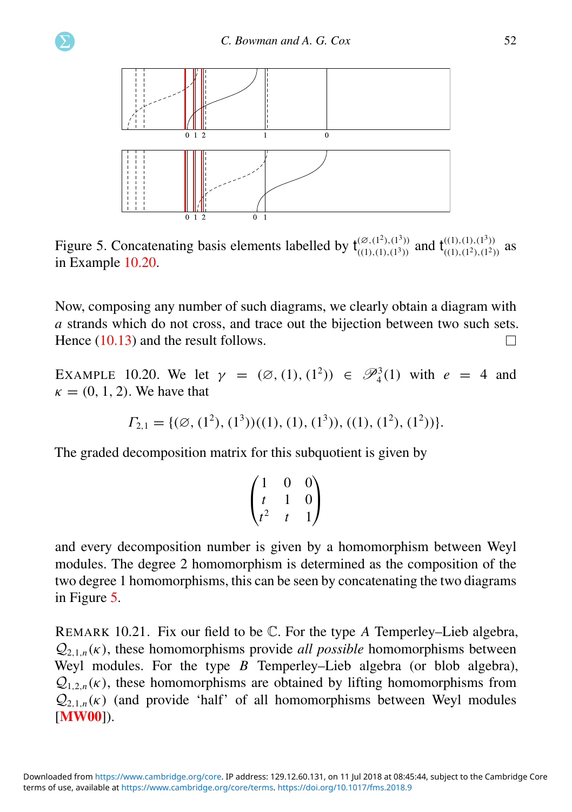<span id="page-52-1"></span>

Figure 5. Concatenating basis elements labelled by  $t_{(1)}^{(\varnothing,(1^2),(1^3))}$  $\frac{(\emptyset, (1^2), (1^3))}{((1), (1), (1^3))}$  and  $\mathbf{t}_{((1), (1^2), (1^2))}^{((1), (1^3))}$  $\binom{(1), (1), (1')}{(1), (1^2), (1^2)}$  as in Example [10.20.](#page-51-1)

Now, composing any number of such diagrams, we clearly obtain a diagram with *a* strands which do not cross, and trace out the bijection between two such sets. Hence  $(10.13)$  and the result follows.  $\Box$ 

<span id="page-52-2"></span>EXAMPLE 10.20. We let  $\gamma = (\emptyset, (1), (1^2)) \in \mathcal{P}_4^3(1)$  with  $e = 4$  and  $\kappa = (0, 1, 2)$ . We have that

$$
\Gamma_{2,1} = \{ (\emptyset, (1^2), (1^3))((1), (1), (1^3)), ((1), (1^2), (1^2)) \}.
$$

The graded decomposition matrix for this subquotient is given by

$$
\begin{pmatrix} 1 & 0 & 0 \ t & 1 & 0 \ t^2 & t & 1 \end{pmatrix}
$$

and every decomposition number is given by a homomorphism between Weyl modules. The degree 2 homomorphism is determined as the composition of the two degree 1 homomorphisms, this can be seen by concatenating the two diagrams in Figure [5.](#page-51-2)

<span id="page-52-0"></span>REMARK 10.21. Fix our field to be C. For the type *A* Temperley–Lieb algebra,  $Q_{2,1,n}(\kappa)$ , these homomorphisms provide *all possible* homomorphisms between Weyl modules. For the type *B* Temperley–Lieb algebra (or blob algebra),  $Q_{1,2,n}(\kappa)$ , these homomorphisms are obtained by lifting homomorphisms from  $Q_{2,1,n}(\kappa)$  (and provide 'half' of all homomorphisms between Weyl modules [**[MW00](#page-64-20)**]).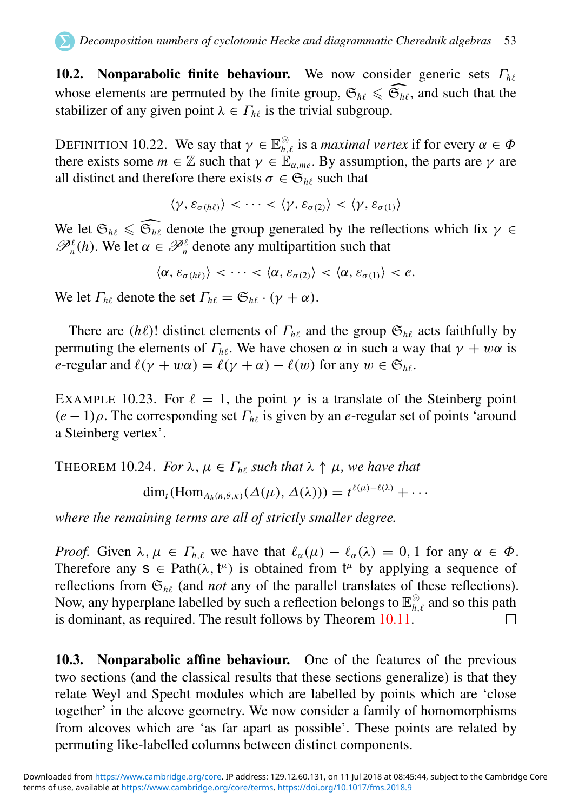10.2. Nonparabolic finite behaviour. We now consider generic sets Γ*h*<sup>ℓ</sup> whose elements are permuted by the finite group,  $\mathfrak{S}_{h\ell} \leq \widehat{\mathfrak{S}_{h\ell}}$ , and such that the stabilizer of any given point  $\lambda \in \Gamma_{h\ell}$  is the trivial subgroup.

DEFINITION 10.22. We say that  $\gamma \in \mathbb{E}_{h,\ell}^{\circledcirc}$  is a *maximal vertex* if for every  $\alpha \in \Phi$ there exists some  $m \in \mathbb{Z}$  such that  $\gamma \in \mathbb{E}_{\alpha m e}$ . By assumption, the parts are  $\gamma$  are all distinct and therefore there exists  $\sigma \in \mathfrak{S}_{h\ell}$  such that

$$
\langle \gamma, \varepsilon_{\sigma(h\ell)} \rangle < \cdots < \langle \gamma, \varepsilon_{\sigma(2)} \rangle < \langle \gamma, \varepsilon_{\sigma(1)} \rangle
$$

<span id="page-53-0"></span>We let  $\mathfrak{S}_{h\ell} \leq \widehat{\mathfrak{S}_{h\ell}}$  denote the group generated by the reflections which fix  $\gamma \in \mathcal{P}_n^{\ell}(h)$ . We let  $\alpha \in \mathcal{P}_n^{\ell}$  denote any multipartition such that

$$
\langle \alpha, \varepsilon_{\sigma(h\ell)} \rangle < \cdots < \langle \alpha, \varepsilon_{\sigma(2)} \rangle < \langle \alpha, \varepsilon_{\sigma(1)} \rangle < e.
$$

We let  $\Gamma_{h\ell}$  denote the set  $\Gamma_{h\ell} = \mathfrak{S}_{h\ell} \cdot (\gamma + \alpha)$ .

There are ( $h\ell$ )! distinct elements of  $\Gamma_{h\ell}$  and the group  $\mathfrak{S}_{h\ell}$  acts faithfully by permuting the elements of  $\Gamma_{h\ell}$ . We have chosen  $\alpha$  in such a way that  $\gamma + w\alpha$  is *e*-regular and  $\ell(\gamma + w\alpha) = \ell(\gamma + \alpha) - \ell(w)$  for any  $w \in \mathfrak{S}_{h\ell}$ .

<span id="page-53-1"></span>EXAMPLE 10.23. For  $\ell = 1$ , the point  $\gamma$  is a translate of the Steinberg point  $(e-1)\rho$ . The corresponding set  $\Gamma_{h\ell}$  is given by an *e*-regular set of points 'around a Steinberg vertex'.

THEOREM 10.24. *For*  $\lambda, \mu \in \Gamma_{h\ell}$  *such that*  $\lambda \uparrow \mu$ *, we have that* 

 $\dim_t(\text{Hom}_{A_h(n,\theta,\kappa)}(\Delta(\mu),\Delta(\lambda)))=t^{\ell(\mu)-\ell(\lambda)}+\cdots$ 

*where the remaining terms are all of strictly smaller degree.*

*Proof.* Given  $\lambda, \mu \in \Gamma_{h,\ell}$  we have that  $\ell_{\alpha}(\mu) - \ell_{\alpha}(\lambda) = 0, 1$  for any  $\alpha \in \Phi$ . Therefore any  $s \in \text{Path}(\lambda, t^{\mu})$  is obtained from  $t^{\mu}$  by applying a sequence of reflections from  $\mathfrak{S}_{h\ell}$  (and *not* any of the parallel translates of these reflections). Now, any hyperplane labelled by such a reflection belongs to  $\mathbb{E}_{h,\ell}^{\odot}$  and so this path is dominant, as required. The result follows by Theorem [10.11.](#page-45-0)  $\Box$ 

10.3. Nonparabolic affine behaviour. One of the features of the previous two sections (and the classical results that these sections generalize) is that they relate Weyl and Specht modules which are labelled by points which are 'close together' in the alcove geometry. We now consider a family of homomorphisms from alcoves which are 'as far apart as possible'. These points are related by permuting like-labelled columns between distinct components.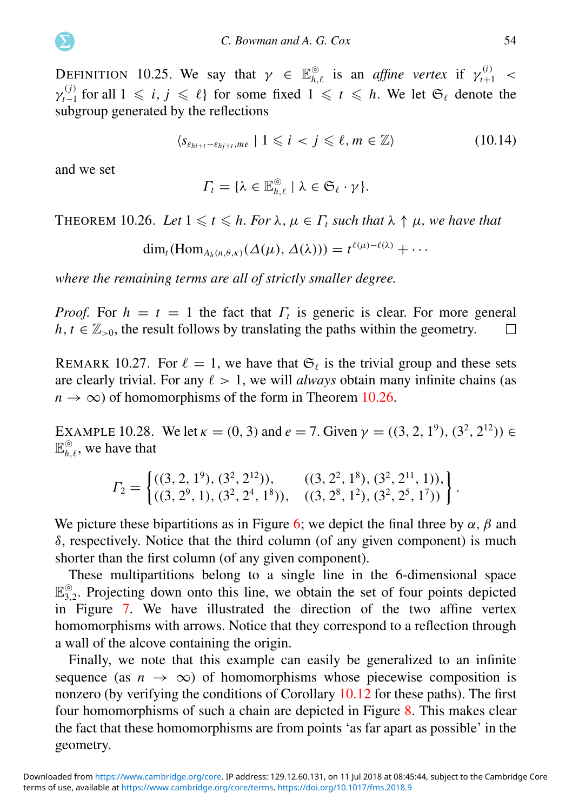DEFINITION 10.25. We say that  $\gamma \in \mathbb{E}_{h,\ell}^{\circ}$  is an *affine vertex* if  $\gamma_{t+1}^{(i)}$  <  $\gamma_{t-1}^{(j)}$  for all  $1 \leq i, j \leq \ell$  for some fixed  $1 \leq t \leq h$ . We let  $\mathfrak{S}_{\ell}$  denote the subgroup generated by the reflections

$$
\langle s_{\varepsilon_{hi+t}-\varepsilon_{hj+t},me} \mid 1 \leqslant i \leq j \leqslant \ell, m \in \mathbb{Z} \rangle \tag{10.14}
$$

and we set

<span id="page-54-1"></span>
$$
\Gamma_t = \{ \lambda \in \mathbb{E}_{h,\ell}^{\odot} \mid \lambda \in \mathfrak{S}_{\ell} \cdot \gamma \}.
$$

THEOREM 10.26. Let  $1 \le t \le h$ . For  $\lambda, \mu \in \Gamma_t$  such that  $\lambda \uparrow \mu$ , we have that

<span id="page-54-2"></span>
$$
\dim_t(\mathrm{Hom}_{A_h(n,\theta,\kappa)}(\Delta(\mu),\Delta(\lambda)))=t^{\ell(\mu)-\ell(\lambda)}+\cdots
$$

*where the remaining terms are all of strictly smaller degree.*

*Proof.* For  $h = t = 1$  the fact that  $\Gamma_t$  is generic is clear. For more general  $h, t \in \mathbb{Z}_{>0}$ , the result follows by translating the paths within the geometry. П

REMARK 10.27. For  $\ell = 1$ , we have that  $\mathfrak{S}_{\ell}$  is the trivial group and these sets are clearly trivial. For any  $\ell > 1$ , we will *always* obtain many infinite chains (as  $n \to \infty$ ) of homomorphisms of the form in Theorem [10.26.](#page-53-0)

<span id="page-54-3"></span>EXAMPLE 10.28. We let  $\kappa = (0, 3)$  and  $e = 7$ . Given  $\gamma = ((3, 2, 1^9), (3^2, 2^{12})) \in$  $\mathbb{E}_{h,\ell}^{\odot}$ , we have that

$$
\Gamma_2 = \left\{ \begin{matrix} ((3, 2, 1^9), (3^2, 2^{12})), & ((3, 2^2, 1^8), (3^2, 2^{11}, 1)), \\ ((3, 2^9, 1), (3^2, 2^4, 1^8)), & ((3, 2^8, 1^2), (3^2, 2^5, 1^7)) \end{matrix} \right\}.
$$

We picture these bipartitions as in Figure [6;](#page-54-1) we depict the final three by  $\alpha$ ,  $\beta$  and  $\delta$ , respectively. Notice that the third column (of any given component) is much shorter than the first column (of any given component).

These multipartitions belong to a single line in the 6-dimensional space  $\mathbb{E}_{3,2}^{\otimes}$ . Projecting down onto this line, we obtain the set of four points depicted in Figure [7.](#page-54-2) We have illustrated the direction of the two affine vertex homomorphisms with arrows. Notice that they correspond to a reflection through a wall of the alcove containing the origin.

<span id="page-54-0"></span>Finally, we note that this example can easily be generalized to an infinite sequence (as  $n \to \infty$ ) of homomorphisms whose piecewise composition is nonzero (by verifying the conditions of Corollary [10.12](#page-48-0) for these paths). The first four homomorphisms of such a chain are depicted in Figure [8.](#page-54-3) This makes clear the fact that these homomorphisms are from points 'as far apart as possible' in the geometry.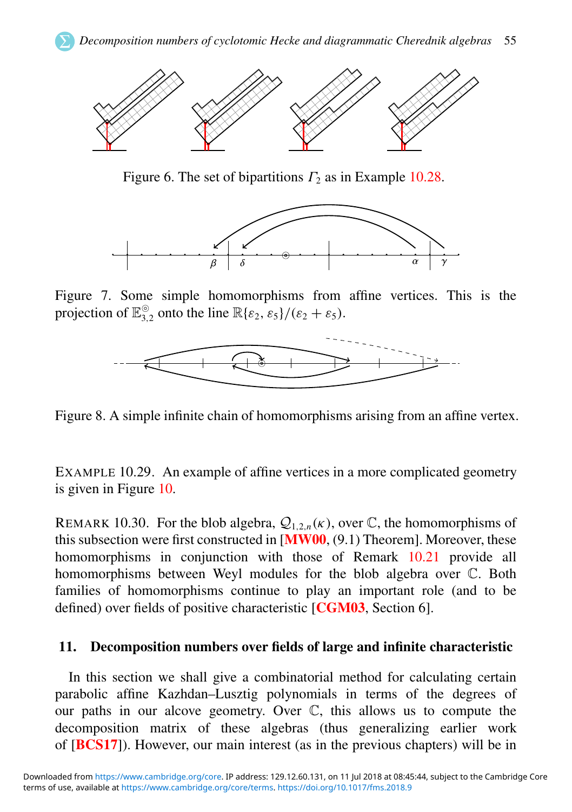

Figure 6. The set of bipartitions  $\Gamma_2$  as in Example [10.28.](#page-53-1)



Figure 7. Some simple homomorphisms from affine vertices. This is the projection of  $\mathbb{E}_{3,2}^{\circ}$  onto the line  $\mathbb{R}\{\varepsilon_2, \varepsilon_5\} / (\varepsilon_2 + \varepsilon_5)$ .



Figure 8. A simple infinite chain of homomorphisms arising from an affine vertex.

EXAMPLE 10.29. An example of affine vertices in a more complicated geometry is given in Figure [10.](#page-62-0)

REMARK 10.30. For the blob algebra,  $Q_{1,2,n}(\kappa)$ , over C, the homomorphisms of this subsection were first constructed in  $[MW00, (9.1)$  $[MW00, (9.1)$  $[MW00, (9.1)$  Theorem]. Moreover, these homomorphisms in conjunction with those of Remark [10.21](#page-51-3) provide all homomorphisms between Weyl modules for the blob algebra over C. Both families of homomorphisms continue to play an important role (and to be defined) over fields of positive characteristic [[CGM03](#page-63-7), Section 6].

#### 11. Decomposition numbers over fields of large and infinite characteristic

In this section we shall give a combinatorial method for calculating certain parabolic affine Kazhdan–Lusztig polynomials in terms of the degrees of our paths in our alcove geometry. Over C, this allows us to compute the decomposition matrix of these algebras (thus generalizing earlier work of [[BCS17](#page-63-13)]). However, our main interest (as in the previous chapters) will be in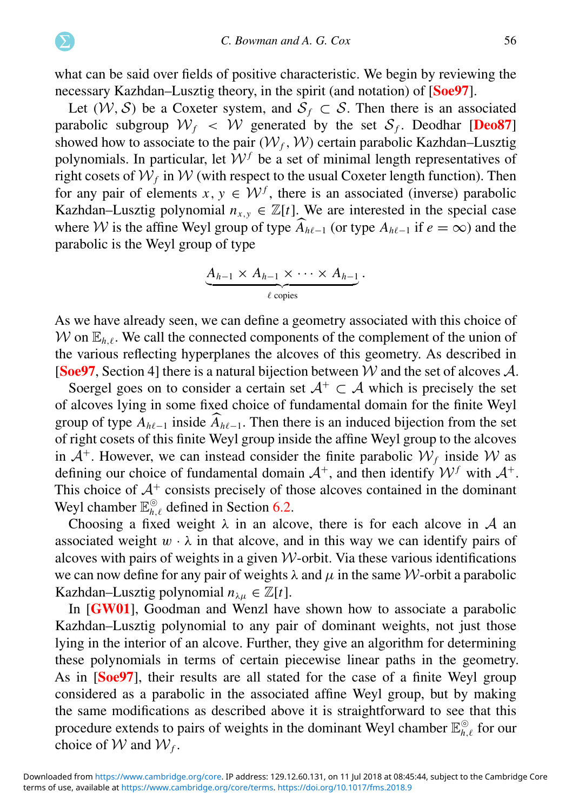what can be said over fields of positive characteristic. We begin by reviewing the necessary Kazhdan–Lusztig theory, in the spirit (and notation) of [[Soe97](#page-65-7)].

<span id="page-56-2"></span>Let  $(W, S)$  be a Coxeter system, and  $S_f \subset S$ . Then there is an associated parabolic subgroup  $W_f \prec W$  generated by the set  $S_f$ . Deodhar [[Deo87](#page-63-20)] showed how to associate to the pair  $(W_f, W)$  certain parabolic Kazhdan–Lusztig polynomials. In particular, let  $W<sup>f</sup>$  be a set of minimal length representatives of right cosets of  $\mathcal{W}_f$  in  $\mathcal W$  (with respect to the usual Coxeter length function). Then for any pair of elements  $x, y \in \mathcal{W}^f$ , there is an associated (inverse) parabolic Kazhdan–Lusztig polynomial  $n_{x,y} \in \mathbb{Z}[t]$ . We are interested in the special case where W is the affine Weyl group of type  $\widehat{A}_{h\ell-1}$  (or type  $A_{h\ell-1}$  if  $e = \infty$ ) and the parabolic is the Weyl group of type

<span id="page-56-0"></span>
$$
\underbrace{A_{h-1} \times A_{h-1} \times \cdots \times A_{h-1}}_{\ell \text{ copies}}.
$$

As we have already seen, we can define a geometry associated with this choice of W on  $\mathbb{E}_{h\ell}$ . We call the connected components of the complement of the union of the various reflecting hyperplanes the alcoves of this geometry. As described in [[Soe97](#page-65-7), Section 4] there is a natural bijection between W and the set of alcoves A.

Soergel goes on to consider a certain set  $A^+ \subset A$  which is precisely the set of alcoves lying in some fixed choice of fundamental domain for the finite Weyl group of type  $A_{h\ell-1}$  inside  $\widehat{A}_{h\ell-1}$ . Then there is an induced bijection from the set of right cosets of this finite Weyl group inside the affine Weyl group to the alcoves in  $A^+$ . However, we can instead consider the finite parabolic  $W_f$  inside W as defining our choice of fundamental domain  $A^+$ , and then identify  $W^f$  with  $A^+$ . This choice of  $A<sup>+</sup>$  consists precisely of those alcoves contained in the dominant Weyl chamber  $\mathbb{E}_{h,\ell}^{\odot}$  defined in Section [6.2.](#page-27-0)

Choosing a fixed weight  $\lambda$  in an alcove, there is for each alcove in A an associated weight  $w \cdot \lambda$  in that alcove, and in this way we can identify pairs of alcoves with pairs of weights in a given  $W$ -orbit. Via these various identifications we can now define for any pair of weights  $\lambda$  and  $\mu$  in the same W-orbit a parabolic Kazhdan–Lusztig polynomial  $n_{\lambda\mu} \in \mathbb{Z}[t]$ .

<span id="page-56-1"></span>In [[GW01](#page-64-22)], Goodman and Wenzl have shown how to associate a parabolic Kazhdan–Lusztig polynomial to any pair of dominant weights, not just those lying in the interior of an alcove. Further, they give an algorithm for determining these polynomials in terms of certain piecewise linear paths in the geometry. As in [[Soe97](#page-65-7)], their results are all stated for the case of a finite Weyl group considered as a parabolic in the associated affine Weyl group, but by making the same modifications as described above it is straightforward to see that this procedure extends to pairs of weights in the dominant Weyl chamber  $\mathbb{E}_{h,\ell}^{\odot}$  for our choice of  $W$  and  $W_f$ .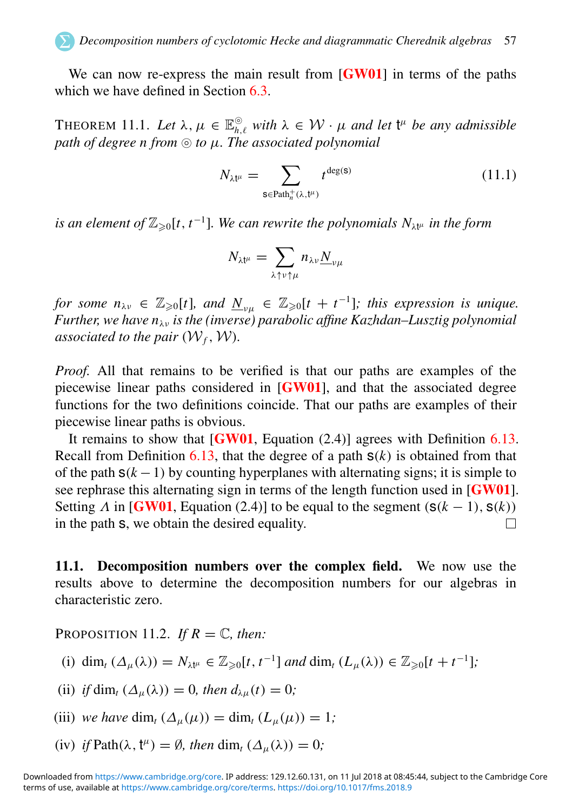We can now re-express the main result from  $[GW01]$  $[GW01]$  $[GW01]$  in terms of the paths which we have defined in Section [6.3.](#page-29-0)

THEOREM 11.1. Let  $\lambda, \mu \in \mathbb{E}_{h,\ell}^{\circledcirc}$  with  $\lambda \in \mathcal{W} \cdot \mu$  and let  $\mathfrak{t}^{\mu}$  be any admissible *path of degree n from* ⊚ *to* µ*. The associated polynomial*

$$
N_{\lambda t^{\mu}} = \sum_{\mathbf{s} \in \text{Path}_{n}^{+}(\lambda, t^{\mu})} t^{\deg(\mathbf{s})}
$$
(11.1)

is an element of  $\mathbb{Z}_{\geqslant 0}[t, t^{-1}]$ . We can rewrite the polynomials  $N_{\lambda t^{\mu}}$  in the form

$$
N_{\lambda t^{\mu}} = \sum_{\lambda \uparrow \nu \uparrow \mu} n_{\lambda \nu} \underline{N}_{\nu \mu}
$$

*for some*  $n_{\lambda v} \in \mathbb{Z}_{\geqslant 0}[t]$ *, and*  $\underline{N}_{v\mu} \in \mathbb{Z}_{\geqslant 0}[t+t^{-1}]$ *; this expression is unique. Further, we have n*λν *is the (inverse) parabolic affine Kazhdan–Lusztig polynomial associated to the pair*  $(W_f, W)$ *.* 

*Proof.* All that remains to be verified is that our paths are examples of the piecewise linear paths considered in [[GW01](#page-64-22)], and that the associated degree functions for the two definitions coincide. That our paths are examples of their piecewise linear paths is obvious.

It remains to show that  $[GW01, Equation (2.4)]$  $[GW01, Equation (2.4)]$  $[GW01, Equation (2.4)]$  agrees with Definition [6.13.](#page-29-1) Recall from Definition  $6.13$ , that the degree of a path  $s(k)$  is obtained from that of the path  $s(k-1)$  by counting hyperplanes with alternating signs; it is simple to see rephrase this alternating sign in terms of the length function used in [[GW01](#page-64-22)]. Setting  $\Lambda$  in [[GW01](#page-64-22), Equation (2.4)] to be equal to the segment ( $s(k - 1)$ ,  $s(k)$ ) in the path s, we obtain the desired equality. П

11.1. Decomposition numbers over the complex field. We now use the results above to determine the decomposition numbers for our algebras in characteristic zero.

PROPOSITION 11.2. *If*  $R = \mathbb{C}$ *, then:* 

(i) dim<sub>t</sub> 
$$
(\Delta_{\mu}(\lambda)) = N_{\lambda t^{\mu}} \in \mathbb{Z}_{\geq 0}[t, t^{-1}]
$$
 and dim<sub>t</sub>  $(L_{\mu}(\lambda)) \in \mathbb{Z}_{\geq 0}[t + t^{-1}];$ 

<span id="page-57-0"></span>(ii) *if* dim<sub>t</sub>  $(\Delta_{\mu}(\lambda)) = 0$ *, then*  $d_{\lambda\mu}(t) = 0$ *;* 

(iii) we have 
$$
\dim_t (\Delta_\mu(\mu)) = \dim_t (L_\mu(\mu)) = 1;
$$

(iv) *if* Path( $\lambda$ ,  $t^{\mu}$ ) =  $\emptyset$ *, then* dim<sub>t</sub> ( $\Delta_{\mu}(\lambda)$ ) = 0*;*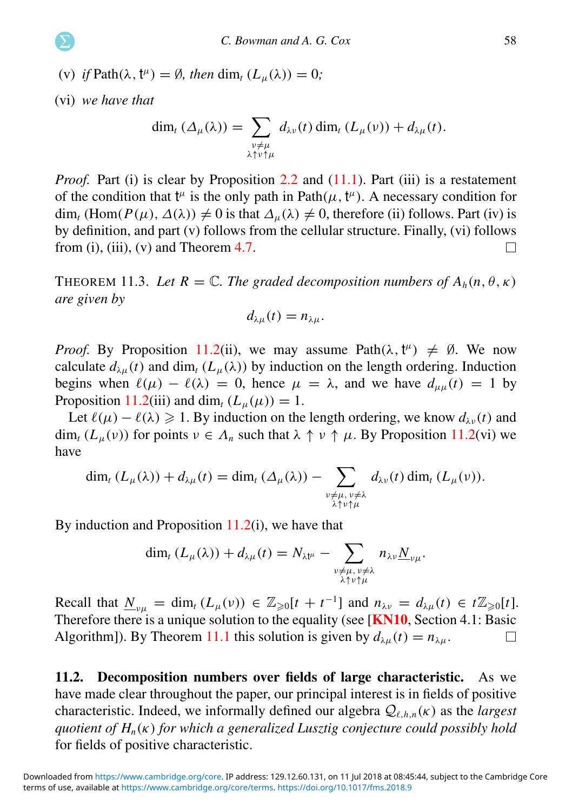(v) *if* Path $(\lambda, t^{\mu}) = \emptyset$ *, then* dim<sub>t</sub>  $(L_{\mu}(\lambda)) = 0$ ;

<span id="page-58-1"></span>(vi) *we have that*

$$
\dim_t (\Delta_\mu(\lambda)) = \sum_{\substack{\nu \neq \mu \\ \lambda \uparrow \nu \uparrow \mu}} d_{\lambda \nu}(t) \dim_t (L_\mu(\nu)) + d_{\lambda \mu}(t).
$$

*Proof.* Part (i) is clear by Proposition [2.2](#page-7-1) and [\(11.1\)](#page-56-0). Part (iii) is a restatement of the condition that  $t^{\mu}$  is the only path in Path $(\mu, t^{\mu})$ . A necessary condition for  $\dim_t (\text{Hom}(P(\mu), \Delta(\lambda)) \neq 0$  is that  $\Delta_u(\lambda) \neq 0$ , therefore (ii) follows. Part (iv) is by definition, and part (v) follows from the cellular structure. Finally, (vi) follows from (i), (iii), (v) and Theorem  $4.7$ .  $\Box$ 

THEOREM 11.3. Let  $R = \mathbb{C}$ . The graded decomposition numbers of  $A_h(n, \theta, \kappa)$ *are given by*

$$
d_{\lambda\mu}(t)=n_{\lambda\mu}.
$$

<span id="page-58-0"></span>*Proof.* By Proposition [11.2\(](#page-56-1)ii), we may assume Path $(\lambda, t^{\mu}) \neq \emptyset$ . We now calculate  $d_{\lambda\mu}(t)$  and dim<sub>t</sub>  $(L_{\mu}(\lambda))$  by induction on the length ordering. Induction begins when  $\ell(\mu) - \ell(\lambda) = 0$ , hence  $\mu = \lambda$ , and we have  $d_{\mu\mu}(t) = 1$  by Proposition [11.2\(](#page-56-1)iii) and dim<sub>t</sub>  $(L_u(\mu)) = 1$ .

Let  $\ell(\mu) - \ell(\lambda) \ge 1$ . By induction on the length ordering, we know  $d_{\lambda\nu}(t)$  and dim<sub>t</sub>  $(L_u(v))$  for points  $v \in A_n$  such that  $\lambda \uparrow v \uparrow \mu$ . By Proposition [11.2\(](#page-56-1)vi) we have

$$
\dim_t (L_\mu(\lambda)) + d_{\lambda\mu}(t) = \dim_t (\Delta_\mu(\lambda)) - \sum_{\substack{\nu \neq \mu, \nu \neq \lambda \\ \lambda \uparrow \nu \uparrow \mu}} d_{\lambda\nu}(t) \dim_t (L_\mu(\nu)).
$$

By induction and Proposition  $11.2(i)$  $11.2(i)$ , we have that

$$
\dim_t (L_\mu(\lambda)) + d_{\lambda\mu}(t) = N_{\lambda t^\mu} - \sum_{\substack{\nu \neq \mu, \nu \neq \lambda \\ \lambda \uparrow \nu \uparrow \mu}} n_{\lambda\nu} \underline{N}_{\nu\mu}.
$$

Recall that  $\underline{N}_{\nu\mu} = \dim_t (L_\mu(\nu)) \in \mathbb{Z}_{\geq 0}[t + t^{-1}]$  and  $n_{\lambda\nu} = d_{\lambda\mu}(t) \in t\mathbb{Z}_{\geq 0}[t]$ . Therefore there is a unique solution to the equality (see [**[KN10](#page-64-23)**, Section 4.1: Basic Algorithm]). By Theorem [11.1](#page-56-2) this solution is given by  $d_{\lambda\mu}(t) = n_{\lambda\mu}$ .  $\Box$ 

11.2. Decomposition numbers over fields of large characteristic. As we have made clear throughout the paper, our principal interest is in fields of positive characteristic. Indeed, we informally defined our algebra  $Q_{\ell,h,n}(\kappa)$  as the *largest quotient of Hn*(κ) *for which a generalized Lusztig conjecture could possibly hold* for fields of positive characteristic.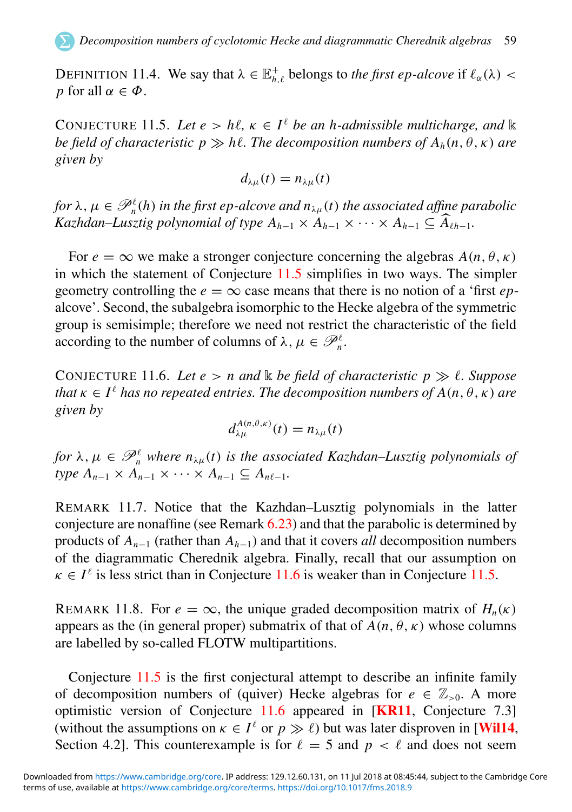DEFINITION 11.4. We say that  $\lambda \in \mathbb{E}_{h,\ell}^+$  belongs to *the first ep-alcove* if  $\ell_\alpha(\lambda)$  < *p* for all  $\alpha \in \Phi$ .

CONJECTURE 11.5. Let  $e > h\ell$ ,  $\kappa \in I^{\ell}$  be an h-admissible multicharge, and k *be field of characteristic*  $p \gg h\ell$ *. The decomposition numbers of*  $A_h(n, \theta, \kappa)$  *are given by*

$$
d_{\lambda\mu}(t)=n_{\lambda\mu}(t)
$$

*for*  $\lambda$ ,  $\mu \in \mathscr{P}_n^{\ell}(h)$  *in the first ep-alcove and*  $n_{\lambda\mu}(t)$  *the associated affine parabolic Kazhdan–Lusztig polynomial of type*  $A_{h-1} \times A_{h-1} \times \cdots \times A_{h-1} \subseteq \widehat{A}_{h-1}$ .

For  $e = \infty$  we make a stronger conjecture concerning the algebras  $A(n, \theta, \kappa)$ in which the statement of Conjecture [11.5](#page-58-1) simplifies in two ways. The simpler geometry controlling the  $e = \infty$  case means that there is no notion of a 'first *ep*alcove'. Second, the subalgebra isomorphic to the Hecke algebra of the symmetric group is semisimple; therefore we need not restrict the characteristic of the field according to the number of columns of  $\lambda, \mu \in \mathcal{P}_n^{\ell}$ .

CONJECTURE 11.6. Let  $e > n$  and  $\&$  be field of characteristic  $p \gg \ell$ . Suppose *that*  $\kappa \in I^{\ell}$  *has no repeated entries. The decomposition numbers of*  $A(n, \theta, \kappa)$  *are given by*

$$
d_{\lambda\mu}^{A(n,\theta,\kappa)}(t)=n_{\lambda\mu}(t)
$$

for  $\lambda, \mu \in \mathscr{P}_n^{\ell}$  where  $n_{\lambda\mu}(t)$  is the associated Kazhdan–Lusztig polynomials of *<i>ype*  $A_{n-1} \times A_{n-1} \times \cdots \times A_{n-1} \subseteq A_{n\ell-1}$ .

REMARK 11.7. Notice that the Kazhdan–Lusztig polynomials in the latter conjecture are nonaffine (see Remark [6.23\)](#page-34-2) and that the parabolic is determined by products of  $A_{n-1}$  (rather than  $A_{h-1}$ ) and that it covers *all* decomposition numbers of the diagrammatic Cherednik algebra. Finally, recall that our assumption on  $\kappa \in I^{\ell}$  is less strict than in Conjecture [11.6](#page-58-0) is weaker than in Conjecture [11.5.](#page-58-1)

<span id="page-59-0"></span>REMARK 11.8. For  $e = \infty$ , the unique graded decomposition matrix of  $H_n(\kappa)$ appears as the (in general proper) submatrix of that of  $A(n, \theta, \kappa)$  whose columns are labelled by so-called FLOTW multipartitions.

Conjecture [11.5](#page-58-1) is the first conjectural attempt to describe an infinite family of decomposition numbers of (quiver) Hecke algebras for  $e \in \mathbb{Z}_{>0}$ . A more optimistic version of Conjecture [11.6](#page-58-0) appeared in [[KR11](#page-64-7), Conjecture 7.3] (without the assumptions on  $\kappa \in I^{\ell}$  or  $p \gg \ell$ ) but was later disproven in [[Wil14](#page-65-6), Section 4.2]. This counterexample is for  $\ell = 5$  and  $p < \ell$  and does not seem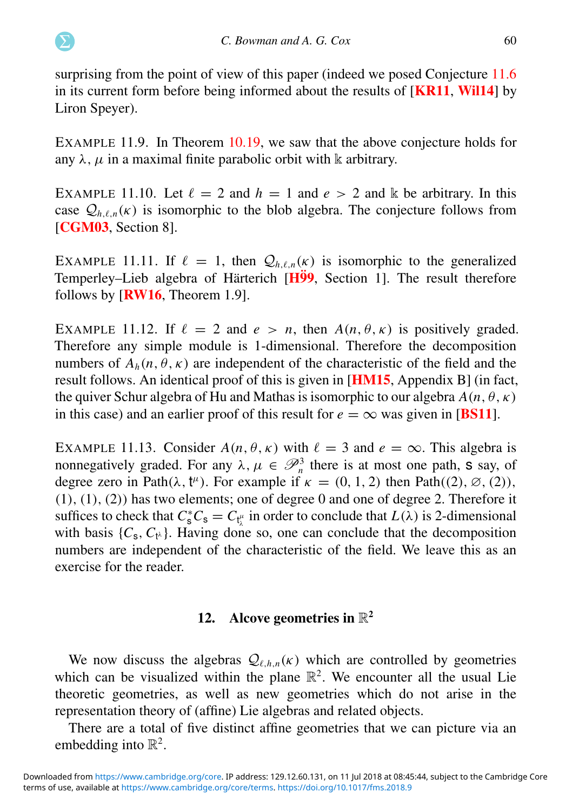surprising from the point of view of this paper (indeed we posed Conjecture [11.6](#page-58-0) in its current form before being informed about the results of [[KR11](#page-64-7), [Wil14](#page-65-6)] by Liron Speyer).

EXAMPLE 11.9. In Theorem [10.19,](#page-50-0) we saw that the above conjecture holds for any  $\lambda$ ,  $\mu$  in a maximal finite parabolic orbit with k arbitrary.

<span id="page-60-0"></span>EXAMPLE 11.10. Let  $\ell = 2$  and  $h = 1$  and  $e > 2$  and k be arbitrary. In this case  $Q_{h,\ell,n}(\kappa)$  is isomorphic to the blob algebra. The conjecture follows from [[CGM03](#page-63-7), Section 8].

EXAMPLE 11.11. If  $\ell = 1$ , then  $\mathcal{Q}_{h,\ell,n}(\kappa)$  is isomorphic to the generalized Temperley–Lieb algebra of Härterich  $[H\ddot{9}9,$  Section 1]. The result therefore follows by [[RW16](#page-65-3), Theorem 1.9].

EXAMPLE 11.12. If  $\ell = 2$  and  $e > n$ , then  $A(n, \theta, \kappa)$  is positively graded. Therefore any simple module is 1-dimensional. Therefore the decomposition numbers of  $A_h(n, \theta, \kappa)$  are independent of the characteristic of the field and the result follows. An identical proof of this is given in [[HM15](#page-64-6), Appendix B] (in fact, the quiver Schur algebra of Hu and Mathas is isomorphic to our algebra  $A(n, \theta, \kappa)$ in this case) and an earlier proof of this result for  $e = \infty$  was given in [[BS11](#page-63-6)].

EXAMPLE 11.13. Consider  $A(n, \theta, \kappa)$  with  $\ell = 3$  and  $e = \infty$ . This algebra is nonnegatively graded. For any  $\lambda, \mu \in \mathcal{P}_n^3$  there is at most one path, **s** say, of degree zero in Path $(\lambda, t^{\mu})$ . For example if  $\kappa = (0, 1, 2)$  then Path $((2), \emptyset, (2))$ ,  $(1), (1), (2)$  has two elements; one of degree 0 and one of degree 2. Therefore it suffices to check that  $C_s^* C_s = C_{t_k^{\mu}}$  in order to conclude that  $L(\lambda)$  is 2-dimensional with basis  $\{C_s, C_{t^{\lambda}}\}$ . Having done so, one can conclude that the decomposition numbers are independent of the characteristic of the field. We leave this as an exercise for the reader.

#### 12. Alcove geometries in  $\mathbb{R}^2$

We now discuss the algebras  $Q_{\ell,h,n}(\kappa)$  which are controlled by geometries which can be visualized within the plane  $\mathbb{R}^2$ . We encounter all the usual Lie theoretic geometries, as well as new geometries which do not arise in the representation theory of (affine) Lie algebras and related objects.

<span id="page-60-1"></span>There are a total of five distinct affine geometries that we can picture via an embedding into  $\mathbb{R}^2$ .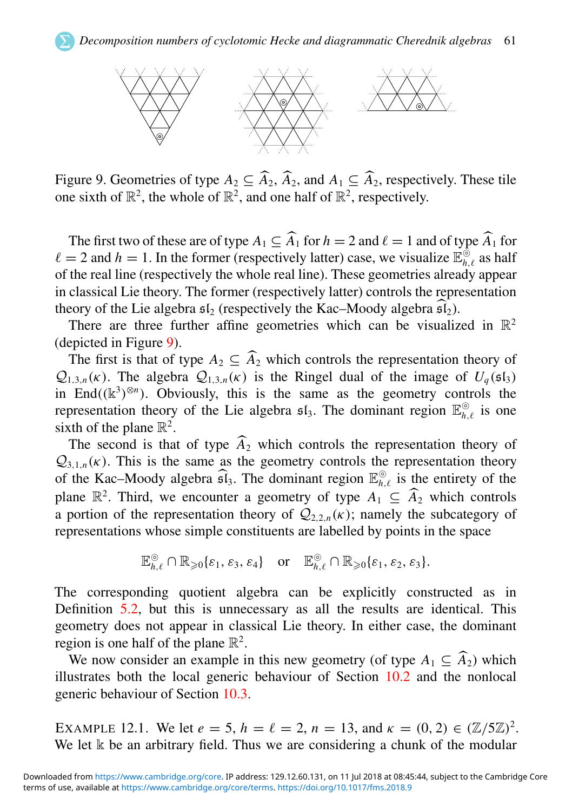

Figure 9. Geometries of type  $A_2 \subseteq \widehat{A}_2$ ,  $\widehat{A}_2$ , and  $A_1 \subseteq \widehat{A}_2$ , respectively. These tile one sixth of  $\mathbb{R}^2$ , the whole of  $\mathbb{R}^2$ , and one half of  $\mathbb{R}^2$ , respectively.

The first two of these are of type  $A_1 \subseteq \widehat{A}_1$  for  $h = 2$  and  $\ell = 1$  and of type  $\widehat{A}_1$  for  $\ell = 2$  and  $h = 1$ . In the former (respectively latter) case, we visualize  $\mathbb{E}_{h,\ell}^{\circ}$  as half of the real line (respectively the whole real line). These geometries already appear in classical Lie theory. The former (respectively latter) controls the representation theory of the Lie algebra  $\mathfrak{sl}_2$  (respectively the Kac–Moody algebra  $\widehat{\mathfrak{sl}_2}$ ).

There are three further affine geometries which can be visualized in  $\mathbb{R}^2$ (depicted in Figure [9\)](#page-60-0).

The first is that of type  $A_2 \subseteq \widehat{A}_2$  which controls the representation theory of  $Q_{1,3,n}(\kappa)$ . The algebra  $Q_{1,3,n}(\kappa)$  is the Ringel dual of the image of  $U_a(\mathfrak{sl}_3)$ in End $((\mathbb{k}^3)^{\otimes n})$ . Obviously, this is the same as the geometry controls the representation theory of the Lie algebra  $\mathfrak{sl}_3$ . The dominant region  $\mathbb{E}_{h,\ell}^{\circ}$  is one sixth of the plane  $\mathbb{R}^2$ .

The second is that of type  $\widehat{A}_2$  which controls the representation theory of  $Q_{3,1,n}(\kappa)$ . This is the same as the geometry controls the representation theory of the Kac–Moody algebra  $\widehat{\mathfrak{sl}}_3$ . The dominant region  $\mathbb{E}_{h,\ell}^{\odot}$  is the entirety of the plane  $\mathbb{R}^2$ . Third, we encounter a geometry of type  $A_1 \subseteq \widehat{A}_2$  which controls a portion of the representation theory of  $Q_{2,2,n}(\kappa)$ ; namely the subcategory of representations whose simple constituents are labelled by points in the space

$$
\mathbb{E}_{h,\ell}^{\circledcirc} \cap \mathbb{R}_{\geqslant 0}\{\varepsilon_1,\varepsilon_3,\varepsilon_4\} \quad \text{or} \quad \mathbb{E}_{h,\ell}^{\circledcirc} \cap \mathbb{R}_{\geqslant 0}\{\varepsilon_1,\varepsilon_2,\varepsilon_3\}.
$$

The corresponding quotient algebra can be explicitly constructed as in Definition [5.2,](#page-18-1) but this is unnecessary as all the results are identical. This geometry does not appear in classical Lie theory. In either case, the dominant region is one half of the plane  $\mathbb{R}^2$ .

We now consider an example in this new geometry (of type  $A_1 \subseteq \widehat{A_2}$ ) which illustrates both the local generic behaviour of Section [10.2](#page-51-0) and the nonlocal generic behaviour of Section [10.3.](#page-52-0)

EXAMPLE 12.1. We let  $e = 5$ ,  $h = \ell = 2$ ,  $n = 13$ , and  $\kappa = (0, 2) \in (\mathbb{Z}/5\mathbb{Z})^2$ . We let k be an arbitrary field. Thus we are considering a chunk of the modular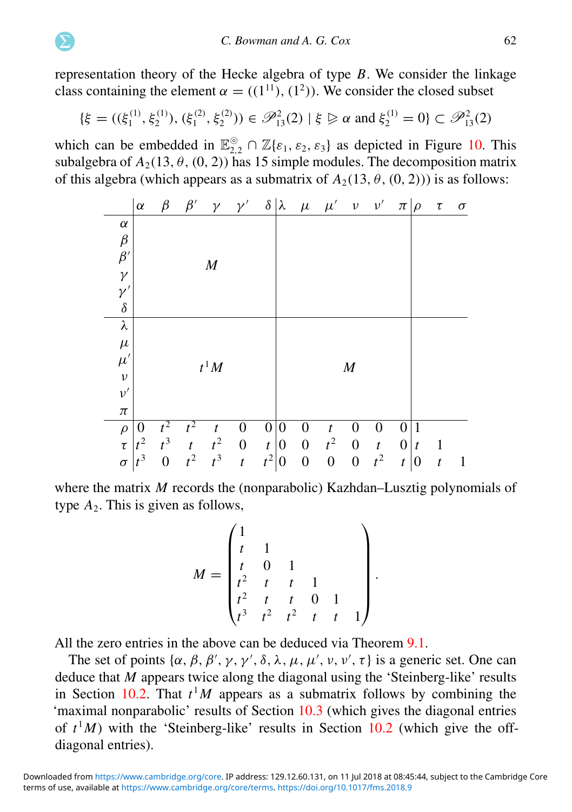representation theory of the Hecke algebra of type *B*. We consider the linkage class containing the element  $\alpha = ((1^{11}), (1^2))$ . We consider the closed subset

$$
\{\xi = ((\xi_1^{(1)}, \xi_2^{(1)}), (\xi_1^{(2)}, \xi_2^{(2)})) \in \mathscr{P}_{13}^2(2) \mid \xi \ge \alpha \text{ and } \xi_2^{(1)} = 0\} \subset \mathscr{P}_{13}^2(2)
$$

which can be embedded in  $\mathbb{E}_{2,2}^{\circ} \cap \mathbb{Z}\{\varepsilon_1,\varepsilon_2,\varepsilon_3\}$  as depicted in Figure [10.](#page-62-0) This subalgebra of  $A_2(13, \theta, (0, 2))$  has 15 simple modules. The decomposition matrix of this algebra (which appears as a submatrix of  $A_2(13, \theta, (0, 2))$ ) is as follows:

<span id="page-62-0"></span>

|                        | $\alpha$ | $\beta$          | $\beta'$         | $\mathcal{V}$     | $\gamma'$        |                  | $\delta$ $\lambda$ |                  | $\mu$ $\mu'$ $\nu$ $\nu'$ |                  |                  | $\pi$ $\rho$     |                  | $\tau$           | $\sigma$ |
|------------------------|----------|------------------|------------------|-------------------|------------------|------------------|--------------------|------------------|---------------------------|------------------|------------------|------------------|------------------|------------------|----------|
| $\alpha$               |          |                  |                  |                   |                  |                  |                    |                  |                           |                  |                  |                  |                  |                  |          |
|                        |          |                  |                  |                   |                  |                  |                    |                  |                           |                  |                  |                  |                  |                  |          |
| $\frac{\beta}{\beta'}$ |          |                  |                  | $\boldsymbol{M}$  |                  |                  |                    |                  |                           |                  |                  |                  |                  |                  |          |
| $\gamma$               |          |                  |                  |                   |                  |                  |                    |                  |                           |                  |                  |                  |                  |                  |          |
| $\gamma'$              |          |                  |                  |                   |                  |                  |                    |                  |                           |                  |                  |                  |                  |                  |          |
| $\delta$               |          |                  |                  |                   |                  |                  |                    |                  |                           |                  |                  |                  |                  |                  |          |
| λ                      |          |                  |                  |                   |                  |                  |                    |                  |                           |                  |                  |                  |                  |                  |          |
| $\mu$                  |          |                  |                  |                   |                  |                  |                    |                  |                           |                  |                  |                  |                  |                  |          |
| $\mu'$                 | $t^1M$   |                  |                  |                   |                  |                  |                    | $\boldsymbol{M}$ |                           |                  |                  |                  |                  |                  |          |
| $\boldsymbol{\nu}$     |          |                  |                  |                   |                  |                  |                    |                  |                           |                  |                  |                  |                  |                  |          |
| $\nu'$                 |          |                  |                  |                   |                  |                  |                    |                  |                           |                  |                  |                  |                  |                  |          |
| $\pi$                  |          |                  |                  |                   |                  |                  |                    |                  |                           |                  |                  |                  |                  |                  |          |
| $\rho$                 | 0        |                  | $t^2$            | t                 | 0                | $\boldsymbol{0}$ | 0                  | 0                | t                         | 0                | 0                | 0                |                  |                  |          |
| $\tau$                 | $t^2$    | $t^3$            | $\boldsymbol{t}$ | $\frac{t^2}{t^3}$ | $\boldsymbol{0}$ | $\boldsymbol{t}$ | $\boldsymbol{0}$   | $\boldsymbol{0}$ | $t^2$                     | $\boldsymbol{0}$ | $\boldsymbol{t}$ | $\boldsymbol{0}$ | $\boldsymbol{t}$ | 1                |          |
| $\sigma$               | $t^3$    | $\boldsymbol{0}$ | $t^2$            |                   | $\boldsymbol{t}$ | $t^2$            | $\boldsymbol{0}$   | $\boldsymbol{0}$ | $\boldsymbol{0}$          | $\boldsymbol{0}$ | $t^2$            | $\boldsymbol{t}$ | $\boldsymbol{0}$ | $\boldsymbol{t}$ |          |

where the matrix *M* records the (nonparabolic) Kazhdan–Lusztig polynomials of type  $A_2$ . This is given as follows,

$$
M = \begin{pmatrix} 1 & & & & \\ t & 1 & & & \\ t & 0 & 1 & & \\ t^2 & t & t & 1 & \\ t^2 & t & t & 0 & 1 \\ t^3 & t^2 & t^2 & t & t & 1 \end{pmatrix}
$$

.

All the zero entries in the above can be deduced via Theorem [9.1.](#page-38-0)

The set of points  $\{\alpha, \beta, \beta', \gamma, \gamma', \delta, \lambda, \mu, \mu', \nu, \nu', \tau\}$  is a generic set. One can deduce that *M* appears twice along the diagonal using the 'Steinberg-like' results in Section [10.2.](#page-51-0) That  $t<sup>1</sup>M$  appears as a submatrix follows by combining the 'maximal nonparabolic' results of Section [10.3](#page-52-0) (which gives the diagonal entries of  $t<sup>1</sup>M$ ) with the 'Steinberg-like' results in Section [10.2](#page-51-0) (which give the offdiagonal entries).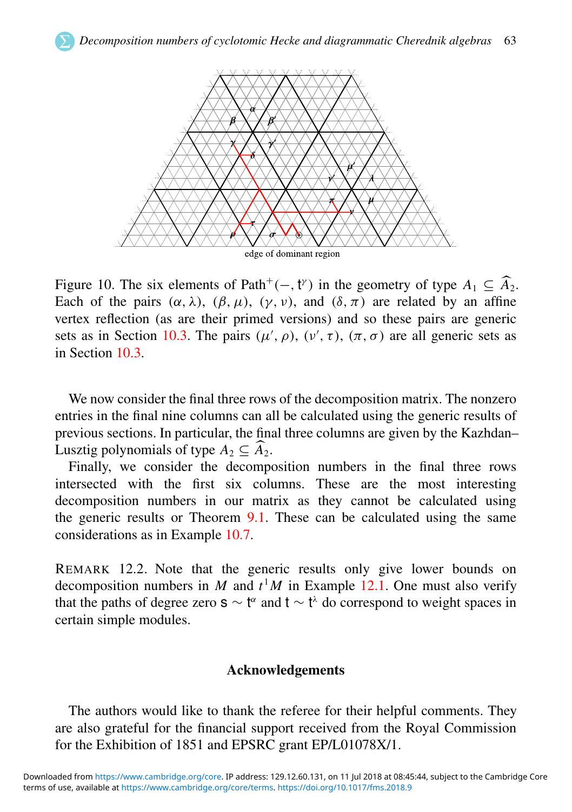<span id="page-63-11"></span><span id="page-63-1"></span><span id="page-63-0"></span>

<span id="page-63-19"></span><span id="page-63-13"></span><span id="page-63-12"></span><span id="page-63-10"></span><span id="page-63-8"></span>Figure 10. The six elements of Path<sup>+</sup>(-, t<sup> $\gamma$ </sup>) in the geometry of type  $A_1 \subseteq \widehat{A}_2$ . Each of the pairs  $(\alpha, \lambda)$ ,  $(\beta, \mu)$ ,  $(\gamma, \nu)$ , and  $(\delta, \pi)$  are related by an affine vertex reflection (as are their primed versions) and so these pairs are generic sets as in Section [10.3.](#page-52-0) The pairs  $(\mu', \rho), (\nu', \tau), (\pi, \sigma)$  are all generic sets as in Section [10.3.](#page-52-0)

<span id="page-63-18"></span><span id="page-63-14"></span><span id="page-63-6"></span><span id="page-63-4"></span>We now consider the final three rows of the decomposition matrix. The nonzero entries in the final nine columns can all be calculated using the generic results of previous sections. In particular, the final three columns are given by the Kazhdan– Lusztig polynomials of type  $A_2 \subseteq \widehat{A}_2$ .

<span id="page-63-3"></span><span id="page-63-2"></span>Finally, we consider the decomposition numbers in the final three rows intersected with the first six columns. These are the most interesting decomposition numbers in our matrix as they cannot be calculated using the generic results or Theorem [9.1.](#page-38-0) These can be calculated using the same considerations as in Example [10.7.](#page-44-0)

<span id="page-63-20"></span><span id="page-63-16"></span><span id="page-63-7"></span><span id="page-63-5"></span>REMARK 12.2. Note that the generic results only give lower bounds on decomposition numbers in *M* and  $t<sup>1</sup>M$  in Example [12.1.](#page-60-1) One must also verify that the paths of degree zero  $s \sim t^{\alpha}$  and  $t \sim t^{\lambda}$  do correspond to weight spaces in certain simple modules.

#### Acknowledgements

<span id="page-63-17"></span><span id="page-63-15"></span><span id="page-63-9"></span>The authors would like to thank the referee for their helpful comments. They are also grateful for the financial support received from the Royal Commission for the Exhibition of 1851 and EPSRC grant EP/L01078X/1.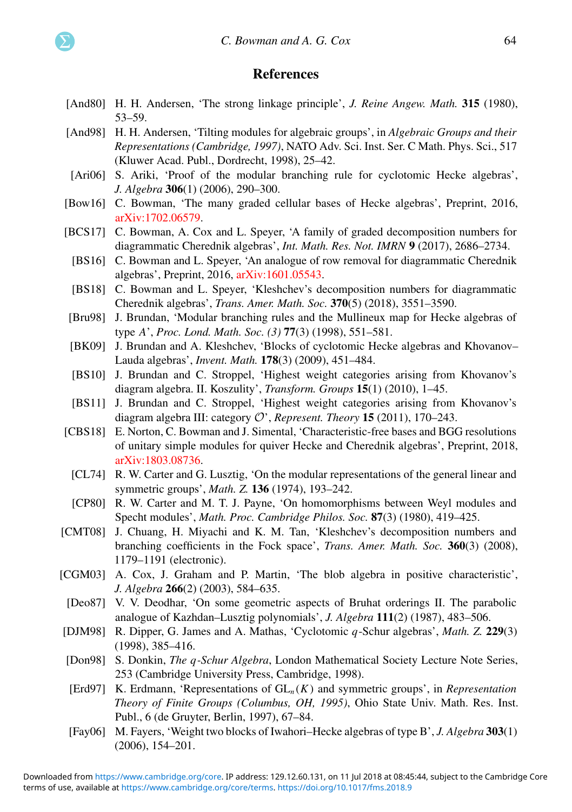#### **References**

- <span id="page-64-22"></span><span id="page-64-10"></span>[And80] H. H. Andersen, 'The strong linkage principle', *J. Reine Angew. Math.* **315** (1980), 53–59.
- <span id="page-64-18"></span>[And98] H. H. Andersen, 'Tilting modules for algebraic groups', in *Algebraic Groups and their Representations (Cambridge, 1997)*, NATO Adv. Sci. Inst. Ser. C Math. Phys. Sci., 517 (Kluwer Acad. Publ., Dordrecht, 1998), 25–42.
- <span id="page-64-14"></span><span id="page-64-6"></span>[Ari06] S. Ariki, 'Proof of the modular branching rule for cyclotomic Hecke algebras', *J. Algebra* 306(1) (2006), 290–300.
- <span id="page-64-13"></span>[Bow16] C. Bowman, 'The many graded cellular bases of Hecke algebras', Preprint, 2016, [arXiv:1702.06579.](http://www.arxiv.org/abs/1702.06579)
- <span id="page-64-4"></span>[BCS17] C. Bowman, A. Cox and L. Speyer, 'A family of graded decomposition numbers for diagrammatic Cherednik algebras', *Int. Math. Res. Not. IMRN* 9 (2017), 2686–2734.
- <span id="page-64-15"></span>[BS16] C. Bowman and L. Speyer, 'An analogue of row removal for diagrammatic Cherednik algebras', Preprint, 2016, [arXiv:1601.05543.](http://www.arxiv.org/abs/1601.05543)
- <span id="page-64-16"></span>[BS18] C. Bowman and L. Speyer, 'Kleshchev's decomposition numbers for diagrammatic Cherednik algebras', *Trans. Amer. Math. Soc.* 370(5) (2018), 3551–3590.
- <span id="page-64-12"></span>[Bru98] J. Brundan, 'Modular branching rules and the Mullineux map for Hecke algebras of type *A*', *Proc. Lond. Math. Soc. (3)* 77(3) (1998), 551–581.
- <span id="page-64-5"></span>[BK09] J. Brundan and A. Kleshchev, 'Blocks of cyclotomic Hecke algebras and Khovanov– Lauda algebras', *Invent. Math.* 178(3) (2009), 451–484.
- <span id="page-64-2"></span>[BS10] J. Brundan and C. Stroppel, 'Highest weight categories arising from Khovanov's diagram algebra. II. Koszulity', *Transform. Groups* 15(1) (2010), 1–45.
- <span id="page-64-23"></span>[BS11] J. Brundan and C. Stroppel, 'Highest weight categories arising from Khovanov's diagram algebra III: category O', *Represent. Theory* 15 (2011), 170–243.
- <span id="page-64-7"></span>[CBS18] E. Norton, C. Bowman and J. Simental, 'Characteristic-free bases and BGG resolutions of unitary simple modules for quiver Hecke and Cherednik algebras', Preprint, 2018, [arXiv:1803.08736.](http://www.arxiv.org/abs/1803.08736)
	- [CL74] R. W. Carter and G. Lusztig, 'On the modular representations of the general linear and symmetric groups', *Math. Z.* 136 (1974), 193–242.
	- [CP80] R. W. Carter and M. T. J. Payne, 'On homomorphisms between Weyl modules and Specht modules', *Math. Proc. Cambridge Philos. Soc.* 87(3) (1980), 419–425.
- <span id="page-64-8"></span><span id="page-64-1"></span><span id="page-64-0"></span>[CMT08] J. Chuang, H. Miyachi and K. M. Tan, 'Kleshchev's decomposition numbers and branching coefficients in the Fock space', *Trans. Amer. Math. Soc.* 360(3) (2008), 1179–1191 (electronic).
- <span id="page-64-9"></span>[CGM03] A. Cox, J. Graham and P. Martin, 'The blob algebra in positive characteristic', *J. Algebra* 266(2) (2003), 584–635.
- <span id="page-64-11"></span>[Deo87] V. V. Deodhar, 'On some geometric aspects of Bruhat orderings II. The parabolic analogue of Kazhdan–Lusztig polynomials', *J. Algebra* 111(2) (1987), 483–506.
- <span id="page-64-3"></span>[DJM98] R. Dipper, G. James and A. Mathas, 'Cyclotomic *q*-Schur algebras', *Math. Z.* 229(3) (1998), 385–416.
- <span id="page-64-21"></span>[Don98] S. Donkin, *The q-Schur Algebra*, London Mathematical Society Lecture Note Series, 253 (Cambridge University Press, Cambridge, 1998).
- <span id="page-64-20"></span>[Erd97] K. Erdmann, 'Representations of GL*<sup>n</sup>* (*K*) and symmetric groups', in *Representation Theory of Finite Groups (Columbus, OH, 1995)*, Ohio State Univ. Math. Res. Inst. Publ., 6 (de Gruyter, Berlin, 1997), 67–84.
- <span id="page-64-19"></span><span id="page-64-17"></span>[Fay06] M. Fayers, 'Weight two blocks of Iwahori–Hecke algebras of type B', *J. Algebra* 303(1) (2006), 154–201.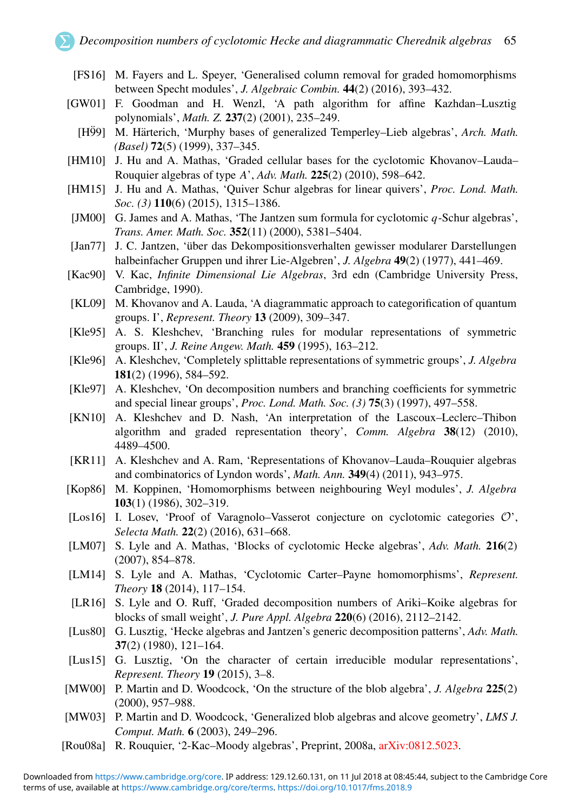- <span id="page-65-0"></span>[FS16] M. Fayers and L. Speyer, 'Generalised column removal for graded homomorphisms between Specht modules', *J. Algebraic Combin.* 44(2) (2016), 393–432.
- <span id="page-65-4"></span><span id="page-65-1"></span>[GW01] F. Goodman and H. Wenzl, 'A path algorithm for affine Kazhdan–Lusztig polynomials', *Math. Z.* 237(2) (2001), 235–249.
	- [H99] M. Härterich, 'Murphy bases of generalized Temperley–Lieb algebras', *Arch. Math. (Basel)* 72(5) (1999), 337–345.
- <span id="page-65-3"></span>[HM10] J. Hu and A. Mathas, 'Graded cellular bases for the cyclotomic Khovanov–Lauda– Rouquier algebras of type *A*', *Adv. Math.* 225(2) (2010), 598–642.
- <span id="page-65-7"></span>[HM15] J. Hu and A. Mathas, 'Quiver Schur algebras for linear quivers', *Proc. Lond. Math. Soc. (3)* 110(6) (2015), 1315–1386.
- <span id="page-65-5"></span>[JM00] G. James and A. Mathas, 'The Jantzen sum formula for cyclotomic *q*-Schur algebras', *Trans. Amer. Math. Soc.* 352(11) (2000), 5381–5404.
- <span id="page-65-2"></span>[Jan77] J. C. Jantzen, 'über das Dekompositionsverhalten gewisser modularer Darstellungen halbeinfacher Gruppen und ihrer Lie-Algebren', *J. Algebra* 49(2) (1977), 441–469.
- <span id="page-65-6"></span>[Kac90] V. Kac, *Infinite Dimensional Lie Algebras*, 3rd edn (Cambridge University Press, Cambridge, 1990).
- [KL09] M. Khovanov and A. Lauda, 'A diagrammatic approach to categorification of quantum groups. I', *Represent. Theory* 13 (2009), 309–347.
- [Kle95] A. S. Kleshchev, 'Branching rules for modular representations of symmetric groups. II', *J. Reine Angew. Math.* 459 (1995), 163–212.
- [Kle96] A. Kleshchev, 'Completely splittable representations of symmetric groups', *J. Algebra* 181(2) (1996), 584–592.
- [Kle97] A. Kleshchev, 'On decomposition numbers and branching coefficients for symmetric and special linear groups', *Proc. Lond. Math. Soc. (3)* 75(3) (1997), 497–558.
- [KN10] A. Kleshchev and D. Nash, 'An interpretation of the Lascoux–Leclerc–Thibon algorithm and graded representation theory', *Comm. Algebra* 38(12) (2010), 4489–4500.
- [KR11] A. Kleshchev and A. Ram, 'Representations of Khovanov–Lauda–Rouquier algebras and combinatorics of Lyndon words', *Math. Ann.* 349(4) (2011), 943–975.
- [Kop86] M. Koppinen, 'Homomorphisms between neighbouring Weyl modules', *J. Algebra* 103(1) (1986), 302–319.
- [Los16] I. Losev, 'Proof of Varagnolo–Vasserot conjecture on cyclotomic categories O', *Selecta Math.* 22(2) (2016), 631–668.
- [LM07] S. Lyle and A. Mathas, 'Blocks of cyclotomic Hecke algebras', *Adv. Math.* 216(2) (2007), 854–878.
- [LM14] S. Lyle and A. Mathas, 'Cyclotomic Carter–Payne homomorphisms', *Represent. Theory* 18 (2014), 117–154.
- [LR16] S. Lyle and O. Ruff, 'Graded decomposition numbers of Ariki–Koike algebras for blocks of small weight', *J. Pure Appl. Algebra* 220(6) (2016), 2112–2142.
- [Lus80] G. Lusztig, 'Hecke algebras and Jantzen's generic decomposition patterns', *Adv. Math.* 37(2) (1980), 121–164.
- [Lus15] G. Lusztig, 'On the character of certain irreducible modular representations', *Represent. Theory* 19 (2015), 3–8.
- [MW00] P. Martin and D. Woodcock, 'On the structure of the blob algebra', *J. Algebra* 225(2) (2000), 957–988.
- [MW03] P. Martin and D. Woodcock, 'Generalized blob algebras and alcove geometry', *LMS J. Comput. Math.* 6 (2003), 249–296.
- [Rou08a] R. Rouquier, '2-Kac–Moody algebras', Preprint, 2008a, [arXiv:0812.5023.](http://www.arxiv.org/abs/0812.5023)